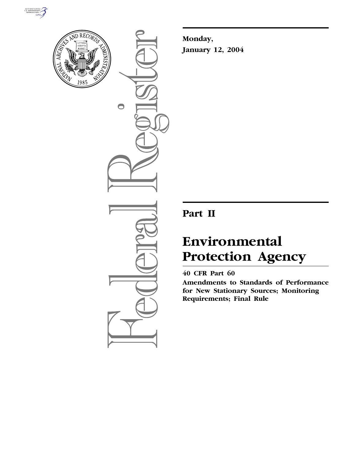



 $\bigcirc$ 

**Monday, January 12, 2004**

# **Part II**

# **Environmental Protection Agency**

# **40 CFR Part 60**

**Amendments to Standards of Performance for New Stationary Sources; Monitoring Requirements; Final Rule**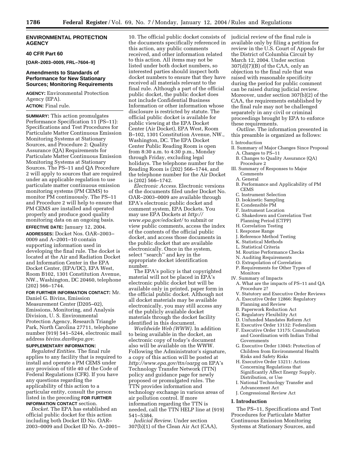#### **ENVIRONMENTAL PROTECTION AGENCY**

#### **40 CFR Part 60**

**[OAR–2003–0009, FRL–7604–9]** 

#### **Amendments to Standards of Performance for New Stationary Sources; Monitoring Requirements**

**AGENCY:** Environmental Protection Agency (EPA). **ACTION:** Final rule.

**SUMMARY:** This action promulgates Performance Specification 11 (PS–11): Specifications and Test Procedures for Particulate Matter Continuous Emission Monitoring Systems at Stationary Sources, and Procedure 2: Quality Assurance (QA) Requirements for Particulate Matter Continuous Emission Monitoring Systems at Stationary Sources. The PS–11 and QA Procedure 2 will apply to sources that are required under an applicable regulation to use particulate matter continuous emission monitoring systems (PM CEMS) to monitor PM continuously. The PS–11 and Procedure 2 will help to ensure that PM CEMS are installed and operated properly and produce good quality monitoring data on an ongoing basis.

#### **EFFECTIVE DATE:** January 12, 2004.

**ADDRESSES:** Docket Nos. OAR–2003– 0009 and A–2001–10 contain supporting information used in developing the final rule. The docket is located at the Air and Radiation Docket and Information Center in the EPA Docket Center, (EPA/DC), EPA West, Room B102, 1301 Constitution Avenue, NW., Washington, DC 20460, telephone (202) 566–1744.

**FOR FURTHER INFORMATION CONTACT:** Mr. Daniel G. Bivins, Emission Measurement Center (D205–02), Emissions, Monitoring, and Analysis Division, U. S. Environmental Protection Agency, Research Triangle Park, North Carolina 27711, telephone number (919) 541–5244, electronic mail address *bivins.dan@epa.gov*.

#### **SUPPLEMENTARY INFORMATION:**

*Regulated Entities.* The final rule applies to any facility that is required to install and operate a PM CEMS under any provision of title 40 of the Code of Federal Regulations (CFR). If you have any questions regarding the applicability of this action to a particular entity, consult the person listed in the preceding **FOR FURTHER INFORMATION CONTACT** section.

*Docket*. The EPA has established an official public docket for this action including both Docket ID No. OAR– 2003–0009 and Docket ID No. A–2001– 10. The official public docket consists of the documents specifically referenced in this action, any public comments received, and other information related to this action. All items may not be listed under both docket numbers, so interested parties should inspect both docket numbers to ensure that they have received all materials relevant to the final rule. Although a part of the official public docket, the public docket does not include Confidential Business Information or other information whose disclosure is restricted by statute. The official public docket is available for public viewing at the EPA Docket Center (Air Docket), EPA West, Room B–102, 1301 Constitution Avenue, NW., Washington, DC. The EPA Docket Center Public Reading Room is open from 8:30 a.m. to 4:30 p.m., Monday through Friday, excluding legal holidays. The telephone number for the Reading Room is (202) 566–1744, and the telephone number for the Air Docket is (202) 566–1742.

*Electronic Access*. Electronic versions of the documents filed under Docket No. OAR–2003–0009 are available through EPA's electronic public docket and comment system, EPA Dockets. You may use EPA Dockets at *http:// www.epa.gov/edocket/* to submit or view public comments, access the index of the contents of the official public docket, and access those documents in the public docket that are available electronically. Once in the system, select ''search'' and key in the appropriate docket identification number.

The EPA's policy is that copyrighted material will not be placed in EPA's electronic public docket but will be available only in printed, paper form in the official public docket. Although not all docket materials may be available electronically, you may still access any of the publicly available docket materials through the docket facility identified in this document.

*Worldwide Web (WWW)*. In addition to being available in the docket, an electronic copy of today's document also will be available on the WWW. Following the Administrator's signature, a copy of this action will be posted at *http://www.epa.gov/ttn/oarpg* on EPA's Technology Transfer Network (TTN) policy and guidance page for newly proposed or promulgated rules. The TTN provides information and technology exchange in various areas of air pollution control. If more information regarding the TTN is needed, call the TTN HELP line at (919) 541–5384.

*Judicial Review*. Under section 307(b)(1) of the Clean Air Act (CAA), judicial review of the final rule is available only by filing a petition for review in the U.S. Court of Appeals for the District of Columbia Circuit by March 12, 2004. Under section  $307(d)(7)(B)$  of the CAA, only an objection to the final rule that was raised with reasonable specificity during the period for public comment can be raised during judicial review. Moreover, under section 307(b)(2) of the CAA, the requirements established by the final rule may not be challenged separately in any civil or criminal proceedings brought by EPA to enforce these requirements.

*Outline*. The information presented in this preamble is organized as follows:

#### I. Introduction

- II. Summary of Major Changes Since Proposal A. Changes to PS–11
- B. Changes to Quality Assurance (QA) Procedure 2
- III. Summary of Responses to Major Comments
	- A. General
	- B. Performance and Applicability of PM CEMS
	- C. Instrument Selection
	- D. Isokinetic Sampling
	- E. Condensible PM
	- F. Instrument Location
	- G. Shakedown and Correlation Test Planning Period (CTPP)
	- H. Correlation Testing
	- I. Response Range
	- J. Reference Method Testing
	- K. Statistical Methods
	- L. Statistical Criteria
	- M. Routine Performance Checks
	- N. Auditing Requirements
	- O. Extrapolation of Correlation
- P. Requirements for Other Types of Monitors
- IV. Summary of Impacts
	- A. What are the impacts of PS–11 and QA Procedure 2?
	- V. Statutory and Executive Order Reviews
	- A. Executive Order 12866: Regulatory Planning and Review
	- B. Paperwork Reduction Act
	- C. Regulatory Flexibility Act
	- D. Unfunded Mandates Reform Act
	- E. Executive Order 13132: Federalism
	- F. Executive Order 13175: Consultation and Coordination with Indian Tribal Governments
	- G. Executive Order 13045: Protection of Children from Environmental Health Risks and Safety Risks
	- H. Executive Order 13211: Actions Concerning Regulations that Significantly Affect Energy Supply, Distribution, or Use
	- I. National Technology Transfer and Advancement Act
- J. Congressional Review Act

#### **I. Introduction**

The PS–11, Specifications and Test Procedures for Particulate Matter Continuous Emission Monitoring Systems at Stationary Sources, and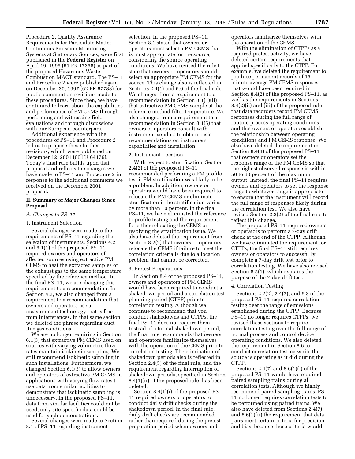Procedure 2, Quality Assurance Requirements for Particulate Matter Continuous Emission Monitoring Systems at Stationary Sources, were first published in the **Federal Register** on April 19, 1996 (61 FR 17358) as part of the proposed Hazardous Waste Combustion MACT standard. The PS–11 and Procedure 2 were published again on December 30, 1997 (62 FR 67788) for public comment on revisions made to these procedures. Since then, we have continued to learn about the capabilities and performance of PM CEMS through performing and witnessing field evaluations and through discussions with our European counterparts.

Additional experience with the procedures of PS–11 and Procedure 2 led us to propose these further revisions, which were published on December 12, 2001 (66 FR 64176). Today's final rule builds upon that proposal and reflects the changes we have made to PS–11 and Procedure 2 in response to the additional comments we received on the December 2001 proposal.

#### **II. Summary of Major Changes Since Proposal**

#### *A. Changes to PS–11*

#### 1. Instrument Selection

Several changes were made to the requirements of PS–11 regarding the selection of instruments. Sections 4.2 and 6.1(1) of the proposed PS–11 required owners and operators of affected sources using extractive PM CEMS to heat the extracted samples of the exhaust gas to the same temperature specified by the reference method. In the final PS–11, we are changing this requirement to a recommendation. In Section 4.3, we also changed from a requirement to a recommendation that owners and operators use a measurement technology that is free from interferences. In that same section, we deleted the phrase regarding duct flue gas conditions.

We are no longer requiring in Section 6.1(3) that extractive PM CEMS used on sources with varying volumetric flow rates maintain isokinetic sampling. We still recommend isokinetic sampling in such installations. Furthermore, we changed Section 6.1(3) to allow owners and operators of extractive PM CEMS in applications with varying flow rates to use data from similar facilities to demonstrate that isokinetic sampling is unnecessary. In the proposed PS–11, data from similar facilities could not be used; only site-specific data could be used for such demonstrations.

Several changes were made to Section 8.1 of PS–11 regarding instrument

selection. In the proposed PS–11, Section 8.1 stated that owners or operators must select a PM CEMS that is most appropriate for the source, considering the source operating conditions. We have revised the rule to state that owners or operators should select an appropriate PM CEMS for the source. This change also is reflected in Sections 2.4(1) and 6.0 of the final rule. We changed from a requirement to a recommendation in Section 8.1(1)(ii) that extractive PM CEMS sample at the reference method filter temperature. We also changed from a requirement to a recommendation in Section 8.1(5) that owners or operators consult with instrument vendors to obtain basic recommendations on instrument capabilities and installation.

#### 2. Instrument Location

With respect to stratification, Section 2.4(2) of the proposed PS–11 recommended performing a PM profile test if PM stratification was likely to be a problem. In addition, owners or operators would have been required to relocate the PM CEMS or eliminate stratification if the stratification varies by more than 10 percent. In the final PS–11, we have eliminated the reference to profile testing and the requirement for either relocating the CEMS or resolving the stratification issue. We also have deleted the requirement from Section 8.2(2) that owners or operators relocate the CEMS if failure to meet the correlation criteria is due to a location problem that cannot be corrected.

#### 3. Pretest Preparations

In Section 8.4 of the proposed PS–11, owners and operators of PM CEMS would have been required to conduct a shakedown period and a correlation test planning period (CTPP) prior to correlation testing. Although we continue to recommend that you conduct shakedowns and CTPPs, the final PS–11 does not require them. Instead of a formal shakedown period, the final rule recommends that owners and operators familiarize themselves with the operation of the CEMS prior to correlation testing. The elimination of shakedown periods also is reflected in Section 2.4(5) of the final rule, and the requirement regarding interruption of shakedown periods, specified in Section 8.4(1)(ii) of the proposed rule, has been deleted.

Section 8.4(1)(i) of the proposed PS– 11 required owners or operators to conduct daily drift checks during the shakedown period. In the final rule, daily drift checks are recommended rather than required during the pretest preparation period when owners and

operators familiarize themselves with the operation of the CEMS.

With the elimination of CTPPs as a required pretest activity, we have deleted certain requirements that applied specifically to the CTPP. For example, we deleted the requirement to produce permanent records of 15 minute average PM CEMS responses that would have been required in Section 8.4(2) of the proposed PS–11, as well as the requirements in Sections 8.4(2)(ii) and (iii) of the proposed rule that data recorders record PM CEMS responses during the full range of routine process operating conditions and that owners or operators establish the relationship between operating conditions and PM CEMS response. We also have deleted the requirement in Section 8.4(3) of the proposed PS–11 that owners or operators set the response range of the PM CEMS so that the highest observed response is within 50 to 60 percent of the maximum output. Instead, the final PS–11 requires owners and operators to set the response range to whatever range is appropriate to ensure that the instrument will record the full range of responses likely during the correlation test. We also have revised Section 2.2(2) of the final rule to reflect this change.

The proposed PS-11 required owners or operators to perform a 7-day drift check at the end of the CTPP. Although we have eliminated the requirement for CTPPs, the final PS–11 still requires owners or operators to successfully complete a 7-day drift test prior to correlation testing. We have also revised Section 8.5(1), which explains the purpose of the 7-day drift test.

#### 4. Correlation Testing

Sections 2.2(2), 2.4(7), and 6.3 of the proposed PS–11 required correlation testing over the range of emissions established during the CTPP. Because PS–11 no longer requires CTPPs, we revised these sections to require correlation testing over the full range of normal process and control device operating conditions. We also deleted the requirement in Section 8.6 to conduct correlation testing while the source is operating as it did during the CTPP.

Sections  $2.4(7)$  and  $8.6(1)(i)$  of the proposed PS–11 would have required paired sampling trains during all correlation tests. Although we highly recommend paired sampling trains, PS– 11 no longer requires correlation tests to be performed using paired trains. We also have deleted from Sections 2.4(7) and 8.6(1)(ii) the requirement that data pairs meet certain criteria for precision and bias, because those criteria would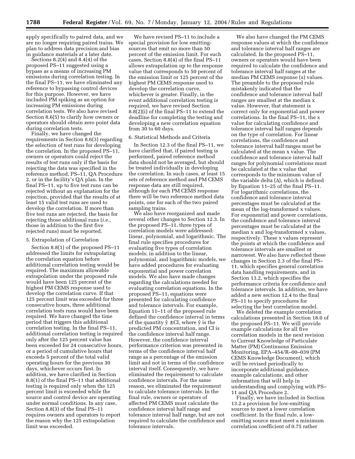apply specifically to paired data, and we are no longer requiring paired trains. We plan to address data precision and bias in guidance materials at a later date.

Sections  $8.2(4)$  and  $8.4(4)$  of the proposed PS–11 suggested using a bypass as a means of increasing PM emissions during correlation testing. In the final PS–11, we have eliminated any reference to bypassing control devices for this purpose. However, we have included PM spiking as an option for increasing PM emissions during correlation tests. We also have revised Section 8.6(5) to clarify how owners or operators should obtain zero point data during correlation tests.

Finally, we have changed the requirements in Section 8.6(3) regarding the selection of test runs for developing the correlation. In the proposed PS–11, owners or operators could reject the results of test runs only if the basis for rejecting the data was specified in the reference method, PS–11, QA Procedure 2, or in the facility's QA plan. In the final PS–11, up to five test runs can be rejected without an explanation for the rejection, provided that the results of at least 15 valid test runs are used to develop the correlation. If more than five test runs are rejected, the basis for rejecting those additional runs (*i.e.*, those in addition to the first five rejected runs) must be reported.

#### 5. Extrapolation of Correlation

Section 8.8(1) of the proposed PS–11 addressed the limits for extrapolating the correlation equation before additional correlation testing would be required. The maximum allowable extrapolation under the proposed rule would have been 125 percent of the highest PM CEMS response used to develop the correlation curve. If that 125 percent limit was exceeded for three consecutive hours, three additional correlation tests runs would have been required. We have changed the time period that triggers this additional correlation testing. In the final PS–11, additional correlation testing is required only after the 125 percent value has been exceeded for 24 consecutive hours, or a period of cumulative hours that exceeds 5 percent of the total valid operating hours for the previous 30 days, whichever occurs first. In addition, we have clarified in Section 8.8(1) of the final PS–11 that additional testing is required only when the 125 percent limit is exceeded while the source and control device are operating under normal conditions. In any case, Section 8.8(3) of the final PS–11 requires owners and operators to report the reason why the 125 extrapolation limit was exceeded.

We have revised PS–11 to include a special provision for low emittingsources that emit no more than 50 percent of the emission limit. For such cases, Section 8.8(4) of the final PS–11 allows extrapolation up to the response value that corresponds to 50 percent of the emission limit or 125 percent of the highest PM CEMS response used to develop the correlation curve, whichever is greater. Finally, in the event additional correlation testing is required, we have revised Section 8.8(2)(i) of the final PS–11 to extend the deadline for completing the testing and developing a new correlation equation from 30 to 60 days.

#### 6. Statistical Methods and Criteria

In Section 12.3 of the final PS–11, we have clarified that, if paired testing is performed, paired reference method data should not be averaged, but should be treated individually in developing the correlation. In such cases, at least 15 sets of reference method and PM CEMS response data are still required, although for each PM CEMS response there will be two reference method data points, one for each of the two paired sampling trains.

We also have reorganized and made several other changes to Section 12.3. In the proposed PS–11, three types of correlation models were addressed: linear, polynomial, and logarithmic. The final rule specifies procedures for evaluating five types of correlation models; in addition to the linear, polynomial, and logarithmic models, we have added procedures for evaluating exponential and power correlation models. We also have made changes regarding the calculations needed for evaluating correlation equations. In the proposed PS–11, equations were presented for calculating confidence and tolerance intervals. For example, Equation 11–11 of the proposed rule defined the confidence interval in terms of the quantity  $\hat{y} \pm \text{CI}$ , where  $\hat{y}$  is the predicted PM concentration, and CI is the confidence interval half range. However, the confidence interval performance criterion was presented in terms of the confidence interval half range as a percentage of the emission limit and not in terms of the confidence interval itself. Consequently, we have eliminated the requirement to calculate confidence intervals. For the same reason, we eliminated the requirement to calculate tolerance intervals. In the final rule, owners or operators of affected PM CEMS must calculate the confidence interval half range and tolerance interval half range, but are not required to calculate the confidence and tolerance intervals.

We also have changed the PM CEMS response values at which the confidence and tolerance interval half ranges are calculated. In the proposed PS–11, owners or operators would have been required to calculate the confidence and tolerance interval half ranges at the median PM CEMS response (x) values. The preamble to the proposed rule mistakenly indicated that the confidence and tolerance interval half ranges are smallest at the median x value. However, that statement is correct only for exponential and power correlations. In the final PS–11, the x value for calculating confidence and tolerance interval half ranges depends on the type of correlation. For linear correlations, the confidence and tolerance interval half ranges must be calculated at the mean x value. The confidence and tolerance interval half ranges for polynomial correlations must be calculated at the x value that corresponds to the minimum value of the variable delta  $(\Delta)$ , which is defined by Equation 11–25 of the final PS–11. For logarithmic correlations, the confidence and tolerance interval percentages must be calculated at the mean of the log-transformed x values. For exponential and power correlations, the confidence and tolerance interval percentages must be calculated at the median x and log-transformed x values, respectively. These x values represent the points at which the confidence and tolerance intervals are smallest or narrowest. We also have reflected these changes in Section 2.3 of the final PS– 11, which specifies general correlation data handling requirements, and in Section 13.2, which specifies the performance criteria for confidence and tolerance intervals. In addition, we have added a new section 12.4 to the final PS–11 to specify procedures for selecting the best correlation model.

We deleted the example correlation calculations presented in Section 18.0 of the proposed PS–11. We will provide example calculations for all five correlation models in the next revision to Current Knowledge of Particulate Matter (PM) Continuous Emission Monitoring, EPA–454/R–00–039 (PM CEMS Knowledge Document), which will be revised periodically to incorporate additional guidance, example calculations, and other information that will help in understanding and complying with PS– 11 and QA Procedure 2.

Finally, we have included in Section 13.2 a provision for low-emitting sources to meet a lower correlation coefficient. In the final rule, a lowemitting source must meet a minimum correlation coefficient of 0.75 rather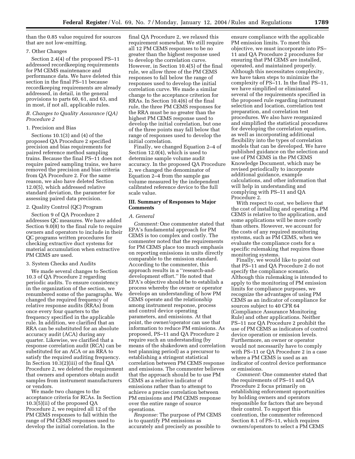than the 0.85 value required for sources that are not low-emitting.

#### 7. Other Changes

Section 2.4(4) of the proposed PS–11 addressed recordkeeping requirements for PM CEMS maintenance and performance data. We have deleted this section in the final PS–11 because recordkeeping requirements are already addressed, in detail, in the general provisions to parts 60, 61, and 63, and in most, if not all, applicable rules.

#### *B. Changes to Quality Assurance (QA) Procedure 2*

#### 1. Precision and Bias

Sections 10.1(3) and (4) of the proposed QA Procedure 2 specified precision and bias requirements for paired reference method sampling trains. Because the final PS–11 does not require paired sampling trains, we have removed the precision and bias criteria from QA Procedure 2. For the same reason, we also have deleted Section 12.0(5), which addressed relative standard deviation, the parameter for assessing paired data precision.

#### 2. Quality Control (QC) Program

Section 9 of QA Procedure 2 addresses QC measures. We have added Section 9.0(8) to the final rule to require owners and operators to include in their QC programs written procedures for checking extractive duct systems for material accumulation when extractive PM CEMS are used.

#### 3. System Checks and Audits

We made several changes to Section 10.3 of QA Procedure 2 regarding periodic audits. To ensure consistency in the organization of the section, we renumbered some of the paragraphs. We changed the required frequency of relative response audits (RRAs) from once every four quarters to the frequency specified in the applicable rule. In addition, we clarified that an RRA can be substituted for an absolute accuracy audit (ACA) during any quarter. Likewise, we clarified that a response correlation audit (RCA) can be substituted for an ACA or an RRA to satisfy the required auditing frequency. In Section 10.3(2)(iii) of the final QA Procedure 2, we deleted the requirement that owners and operators obtain audit samples from instrument manufacturers or vendors.

We made two changes to the acceptance criteria for RCAs. In Section 10.3(5)(ii) of the proposed QA Procedure 2, we required all 12 of the PM CEMS responses to fall within the range of PM CEMS responses used to develop the initial correlation. In the

final QA Procedure 2, we relaxed this requirement somewhat. We still require all 12 PM CEMS responses to be no greater than the highest response used to develop the correlation curve. However, in Section 10.4(5) of the final rule, we allow three of the PM CEMS responses to fall below the range of responses used to develop the initial correlation curve. We made a similar change to the acceptance criterion for RRAs. In Section 10.4(6) of the final rule, the three PM CEMS responses for the RRA must be no greater than the highest PM CEMS response used to develop the initial correlation, but one of the three points may fall below that range of responses used to develop the initial correlation.

Finally, we changed Equation 2–4 of Section 12.0(4), which is used to determine sample volume audit accuracy. In the proposed QA Procedure 2, we changed the denominator of Equation 2–4 from the sample gas volume measured by the independent calibrated reference device to the full scale value.

#### **III. Summary of Responses to Major Comments**

#### *A. General*

*Comment:* One commenter stated that EPA's fundamental approach for PM CEMS is too complex and costly. The commenter noted that the requirements for PM CEMS place too much emphasis on reporting emissions in units directly comparable to the emission standard. According to the commenter, this approach results in a ''research-anddevelopment effort.'' He noted that EPA's objective should be to establish a process whereby the owner or operator develops an understanding of how PM CEMS operate and the relationship among instrument response, process and control device operating parameters, and emissions. At that point, the owner/operator can use that information to reduce PM emissions. As proposed, PS–11 and QA Procedure 2 require such an understanding (by means of the shakedown and correlation test planning period) as a precursor to establishing a stringent statistical correlation between PM CEMS response and emissions. The commenter believes that the approach should be to use PM CEMS as a relative indicator of emissions rather than to attempt to achieve a precise correlation between PM emissions and PM CEMS response over the entire range of source operations.

*Response:* The purpose of PM CEMS is to quantify PM emissions as accurately and precisely as possible to

ensure compliance with the applicable PM emission limits. To meet this objective, we must incorporate into PS– 11 and QA Procedure 2 procedures for ensuring that PM CEMS are installed, operated, and maintained properly. Although this necessitates complexity, we have taken steps to minimize the complexity of PS–11. In the final PS–11, we have simplified or eliminated several of the requirements specified in the proposed rule regarding instrument selection and location, correlation test preparation, and correlation test procedures. We also have reorganized and simplified the statistical procedures for developing the correlation equation, as well as incorporating additional flexibility into the types of correlation models that can be developed. We have published guidance on the selection and use of PM CEMS in the PM CEMS Knowledge Document, which may be revised periodically to incorporate additional guidance, example calculations, and other information that will help in understanding and complying with PS–11 and QA Procedure 2.

With respect to cost, we believe that the cost of installing and operating a PM CEMS is relative to the application, and some applications will be more costly than others. However, we account for the costs of any required monitoring systems, such as PM CEMS, when we evaluate the compliance costs for a specific rulemaking that requires those monitoring systems.

Finally, we would like to point out that PS–11 and QA Procedure 2 do not specify the compliance scenario. Although this rulemaking is intended to apply to the monitoring of PM emission limits for compliance purposes, we recognize the advantages of using PM CEMS as an indicator of compliance for sources subject to 40 CFR 64 (Compliance Assurance Monitoring Rule) and other applications. Neither PS–11 nor QA Procedure 2 prohibit the use of PM CEMS as indicators of control device operation or emission levels. Furthermore, an owner or operator would not necessarily have to comply with PS–11 or QA Procedure 2 in a case where a PM CEMS is used as an indicator of control device performance or emissions.

*Comment:* One commenter stated that the requirements of PS–11 and QA Procedure 2 focus primarily on establishing enforcement opportunities by holding owners and operators responsible for factors that are beyond their control. To support this contention, the commenter referenced Section 8.1 of PS–11, which requires owners/operators to select a PM CEMS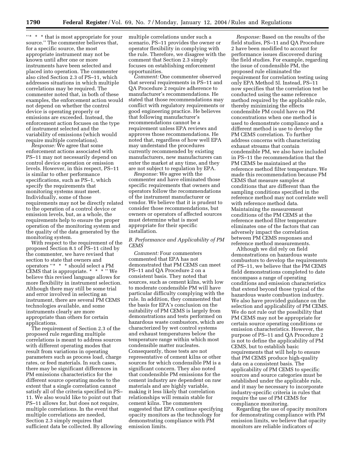''\* \* \* that is most appropriate for your source.'' The commenter believes that, for a specific source, the most appropriate instrument may not be known until after one or more instruments have been selected and placed into operation. The commenter also cited Section 2.3 of PS–11, which addresses situations in which multiple correlations may be required. The commenter noted that, in both of these examples, the enforcement action would not depend on whether the control device is operating properly or emissions are exceeded. Instead, the enforcement action focuses on the type of instrument selected and the variability of emissions (which would require multiple correlations).

*Response:* We agree that some enforcement actions associated with PS–11 may not necessarily depend on control device operation or emission levels. However, in this respect, PS–11 is similar to other performance specifications, such as PS–1, which specify the requirements that monitoring systems must meet. Individually, some of those requirements may not be directly related to the operation of a control device or emission levels, but, as a whole, the requirements help to ensure the proper operation of the monitoring system and the quality of the data generated by the monitoring system.

With respect to the requirement of the proposed Section 8.1 of PS–11 cited by the commenter, we have revised that section to state that owners and operators ''\* \* \* should select a PM CEMS that is appropriate. \* \* \* '' We believe this revised language allows for more flexibility in instrument selection. Although there may still be some trial and error involved in selecting an instrument, there are several PM CEMS technologies available, and some instruments clearly are more appropriate than others for certain applications.

The requirement of Section 2.3 of the proposed rule regarding multiple correlations is meant to address sources with different operating modes that result from variations in operating parameters such as process load, charge rates, or feed materials. In such cases, there may be significant differences in PM emissions characteristics for the different source operating modes to the extent that a single correlation cannot satisfy all of the criteria specified in PS– 11. We also would like to point out that PS–11 allows for, but does not require, multiple correlations. In the event that multiple correlations are needed, Section 2.3 simply requires that sufficient data be collected. By allowing multiple correlations under such a scenario, PS–11 provides the owner or operator flexibility in complying with the rule. Therefore, we disagree with the comment that Section 2.3 simply focuses on establishing enforcement opportunities.

*Comment:* One commenter observed that several requirements in PS–11 and QA Procedure 2 require adherence to manufacturer's recommendations. He stated that those recommendations may conflict with regulatory requirements or good engineering practice. He believes that following manufacturer's recommendations cannot be a requirement unless EPA reviews and approves those recommendations. He noted that, regardless of how well EPA may understand the procedures currently recommended by existing manufacturers, new manufacturers can enter the market at any time, and they are not subject to regulation by EPA.

*Response:* We agree with the commenter and have eliminated those specific requirements that owners and operators follow the recommendations of the instrument manufacturer or vendor. We believe that it is prudent to consider those recommendations, but owners or operators of affected sources must determine what is most appropriate for their specific installation.

#### *B. Performance and Applicability of PM CEMS*

*Comment:* Four commenters commented that EPA has not demonstrated that PM CEMS can meet PS–11 and QA Procedure 2 on a consistent basis. They noted that sources, such as cement kilns, with low to moderate condensible PM will have particular difficulty complying with the rule. In addition, they commented that the basis for EPA's conclusion on the suitability of PM CEMS is largely from demonstrations and tests performed on hazardous waste combustors, which are characterized by wet control systems and exhaust temperatures below the temperature range within which most condensible matter nucleates. Consequently, those tests are not representative of cement kilns or other sources for which condensible PM is a significant concern. They also noted that condensible PM emissions for the cement industry are dependent on raw materials and are highly variable, making it less likely that correlation relationships will remain stable for cement kilns. The commenters suggested that EPA continue specifying opacity monitors as the technology for demonstrating compliance with PM emission limits.

*Response:* Based on the results of the field studies, PS–11 and QA Procedure 2 have been modified to account for performance issues discovered during the field studies. For example, regarding the issue of condensible PM, the proposed rule eliminated the requirement for correlation testing using only EPA Method 5I. Instead, PS–11 now specifies that the correlation test be conducted using the same reference method required by the applicable rule, thereby minimizing the effects condensible PM could have on PM concentrations when one method is used to demonstrate compliance and a different method is use to develop the PM CEMS correlation. To further address concerns with characterizing exhaust streams that contain condensible PM, we also have included in PS–11 the recommendation that the PM CEMS be maintained at the reference method filter temperature. We made this recommendation because PM CEMS that measure samples at conditions that are different than the sampling conditions specified in the reference method may not correlate well with reference method data. Maintaining the measurement conditions of the PM CEMS at the reference method filter temperature eliminates one of the factors that can adversely impact the correlation between PM CEMS responses and reference method measurements.

Although we did rely on field demonstrations on hazardous waste combustors to develop the requirements of PS–11, we believe that the PM CEMS field demonstrations completed to date encompass a range of operating conditions and emission characteristics that extend beyond those typical of the hazardous waste combustion industry. We also have provided guidance on the selection and applicability of PM CEMS. We do not rule out the possibility that PM CEMS may not be appropriate for certain source operating conditions or emission characteristics. However, the purpose of PS–11 and QA Procedure 2 is not to define the applicability of PM CEMS, but to establish basic requirements that will help to ensure that PM CEMS produce high-quality data on a consistent basis. The applicability of PM CEMS to specific sources and source categories must be established under the applicable rule, and it may be necessary to incorporate industry-specific criteria in rules that require the use of PM CEMS for compliance monitoring.

Regarding the use of opacity monitors for demonstrating compliance with PM emission limits, we believe that opacity monitors are reliable indicators of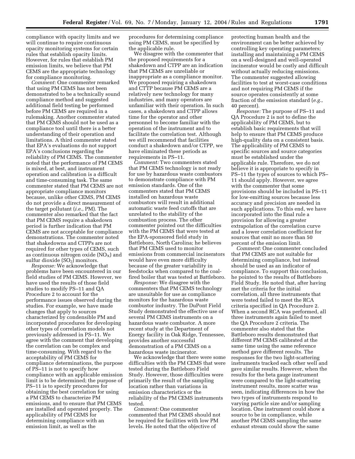compliance with opacity limits and we will continue to require continuous opacity monitoring systems for certain rules that establish opacity limits. However, for rules that establish PM emission limits, we believe that PM CEMS are the appropriate technology for compliance monitoring.

*Comment:* One commenter remarked that using PM CEMS has not been demonstrated to be a technically sound compliance method and suggested additional field testing be performed before PM CEMS are required in a rulemaking. Another commenter stated that PM CEMS should not be used as a compliance tool until there is a better understanding of their operation and limitations. A third commenter stated that EPA's evaluations do not support EPA's conclusions regarding the reliability of PM CEMS. The commenter noted that the performance of PM CEMS is mixed, at best, and instrument operation and calibration is a difficult and time-consuming task. The same commenter stated that PM CEMS are not appropriate compliance monitors because, unlike other CEMS, PM CEMS do not provide a direct measurement of the target pollutant (*i.e.*, PM). The commenter also remarked that the fact that PM CEMS require a shakedown period is further indication that PM CEMS are not acceptable for compliance demonstrations. The commenter noted that shakedowns and CTPPs are not required for other types of CEMS, such as continuous nitrogen oxide  $(NO<sub>X</sub>)$  and sulfur dioxide  $(SO_2)$  monitors.

*Response:* We acknowledge that problems have been encountered in our field studies of PM CEMS. However, we have used the results of those field studies to modify PS–11 and QA Procedure 2 to account for the performance issues observed during the studies. For example, we have made changes that apply to sources characterized by condensible PM and incorporated procedures for developing other types of correlation models not previously addressed in PS–11. We agree with the comment that developing the correlation can be complex and time-consuming. With regard to the acceptability of PM CEMS for compliance determinations, the purpose of PS–11 is not to specify how compliance with an applicable emission limit is to be determined; the purpose of PS–11 is to specify procedures for obtaining the best correlation for using a PM CEMS to characterize PM emissions, and to ensure that PM CEMS are installed and operated properly. The applicability of PM CEMS for determining compliance with an emission limit, as well as the

procedures for determining compliance using PM CEMS, must be specified by the applicable rule.

We disagree with the commenter that the proposed requirements for a shakedown and CTPP are an indication that PM CEMS are unreliable or inappropriate as a compliance monitor. We proposed requiring a shakedown and CTTP because PM CEMS are a relatively new technology for many industries, and many operators are unfamiliar with their operation. In such cases, a shakedown and CTPP allows time for the operator and other personnel to become familiar with the operation of the instrument and to facilitate the correlation test. Although we still recommend that facilities conduct a shakedown and/or CTPP, we have eliminated these periods as requirements in PS–11.

*Comment:* Two commenters stated that PM CEMS technology is not ready for use by hazardous waste combustors to demonstrate compliance with PM emission standards. One of the commenters stated that PM CEMS installed on hazardous waste combustors will result in additional automatic waste feed cutoffs that are unrelated to the stability of the combustion process. The other commenter pointed out the difficulties with the PM CEMS that were tested at the EPA-sponsored field study in Battleboro, North Carolina; he believes that PM CEMS used to monitor emissions from commercial incinerators would have even more difficulty because of the greater variability in feedstocks when compared to the coalfired boiler that was tested at Battleboro.

*Response:* We disagree with the commenters that PM CEMS technology are unsuitable for use as compliance monitors for the hazardous waste combustor industry. The DuPont Field Study demonstrated the effective use of several PM CEMS instruments on a hazardous waste combustor. A more recent study at the Department of Energy facility in Oak Ridge, Tennessee, provides another successful demonstration of a PM CEMS on a hazardous waste incinerator.

We acknowledge that there were some difficulties with the PM CEMS that were tested during the Battleboro Field Study. However, those difficulties were primarily the result of the sampling location rather than variations in emission characteristics or the reliability of the PM CEMS instruments tested.

*Comment:* One commenter commented that PM CEMS should not be required for facilities with low PM levels. He noted that the objective of

protecting human health and the environment can be better achieved by controlling key operating parameters; installing and maintaining a PM CEMS on a well-designed and well-operated incinerator would be costly and difficult without actually reducing emissions. The commenter suggested allowing facilities to test at worst-case conditions and not requiring PM CEMS if the source operates consistently at some fraction of the emission standard (*e.g.*, 40 percent).

*Response:* The purpose of PS–11 and QA Procedure 2 is not to define the applicability of PM CEMS, but to establish basic requirements that will help to ensure that PM CEMS produce high-quality data on a consistent basis. The applicability of PM CEMS to specific sources and source categories must be established under the applicable rule. Therefore, we do not believe it is appropriate to specify in PS–11 the types of sources to which PS– 11 should apply. However, we agree with the commenter that some provisions should be included in PS–11 for low-emitting sources because less accuracy and precision are needed in such applications. To this end, we have incorporated into the final rule a provision for allowing a greater extrapolation of the correlation curve and a lower correlation coefficient for sources that emit no more than 50 percent of the emission limit.

*Comment:* One commenter concluded that PM CEMS are not suitable for determining compliance, but instead should be used as an indicator of compliance. To support this conclusion, he pointed to the results of Battleboro Field Study. He noted that, after having met the criteria for the initial correlation, all three instruments that were tested failed to meet the RCA criteria specified in QA Procedure 2. When a second RCA was performed, all three instruments again failed to meet the QA Procedure 2 criteria. The commenter also stated that the Battleboro results demonstrated that different PM CEMS calibrated at the same time using the same reference method gave different results. The responses for the two light-scattering instruments tracked each other well and gave similar results. However, when the results for the beta gauge instrument were compared to the light-scattering instrument results, more scatter was seen, indicating differences in how the two types of instruments respond to varying particle size and/or sampling location. One instrument could show a source to be in compliance, while another PM CEMS sampling the same exhaust stream could show the same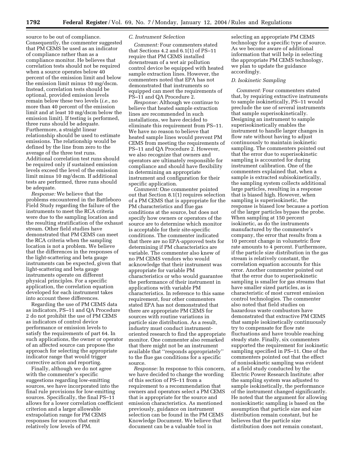source to be out of compliance. Consequently, the commenter suggested that PM CEMS be used as an indicator of compliance rather than as a compliance monitor. He believes that correlation tests should not be required when a source operates below 40 percent of the emission limit and below the emission limit minus 10 mg/dscm. Instead, correlation tests should be optional, provided emission levels remain below these two levels (*i.e.*, no more than 40 percent of the emission limit and at least 10 mg/dscm below the emission limit). If testing is performed, three runs should be adequate. Furthermore, a straight linear relationship should be used to estimate emissions. The relationship would be defined by the line from zero to the average of the three test runs. Additional correlation test runs should be required only if sustained emission levels exceed the level of the emission limit minus 10 mg/dscm. If additional tests are performed, three runs should be adequate.

*Response:* We believe that the problems encountered in the Battleboro Field Study regarding the failure of the instruments to meet the RCA criteria were due to the sampling location and the resulting stratification of the exhaust stream. Other field studies have demonstrated that PM CEMS can meet the RCA criteria when the sampling location is not a problem. We believe that the differences in the responses of the light-scattering and beta gauge instruments can be expected, given that light-scattering and beta gauge instruments operate on different physical principles. For a specific application, the correlation equation developed for each instrument takes into account these differences.

Regarding the use of PM CEMS data as indicators, PS–11 and QA Procedure 2 do not prohibit the use of PM CEMS as indicators of control device performance or emission levels to satisfy the requirements of part 64. In such applications, the owner or operator of an affected source can propose the approach for selecting the appropriate indicator range that would trigger corrective action and reporting.

Finally, although we do not agree with the commenter's specific suggestions regarding low-emitting sources, we have incorporated into the final rule provisions for low-emitting sources. Specifically, the final PS–11 allows for a lower correlation coefficient criterion and a larger allowable extrapolation range for PM CEMS responses for sources that emit relatively low levels of PM.

#### *C. Instrument Selection*

*Comment:* Four commenters stated that Sections 4.2 and 6.1(1) of PS–11 require that PM CEMS installed downstream of a wet air pollution control device be equipped with heated sample extraction lines. However, the commenters noted that EPA has not demonstrated that instruments so equipped can meet the requirements of PS–11 and QA Procedure 2.

*Response:* Although we continue to believe that heated sample extraction lines are recommended in such installations, we have decided to eliminate this requirement from PS–11. We have no reason to believe that heated sample lines would prevent PM CEMS from meeting the requirements of PS–11 and QA Procedure 2. However, we also recognize that owners and operators are ultimately responsible for compliance and should have flexibility in determining an appropriate instrument and configuration for their specific application.

*Comment:* One commenter pointed out that Section 8.1(1) requires selection of a PM CEMS that is appropriate for the PM characteristics and flue gas conditions at the source, but does not specify how owners or operators of the source are to determine which monitor is acceptable for their site-specific conditions. The commenter indicated that there are no EPA-approved tests for determining if PM characteristics are variable. The commenter also knew of no PM CEMS vendors who would acknowledge that their instrument was appropriate for variable PM characteristics or who would guarantee the performance of their instrument in applications with variable PM characteristics. In reference to this same requirement, four other commenters stated EPA has not demonstrated that there are appropriate PM CEMS for sources with routine variations in particle size distribution. As a result, industry must conduct instrumentoriented research to find the appropriate monitor. One commenter also remarked that there might not be an instrument available that ''responds appropriately'' to the flue gas conditions for a specific source.

*Response:* In response to this concern, we have decided to change the wording of this section of PS–11 from a requirement to a recommendation that owners and operators select a PM CEMS that is appropriate for the source and emission characteristics. As mentioned previously, guidance on instrument selection can be found in the PM CEMS Knowledge Document. We believe that document can be a valuable tool in

selecting an appropriate PM CEMS technology for a specific type of source. As we become aware of additional information that will help in selecting the appropriate PM CEMS technology, we plan to update the guidance accordingly.

#### *D. Isokinetic Sampling*

*Comment:* Four commenters stated that, by requiring extractive instruments to sample isokinetically, PS–11 would preclude the use of several instruments that sample superisokinetically. Designing an instrument to sample superisokinetically enables the instrument to handle larger changes in flow rate without having to adjust continuously to maintain isokinetic sampling. The commenters pointed out that the error due to superisokinetic sampling is accounted for during instrument calibration. One of the commenters explained that, when a sample is extracted subisokinetically, the sampling system collects additional large particles, resulting in a response that is biased high. However, when sampling is superisokinetic, the response is biased low because a portion of the larger particles bypass the probe. When sampling at 150 percent isokinetic, as do the instruments manufactured by the commenter's company, the error that results from a 10 percent change in volumetric flow rate amounts to 4 percent. Furthermore, if the particle size distribution in the gas stream is relatively constant, the correlation equation accounts for this error. Another commenter pointed out that the error due to superisokinetic sampling is smaller for gas streams that have smaller sized particles, as is characteristic of most current emission control technologies. The commenter also noted that field studies on hazardous waste combustors have demonstrated that extractive PM CEMS that sample isokinetically continuously try to compensate for flow rate fluctuations and have trouble reaching steady state. Finally, six commenters supported the requirement for isokinetic sampling specified in PS–11. One of the commenters pointed out that the effect of nonisokinetic sampling was evident at a field study conducted by the Electric Power Research Institute; after the sampling system was adjusted to sample isokinetically, the performance of the instrument changed significantly. He noted that the argument for allowing nonisokinetic sampling is based on the assumption that particle size and size distribution remain constant, but he believes that the particle size distribution does not remain constant,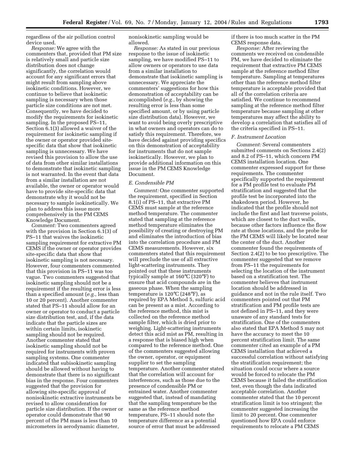regardless of the air pollution control device used.

*Response:* We agree with the commenters that, provided that PM size is relatively small and particle size distribution does not change significantly, the correlation would account for any significant errors that might result from sampling above isokinetic conditions. However, we continue to believe that isokinetic sampling is necessary when those particle size conditions are not met. Consequently, we have decided to modify the requirements for isokinetic sampling. In the proposed PS–11, Section 6.1(3) allowed a waiver of the requirement for isokinetic sampling if the owner or operator provided sitespecific data that show that isokinetic sampling is unnecessary. We have revised this provision to allow the use of data from other similar installations to demonstrate that isokinetic sampling is not warranted. In the event that data from a similar installation are not available, the owner or operator would have to provide site-specific data that demonstrate why it would not be necessary to sample isokinetically. We plan to address this issue more comprehensively in the PM CEMS Knowledge Document.

*Comment:* Two commenters agreed with the provision in Section 6.1(3) of PS–11 that waives the isokinetic sampling requirement for extractive PM CEMS if the owner or operator provides site-specific data that show that isokinetic sampling is not necessary. However, four commenters commented that this provision in PS–11 was too vague. Two commenters suggested that isokinetic sampling should not be a requirement if the resulting error is less than a specified amount (*e.g.*, less than 10 or 20 percent). Another commenter stated that PS–11 should allow for an owner or operator to conduct a particle size distribution test, and, if the data indicate that the particle sizes are within certain limits, isokinetic sampling should not be required. Another commenter stated that isokinetic sampling should not be required for instruments with proven sampling systems. One commenter indicated that subisokinetic sampling should be allowed without having to demonstrate that there is no significant bias in the response. Four commenters suggested that the provision for allowing site-specific approval of nonisokinetic extractive instruments be revised to allow consideration for particle size distribution. If the owner or operator could demonstrate that 90 percent of the PM mass is less than 10 micrometers in aerodynamic diameter,

nonisokinetic sampling would be allowed.

*Response:* As stated in our previous response to the issue of isokinetic sampling, we have modified PS–11 to allow owners or operators to use data from a similar installation to demonstrate that isokinetic sampling is unnecessary. We appreciate the commenters' suggestions for how this demonstration of acceptability can be accomplished (*e.g.*, by showing the resulting error is less than some specified amount, or by using particle size distribution data). However, we want to avoid being overly prescriptive in what owners and operators can do to satisfy this requirement. Therefore, we have decided against providing specifics on this demonstration of acceptability for instruments that do not sample isokinetically. However, we plan to provide additional information on this issue in the PM CEMS Knowledge Document.

#### *E. Condensible PM*

*Comment:* One commenter supported the requirement, specified in Section 8.1(i) of PS–11, that extractive PM CEMS must sample at the reference method temperature. The commenter stated that sampling at the reference method temperature eliminates the possibility of creating or destroying PM and eliminates the introduction of bias into the correlation procedure and PM CEMS measurements. However, six commenters stated that this requirement will preclude the use of all extractive light-scattering instruments. They pointed out that these instruments typically sample at 160°C (320°F) to ensure that acid compounds are in the gaseous phase. When the sampling temperature is 120°C (248°F), as required by EPA Method 5, sulfuric acid can be present as a mist. According to the reference method, this mist is collected on the reference method sample filter, which is dried prior to weighing. Light-scattering instruments detect this acid mist as PM, resulting in a response that is biased high when compared to the reference method. One of the commenters suggested allowing the owner, operator, or equipment supplier to set the sampling temperature. Another commenter stated that the correlation will account for interferences, such as those due to the presence of condensible PM or entrained water. Another commenter suggested that, instead of mandating that the sampling temperature be the same as the reference method temperature, PS–11 should note the temperature difference as a potential source of error that must be addressed

if there is too much scatter in the PM CEMS response data.

*Response:* After reviewing the comments we received on condensible PM, we have decided to eliminate the requirement that extractive PM CEMS sample at the reference method filter temperature. Sampling at temperatures other than the reference method filter temperature is acceptable provided that all of the correlation criteria are satisfied. We continue to recommend sampling at the reference method filter temperature because sampling at other temperatures may affect the ability to develop a correlation that satisfies all of the criteria specified in PS–11.

#### *F. Instrument Location*

*Comment:* Several commenters submitted comments on Sections 2.4(2) and 8.2 of PS–11, which concern PM CEMS installation location. One commenter expressed support for these requirements. The commenter specifically supported the requirement for a PM profile test to evaluate PM stratification and suggested that the profile test be incorporated into the shakedown period. However, he indicated that the profile should not include the first and last traverse points, which are closest to the duct walls, because other factors influence the flow rate at those locations, and the probe for the PM CEMS will likely be located near the center of the duct. Another commenter found the requirements of Section 2.4(2) to be too prescriptive. The commenter suggested that we remove from PS–11 the requirements for selecting the location of the instrument based on a stratification test. The commenter believes that instrument location should be addressed in guidance and not in the rule itself. Two commenters pointed out that PM stratification and PM profile tests are not defined in PS–11, and they were unaware of any standard tests for stratification. One of the commenters also stated that EPA Method 5 may not have the accuracy to meet the 10 percent stratification limit. The same commenter cited an example of a PM CEMS installation that achieved a successful correlation without satisfying the stratification requirement; the situation could occur where a source would be forced to relocate the PM CEMS because it failed the stratification test, even though the data indicated acceptable correlation. Another commenter stated that the 10 percent stratification limit is too stringent; the commenter suggested increasing the limit to 20 percent. One commenter questioned how EPA could enforce requirements to relocate a PM CEMS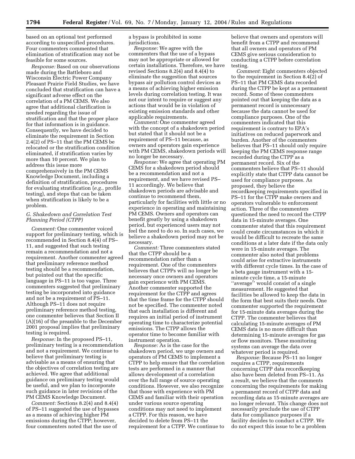based on an optional test performed according to unspecified procedures. Four commenters commented that elimination of stratification may not be feasible for some sources.

*Response:* Based on our observations made during the Battleboro and Wisconsin Electric Power Company Pleasant Prairie Field Studies, we have concluded that stratification can have a significant adverse effect on the correlation of a PM CEMS. We also agree that additional clarification is needed regarding the issue of stratification and that the proper place for that information is in guidance. Consequently, we have decided to eliminate the requirement in Section 2.4(2) of PS–11 that the PM CEMS be relocated or the stratification condition eliminated, if stratification varies by more than 10 percent. We plan to address this issue more comprehensively in the PM CEMS Knowledge Document, including a definition of stratification, procedures for evaluating stratification (*e.g.*, profile testing), and steps that can be taken when stratification is likely to be a problem.

#### *G. Shakedown and Correlation Test Planning Period (CTPP)*

*Comment:* One commenter voiced support for preliminary testing, which is recommended in Section 8.4(4) of PS– 11, and suggested that such testing remain a recommendation and not a requirement. Another commenter agreed that preliminary reference method testing should be a recommendation, but pointed out that the specific language in PS–11 is too vague. Three commenters suggested that preliminary testing be incorporated into guidance and not be a requirement of PS–11. Although PS–11 does not require preliminary reference method testing, one commenter believes that Section II (A)(16) of the preamble to the December 2001 proposal implies that preliminary testing is required.

*Response:* In the proposed PS–11, preliminary testing is a recommendation and not a requirement. We continue to believe that preliminary testing is advisable as a means of ensuring that the objectives of correlation testing are achieved. We agree that additional guidance on preliminary testing would be useful, and we plan to incorporate such guidance in later revisions of the PM CEMS Knowledge Document.

*Comment:* Sections 8.2(4) and 8.4(4) of PS–11 suggested the use of bypasses as a means of achieving higher PM emissions during the CTPP; however, four commenters noted that the use of

a bypass is prohibited in some jurisdictions.

*Response:* We agree with the commenters that the use of a bypass may not be appropriate or allowed for certain installations. Therefore, we have revised Sections 8.2(4) and 8.4(4) to eliminate the suggestion that sources bypass air pollution control devices as a means of achieving higher emission levels during correlation testing. It was not our intent to require or suggest any actions that would be in violation of existing emission standards and other applicable requirements.

*Comment:* One commenter agreed with the concept of a shakedown period but stated that it should not be a requirement of PS–11 because, as owners and operators gain experience with PM CEMS, shakedown periods will no longer be necessary.

*Response:* We agree that operating PM CEMS for a shakedown period should be a recommendation and not a requirement, and we have revised PS– 11 accordingly. We believe that shakedown periods are advisable and continue to recommend them, particularly for facilities with little or no experience in operating and maintaining PM CEMS. Owners and operators can benefit greatly by using a shakedown period, but experienced users may not feel the need to do so. In such cases, we believe a shakedown period may not be necessary.

*Comment:* Three commenters stated that the CTPP should be a recommendation rather than a requirement. One of the commenters believes that CTPPs will no longer be necessary once owners and operators gain experience with PM CEMS. Another commenter supported the requirement for the CTPP and agrees that the time frame for the CTPP should not be specified. The commenter noted that each installation is different and requires an initial period of instrument operating time to characterize potential emissions. The CTPP allows the operator time to become familiar with instrument operation.

*Response:* As is the case for the shakedown period, we urge owners and operators of PM CEMS to implement a CTPP to help ensure that the correlation tests are performed in a manner that allows development of a correlation over the full range of source operating conditions. However, we also recognize that those with experience with PM CEMS and familiar with their operation under various source operating conditions may not need to implement a CTPP. For this reason, we have decided to delete from PS–11 the requirement for a CTPP. We continue to

believe that owners and operators will benefit from a CTPP and recommend that all owners and operators of PM CEMS give serious consideration to conducting a CTPP before correlation testing.

*Comment:* Eight commenters objected to the requirement in Section 8.4(2) of PS–11 that PM CEMS data recorded during the CTPP be kept as a permanent record. Some of these commenters pointed out that keeping the data as a permanent record is unnecessary because the data cannot be used for compliance purposes. One of the commenters indicated that this requirement is contrary to EPA's initiatives on reduced paperwork and burden. Another of the commenters believes that PS–11 should only require keeping the PM CEMS response range recorded during the CTPP as a permanent record. Six of the commenters believe that PS–11 should explicitly state that CTPP data cannot be used for compliance purposes. As proposed, they believe the recordkeeping requirements specified in PS–11 for the CTPP make owners and operators vulnerable to enforcement action. Three of the commenters questioned the need to record the CTPP data in 15-minute averages. One commenter stated that this requirement could create circumstances in which it would be difficult to recreate the same conditions at a later date if the data only were in 15-minute averages. The commenter also noted that problems could arise for extractive instruments with different cycle times. In the case of a beta gauge instrument with a 15 minute cycle time, a 15-minute "average" would consist of a single measurement. He suggested that facilities be allowed to keep the data in the form that best suits their needs. One commenter supported the requirement for 15-minute data averages during the CTPP. The commenter believes that calculating 15-minute averages of PM CEMS data is no more difficult than determining 15-minute averages for gas or flow monitors. These monitoring systems can average the data over whatever period is required.

*Response:* Because PS–11 no longer requires a CTPP, requirements concerning CTPP data recordkeeping also have been deleted from PS–11. As a result, we believe that the comments concerning the requirements for making a permanent record of CTPP data and recording data as 15-minute averages are no longer relevant. This change does not necessarily preclude the use of CTPP data for compliance purposes if a facility decides to conduct a CTPP. We do not expect this issue to be a problem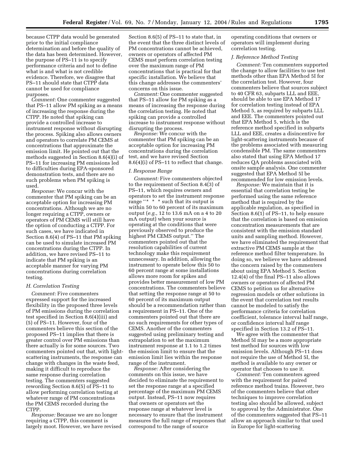because CTPP data would be generated prior to the initial compliance determination and before the quality of the data has been determined. However, the purpose of PS–11 is to specify performance criteria and not to define what is and what is not credible evidence. Therefore, we disagree that PS–11 should state that CTPP data cannot be used for compliance purposes.

*Comment:* One commenter suggested that PS–11 allow PM spiking as a means of increasing the response during the CTPP. He noted that spiking can provide a controlled increase to instrument response without disrupting the process. Spiking also allows owners and operators to correlate PM CEMS at concentrations that approximate the emission limit. He pointed out that the methods suggested in Section 8.6(4)(i) of PS–11 for increasing PM emissions led to difficulties during EPA-sponsored demonstration tests, and there are no such problems when PM spiking is used.

*Response:* We concur with the commenter that PM spiking can be an acceptable option for increasing PM concentrations. Although we are no longer requiring a CTPP, owners or operators of PM CEMS will still have the option of conducting a CTPP. For such cases, we have indicated in Section 8.6(4) of PS–11 that PM spiking can be used to simulate increased PM concentrations during the CTPP. In addition, we have revised PS–11 to indicate that PM spiking is an acceptable manner for varying PM concentrations during correlation testing.

#### *H. Correlation Testing*

*Comment:* Five commenters expressed support for the increased flexibility in the proposed three levels of PM emissions during the correlation test specified in Section 8.6(4)(iii) and (5) of PS–11. However, four of the commenters believe this section of the proposed PS–11 implies that there is greater control over PM emissions than there actually is for some sources. Two commenters pointed out that, with lightscattering instruments, the response can change with changes in the waste feed, making it difficult to reproduce the same response during correlation testing. The commenters suggested rewording Section 8.6(5) of PS–11 to allow performing correlation testing at whatever range of PM concentrations the PM CEMS recorded during the CTPP.

*Response:* Because we are no longer requiring a CTPP, this comment is largely moot. However, we have revised

Section 8.6(5) of PS–11 to state that, in the event that the three distinct levels of PM concentrations cannot be achieved, owners or operators of affected PM CEMS must perform correlation testing over the maximum range of PM concentrations that is practical for that specific installation. We believe that this change addresses the commenters' concerns on this issue.

*Comment:* One commenter suggested that PS–11 allow for PM spiking as a means of increasing the response during the correlation testing. He noted that spiking can provide a controlled increase to instrument response without disrupting the process.

*Response:* We concur with the commenter that PM spiking can be an acceptable option for increasing PM concentrations during the correlation test, and we have revised Section 8.6(4)(i) of PS–11 to reflect that change.

#### *I. Response Range*

*Comment:* Five commenters objected to the requirement of Section 8.4(3) of PS–11, which requires owners and operators to set the instrument response range "\* \* \* such that its output is within 50 to 60 percent of its maximum output (*e.g.*, 12 to 13.6 mA on a 4 to 20 mA output) when your source is operating at the conditions that were previously observed to produce the highest PM CEMS output.'' The commenters pointed out that the resolution capabilities of current technology make this requirement unnecessary. In addition, allowing the instrument to operate below this 50 to 60 percent range at some installations allows more room for spikes and provides better measurement of low PM concentrations. The commenters believe that setting the response range at 50 to 60 percent of its maximum output should be a recommendation rather than a requirement in PS–11. One of the commenters pointed out that there are no such requirements for other types of CEMS. Another of the commenters suggested using preliminary testing and extrapolation to set the maximum instrument response at 1.1 to 1.2 times the emission limit to ensure that the emission limit lies within the response range of the instrument.

*Response:* After considering the comments on this issue, we have decided to eliminate the requirement to set the response range at a specified percentage of the maximum PM CEMS output. Instead, PS–11 now requires that owners or operators set the response range at whatever level is necessary to ensure that the instrument measures the full range of responses that correspond to the range of source

operating conditions that owners or operators will implement during correlation testing.

#### *J. Reference Method Testing*

*Comment:* Ten commenters supported the change to allow facilities to use test methods other than EPA Method 5I for the correlation test. However, four commenters believe that sources subject to 40 CFR 63, subparts LLL and EEE, should be able to use EPA Method 17 for correlation testing instead of EPA Method 5, as required by subparts LLL and EEE. The commenters pointed out that EPA Method 5, which is the reference method specified in subparts LLL and EEE, creates a disincentive for light-scattering instruments because of the problems associated with measuring condensible PM. The same commenters also stated that using EPA Method 17 reduces QA problems associated with onsite sample analysis. One commenter suggested that EPA Method 5I be recommended for low emission levels.

*Response:* We maintain that it is essential that correlation testing be performed using the same reference method that is required by the applicable regulation, as specified in Section 8.6(1) of PS–11, to help ensure that the correlation is based on emission concentration measurements that are consistent with the emission standard units and sampling method. However, we have eliminated the requirement that extractive PM CEMS sample at the reference method filter temperature. In doing so, we believe we have addressed the concern raised by the commenters about using EPA Method 5. Section 12.4(4) of the final PS–11 also allows owners or operators of affected PM CEMS to petition us for alternative regression models or other solutions in the event that correlation test results cannot be modeled to satisfy the performance criteria for correlation coefficient, tolerance interval half range, or confidence interval half range specified in Section 13.2 of PS–11.

We agree with the commenter that Method 5I may be a more appropriate test method for sources with low emission levels. Although PS–11 does not require the use of Method 5I, the method is available to any owner or operator that chooses to use it.

*Comment:* Ten commenters agreed with the requirement for paired reference method trains. However, two of the commenters believe that other techniques to improve correlation testing also should be allowed, subject to approval by the Administrator. One of the commenters suggested that PS–11 allow an approach similar to that used in Europe for light-scattering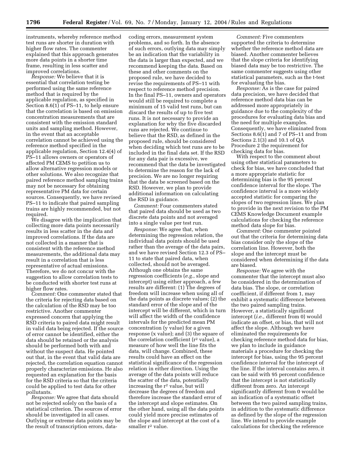instruments, whereby reference method test runs are shorter in duration with higher flow rates. The commenter explained that this approach generates more data points in a shorter time frame, resulting in less scatter and improved correlations.

*Response:* We believe that it is essential that correlation testing be performed using the same reference method that is required by the applicable regulation, as specified in Section 8.6(1) of PS–11, to help ensure that the correlation is based on emission concentration measurements that are consistent with the emission standard units and sampling method. However, in the event that an acceptable correlation cannot be achieved using the reference method specified in the applicable regulation, Section 12.4(4) of PS–11 allows owners or operators of affected PM CEMS to petition us to allow alternative regression models or other solutions. We also recognize that paired reference method sampling trains may not be necessary for obtaining representative PM data for certain sources. Consequently, we have revised PS–11 to indicate that paired sampling trains are highly recommended, but not required.

We disagree with the implication that collecting more data points necessarily results in less scatter in the data and improved correlations. If the data are not collected in a manner that is consistent with the reference method measurements, the additional data may result in a correlation that is less representative of actual emissions. Therefore, we do not concur with the suggestion to allow correlation tests to be conducted with shorter test runs at higher flow rates.

*Comment:* One commenter stated that the criteria for rejecting data based on the calculation of the RSD may be too restrictive. Another commenter expressed concern that applying the RSD criteria to paired data might result in valid data being rejected. If the source of error cannot be identified, either the data should be retained or the analysis should be performed both with and without the suspect data. He pointed out that, in the event that valid data are rejected, the correlation equation cannot properly characterize emissions. He also requested an explanation for the basis for the RSD criteria so that the criteria could be applied to test data for other pollutants.

*Response:* We agree that data should not be rejected solely on the basis of a statistical criterion. The sources of error should be investigated in all cases. Outlying or extreme data points may be the result of transcription errors, datacoding errors, measurement system problems, and so forth. In the absence of such errors, outlying data may simply be an indication that the variability in the data is larger than expected, and we recommend keeping the data. Based on these and other comments on the proposed rule, we have decided to revise the requirements of PS–11 with respect to reference method precision. In the final PS–11, owners and operators would still be required to complete a minimum of 15 valid test runs, but can discard the results of up to five test runs. It is not necessary to provide an explanation for why the five discarded runs are rejected. We continue to believe that the RSD, as defined in the proposed rule, should be considered when deciding which test runs are to be included in the final data set. If the RSD for any data pair is excessive, we recommend that the data be investigated to determine the reason for the lack of precision. We are no longer requiring that the data be screened based on the RSD. However, we plan to provide additional information on calculating the RSD in guidance.

*Comment:* Four commenters stated that paired data should be used as two discrete data points and not averaged into a single value per test run.

*Response:* We agree that, when determining the regression relation, the individual data points should be used rather than the average of the data pairs, and we have revised Section 12.3 of PS– 11 to state that paired data, when collected, should not be averaged. Although one obtains the same regression coefficients (*e.g.*, slope and intercept) using either approach, a few results are different: (1) The degrees of freedom will increase when using all of the data points as discrete values; (2) the standard error of the slope and of the intercept will be different, which in turn will affect the width of the confidence intervals for the predicted mean PM concentration (y value) for a given response (x value); and (3) the square of the correlation coefficient  $(r^2 \text{ value})$ , a measure of how well the line fits the data, will change. Combined, these results could have an effect on the statistical significance of the regression relation in either direction. Using the average of the data points will reduce the scatter of the data, potentially increasing the r2 value, but will decrease the degrees of freedom and therefore increase the standard error of the intercept and slope estimates. On the other hand, using all the data points could yield more precise estimates of the slope and intercept at the cost of a smaller r<sup>2</sup> value.

*Comment:* Five commenters supported the criteria to determine whether the reference method data are biased. Another commenter believes that the slope criteria for identifying biased data may be too restrictive. The same commenter suggests using other statistical parameters, such as the t-test for evaluating the bias.

*Response:* As is the case for paired data precision, we have decided that reference method data bias can be addressed more appropriately in guidance due to the complexity of the procedures for evaluating data bias and the need for multiple examples. Consequently, we have eliminated from Sections 8.6(1) and 7 of PS–11 and from Sections 2.1(3) and 10.1 of QA Procedure 2 the requirement for checking data for bias.

With respect to the comment about using other statistical parameters to check for bias, we have concluded that a more appropriate statistic for determining bias is the 95 percent confidence interval for the slope. The confidence interval is a more widely accepted statistic for comparing the slopes of two regression lines. We plan to provide in the next revision to the PM CEMS Knowledge Document example calculations for checking the reference method data slope for bias.

*Comment:* One commenter pointed out that the criteria for determining data bias consider only the slope of the correlation line. However, both the slope and the intercept must be considered when determining if the data are biased.

*Response:* We agree with the commenter that the intercept must also be considered in the determination of data bias. The slope, or correlation coefficient, if different from 1, may exhibit a systematic difference between the two paired sampling trains. However, a statistically significant intercept (*i.e.*, different from 0) would indicate an offset, or bias, that will not affect the slope. Although we have eliminated the requirements for checking reference method data for bias, we plan to include in guidance materials a procedure for checking the intercept for bias, using the 95 percent confidence interval for the intercept of the line. If the interval contains zero, it can be said with 95 percent confidence that the intercept is not statistically different from zero. An intercept significantly different from 0 would be an indication of a systematic offset between the two paired sampling trains, in addition to the systematic difference as defined by the slope of the regression line. We intend to provide example calculations for checking the reference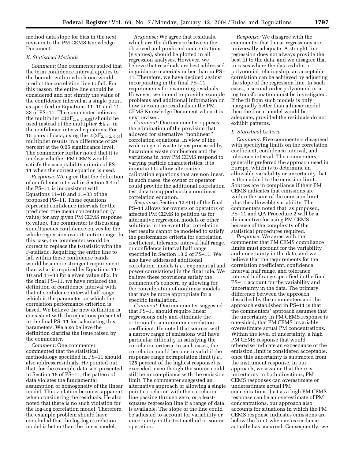method data slope for bias in the next revision to the PM CEMS Knowledge Document.

#### *K. Statistical Methods*

*Comment:* One commenter stated that the term confidence interval applies to the bounds within which one would predict the correlation line to fall. For this reason, the entire line should be considered and not simply the value of the confidence interval at a single point, as specified in Equations 11–10 and 11– 33 of PS–11. The commenter believes the multiplier  $\pm (2F_{2, n-2, 0.05})$  should be used instead of the multiplier  $\pm t_{0.05}$  in the confidence interval equations. For 15 pairs of data, using the  $\pm$  (2F<sub>2, n-2, 0.05</sub>) multiplier results in a difference of 29 percent at the 0.05 significance level. The commenter further noted that it is unclear whether PM CEMS would satisfy the acceptability criteria of PS– 11 when the correct equation is used.

*Response:* We agree that the definition of confidence interval in Section 3.4 of the PS–11 is inconsistent with Equations 11–10 and 11–33 of the proposed PS–11. These equations represent confidence intervals for the predicted true mean concentration (y value) for any given PM CEMS response (x value). The commenter is discussing simultaneous confidence curves for the whole regression over its entire range. In this case, the commenter would be correct to replace the t-statistic with the F-statistic. Requiring the entire line to fall within these confidence bands would be a more stringent requirement than what is required by Equations 11– 10 and 11–33 for a given value of x. In the final PS–11, we have replaced the definition of confidence interval with that of confidence interval half range, which is the parameter on which the correlation performance criterion is based. We believe the new definition is consistent with the equations presented in the final PS–11 for calculating this parameters. We also believe the definition clarifies the issue raised by the commenter.

*Comment:* One commenter commented that the statistical methodology specified in PS–11 should also address residuals. He pointed out that, for the example data sets presented in Section 18 of PS–11, the pattern of data violates the fundamental assumption of homogeneity of the linear model. This violation becomes apparent when considering the residuals. He also noted that there is no such violation for the log-log correlation model. Therefore, the example problem should have concluded that the log-log correlation model is better than the linear model.

*Response:* We agree that residuals, which are the difference between the observed and predicted concentrations (y values), should be plotted in all regression analyses. However, we believe that residuals are best addressed in guidance materials rather than in PS– 11. Therefore, we have decided against incorporating in the final PS–11 requirements for examining residuals. However, we intend to provide example problems and additional information on how to examine residuals in the PM CEMS Knowledge Document when it is next revised.

*Comment:* One commenter opposes the elimination of the provision that allowed for alternative ''nonlinear'' correlation equations. In view of the wide range of waste types processed by hazardous waste combustors and the variations in how PM CEMS respond to varying particle characteristics, it is important to allow alternative calibration equations that are nonlinear. In such cases, the owner or operator could provide the additional correlation test data to support such a nonlinear correlation equation.

*Response:* Section 12.4(4) of the final PS–11 allows for owners or operators of affected PM CEMS to petition us for alternative regression models or other solutions in the event that correlation test results cannot be modeled to satisfy the performance criteria for correlation coefficient, tolerance interval half range, or confidence interval half range specified in Section 13.2 of PS–11. We also have addressed additional correlation models (*i.e.*, exponential and power correlations) in the final rule. We believe these provisions satisfy the commenter's concern by allowing for the consideration of nonlinear models that may be more appropriate for a specific installation.

*Comment:* One commenter suggested that PS–11 should require linear regressions only and eliminate the criterion for a minimum correlation coefficient. He noted that sources with a narrow range of emissions will have particular difficulty in satisfying the correlation criteria. In such cases, the correlation could become invalid if the response range extrapolation limit (*i.e.*, 125 percent of the highest response) is exceeded, even though the source could still be in compliance with the emission limit. The commenter suggested an alternative approach of allowing a single point correlation with the correlation line passing through zero, or a leastsquares regression line if a range of data is available. The slope of the line could be adjusted to account for variability or uncertainty in the test method or source operation.

*Response:* We disagree with the commenter that linear regressions are universally adequate. A straight-line regression does not always provide the best fit to the data, and we disagree that, in cases where the data exhibit a polynomial relationship, an acceptable correlation can be achieved by adjusting the slope of the regression line. In such cases, a second-order polynomial or a log transformation must be investigated. If the fit from such models is only marginally better than a linear model, then the linear model would be adequate, provided the residuals do not exhibit patterns.

#### *L. Statistical Criteria*

*Comment:* Five commenters disagreed with specifying limits on the correlation coefficient, confidence interval, and tolerance interval. The commenters generally preferred the approach used in Europe, which is to determine an allowable variability or uncertainty that is then added to the emission limit. Sources are in compliance if their PM CEMS indicates that emissions are within the sum of the emission limit plus the allowable variability. The commenters noted that, as proposed, PS–11 and QA Procedure 2 will be a disincentive for using PM CEMS because of the complexity of the statistical procedures required.

*Response:* We agree with the commenter that PM CEMS compliance limits must account for the variability and uncertainty in the data, and we believe that the requirements for the correlation coefficient, confidence interval half range, and tolerance interval half range specified in the final PS–11 account for the variability and uncertainty in the data. The primary difference between the approach described by the commenters and the approach established in PS–11 is that the commenters' approach assumes that the uncertainty in PM CEMS response is one-sided, that PM CEMS invariably overestimate actual PM concentrations. Within the level of uncertainty, a high PM CEMS response that would otherwise indicate an exceedance of the emission limit is considered acceptable, once this uncertainty is subtracted from the instrument response. In our approach, we assume that there is uncertainty in both directions; PM CEMS responses can overestimate or underestimate actual PM concentrations. Just as a high PM CEMS response can be an overestimate of PM concentrations, our approach also accounts for situations in which the PM CEMS response indicates emissions are below the limit when an exceedance actually has occurred. Consequently, we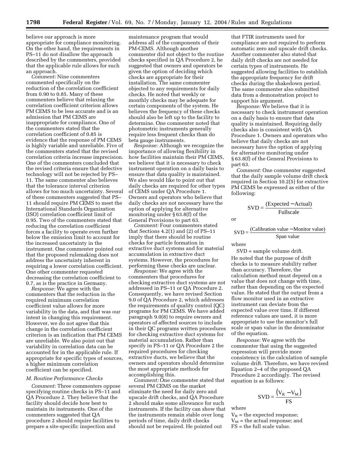believe our approach is more appropriate for compliance monitoring. On the other hand, the requirements in PS–11 do not disallow the approach described by the commenters, provided that the applicable rule allows for such an approach.

*Comment:* Nine commenters commented specifically on the reduction of the correlation coefficient from 0.90 to 0.85. Many of these commenters believe that relaxing the correlation coefficient criterion allows PM CEMS to be less accurate and is an admission that PM CEMS are inappropriate for compliance. One of the commenters stated that the correlation coefficient of 0.85 is evidence that the response of PM CEMS is highly variable and unreliable. Five of the commenters stated that the revised correlation criteria increase imprecision. One of the commenters concluded that the revised criteria ensure that defective technology will not be rejected by PS– 11. The same commenter also believes that the tolerance interval criterion allows for too much uncertainty. Several of these commenters suggested that PS– 11 should require PM CEMS to meet the International Standards Organization (ISO) correlation coefficient limit of 0.95. Two of the commenters stated that reducing the correlation coefficient forces a facility to operate even further below the emission limit to account for the increased uncertainty in the instrument. One commenter pointed out that the proposed rulemaking does not address the uncertainty inherent in requiring a lower correlation coefficient. One other commenter requested decreasing the correlation coefficient to 0.7, as is the practice in Germany.

*Response:* We agree with the commenters that the reduction in the required minimum correlation coefficient value allows for more variability in the data, and that was our intent in changing this requirement. However, we do not agree that this change in the correlation coefficient criterion is an indication that PM CEMS are unreliable. We also point out that variability in correlation data can be accounted for in the applicable rule. If appropriate for specific types of sources, a higher minimum correlation coefficient can be specified.

#### *M. Routine Performance Checks*

*Comment:* Three commenters oppose specifying routine checks in PS–11 and QA Procedure 2. They believe that the facility should decide how best to maintain its instruments. One of the commenters suggested that QA procedure 2 should require facilities to prepare a site-specific inspection and

maintenance program that would address all of the components of their PM-CEMS. Although another commenter did not object to the routine checks specified in QA Procedure 2, he suggested that owners and operators be given the option of deciding which checks are appropriate for their installation. The same commenter objected to any requirements for daily checks. He noted that weekly or monthly checks may be adequate for certain components of the system. He believes the frequency of these checks should also be left up to the facility to determine. One commenter noted that photometric instruments generally require less frequent checks than do beta gauge instruments.

*Response:* Although we recognize the importance of allowing flexibility in how facilities maintain their PM CEMS, we believe that it is necessary to check instrument operation on a daily basis to ensure that data quality is maintained. We also would like to point out that daily checks are required for other types of CEMS under QA Procedure 1. Owners and operators who believe that daily checks are not necessary have the option of applying for alternative monitoring under § 63.8(f) of the General Provisions to part 63.

*Comment:* Four commenters stated that Sections  $4.2(1)$  and  $(2)$  of PS-11 imply that there should be routine checks for particle formation in extractive duct systems and for material accumulation in extractive duct systems. However, the procedures for performing these checks are unclear.

*Response:* We agree with the commenters that procedures for checking extractive duct systems are not addressed in PS–11 or QA Procedure 2. Consequently, we have revised Section 9.0 of QA Procedure 2, which addresses the requirements of quality control (QC) programs for PM CEMS. We have added paragraph 9.0(8) to require owners and operators of affected sources to include in their QC programs written procedures for checking extractive duct systems for material accumulation. Rather than specify in PS–11 or QA Procedure 2 the required procedures for checking extractive ducts, we believe that the owners and operators should determine the most appropriate methods for accomplishing this.

*Comment:* One commenter stated that several PM CEMS on the market eliminate the need for daily zero and upscale drift checks, and QA Procedure 2 should make some allowance for such instruments. If the facility can show that the instruments remain stable over long periods of time, daily drift checks should not be required. He pointed out

that FTIR instruments used for compliance are not required to perform automatic zero and upscale drift checks. Another commenter also stated that daily drift checks are not needed for certain types of instruments. He suggested allowing facilities to establish the appropriate frequency for drift checks during the shakedown period. The same commenter also submitted data from a demonstration project to support his argument.

*Response:* We believe that it is necessary to check instrument operation on a daily basis to ensure that data quality is maintained. Requiring daily checks also is consistent with QA Procedure 1. Owners and operators who believe that daily checks are not necessary have the option of applying for alternative monitoring under § 63.8(f) of the General Provisions to part 63.

*Comment:* One commenter suggested that the daily sample volume drift check required in Section 10.2(5) for extractive PM CEMS be expressed as either of the following:

$$
SVD = \frac{(Expected - Actual)}{Fullscale}
$$

or

$$
SVD = \frac{(Calibration value - Monitor value)}{Span value}
$$

where

SVD = sample volume drift. He noted that the purpose of drift checks is to measure stability rather than accuracy. Therefore, the calculation method must depend on a value that does not change with time, rather than depending on the expected value. He stated that the output from a flow monitor used in an extractive instrument can deviate from the expected value over time. If different reference values are used, it is more appropriate to use the monitor's full scale or span value in the denominator of the equation.

*Response:* We agree with the commenter that using the suggested expression will provide more consistency in the calculation of sample volume drift. Therefore, we have revised Equation 2–4 of the proposed QA Procedure 2 accordingly. The revised equation is as follows:

$$
SVD = \frac{(V_R - V_M)}{FS}
$$

where

 $V_R$  = the expected response;  $V_M$  = the actual response; and FS = the full scale value.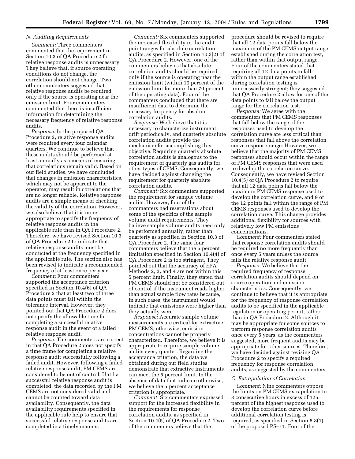#### *N. Auditing Requirements*

*Comment:* Three commenters commented that the requirement in Section 10.3 of QA Procedure 2 for relative response audits is unnecessary. They believe that, if source operating conditions do not change, the correlation should not change. Two other commenters suggested that relative response audits be required only if the source is operating near the emission limit. Four commenters commented that there is insufficient information for determining the necessary frequency of relative response audits.

*Response:* In the proposed QA Procedure 2, relative response audits were required every four calendar quarters. We continue to believe that these audits should be performed at least annually as a means of ensuring that correlations remain valid. Based on our field studies, we have concluded that changes in emission characteristics, which may not be apparent to the operator, may result in correlations that are no longer reliable. Relative response audits are a simple means of checking the validity of the correlation. However, we also believe that it is more appropriate to specify the frequency of relative response audits in the applicable rule than in QA Procedure 2. Therefore, we have revised Section 10.3 of QA Procedure 2 to indicate that relative response audits must be conducted at the frequency specified in the applicable rule. The section also has been revised to indicate a recommended frequency of at least once per year.

*Comment:* Four commenters supported the acceptance criterion specified in Section 10.4(6) of QA Procedure 2 that at least two of three data points must fall within the tolerance interval. However, they pointed out that QA Procedure 2 does not specify the allowable time for completing a successful relative response audit in the event of a failed relative response audit.

*Response:* The commenters are correct in that QA Procedure 2 does not specify a time frame for completing a relative response audit successfully following a failed audit. However, following a failed relative response audit, PM CEMS are considered to be out of control. Until a successful relative response audit is completed, the data recorded by the PM CEMS are not considered valid and cannot be counted toward data availability. Consequently, the data availability requirements specified in the applicable rule help to ensure that successful relative response audits are completed in a timely manner.

*Comment:* Six commenters supported the increased flexibility in the audit point ranges for absolute correlation audits, as specified in Section 10.3(2) of QA Procedure 2. However, one of the commenters believes that absolute correlation audits should be required only if the source is operating near the emission limit (within 10 percent of the emission limit for more than 70 percent of the operating data). Four of the commenters concluded that there are insufficient data to determine the necessary frequency for absolute correlation audits.

*Response:* We believe that it is necessary to characterize instrument drift periodically, and quarterly absolute correlation audits provide the mechanism for accomplishing this objective. Requiring quarterly absolute correlation audits is analogous to the requirement of quarterly gas audits for other types of CEMS. Consequently, we have decided against changing the requirement for quarterly absolute correlation audits.

*Comment:* Six commenters supported the requirement for sample volume audits. However, four of the commenters had reservations about some of the specifics of the sample volume audit requirements. They believe sample volume audits need only be performed annually, rather than quarterly as specified in Section 10.3 of QA Procedure 2. The same four commenters believe that the 5 percent limitation specified in Section 10.4(4) of QA Procedure 2 is too stringent. They pointed out that the accuracy of EPA Methods 2, 3, and 4 are not within this 5 percent limit. Finally, they stated that PM CEMS should not be considered out of control if the instrument reads higher than actual sample flow rates because, in such cases, the instrument would indicate that emissions were higher than they actually were.

*Response:* Accurate sample volume measurements are critical for extractive PM CEMS; otherwise, emission concentrations cannot be properly characterized. Therefore, we believe it is appropriate to require sample volume audits every quarter. Regarding the acceptance criterion, the data we obtained during our field studies demonstrate that extractive instruments can meet the 5 percent limit. In the absence of data that indicate otherwise, we believe the 5 percent acceptance criterion is appropriate.

*Comment:* Six commenters expressed support for the increased flexibility in the requirements for response correlation audits, as specified in Section 10.4(5) of QA Procedure 2. Two of the commenters believe that the

procedure should be revised to require that all 12 data points fall below the maximum of the PM CEMS output range established during the correlation test, rather than within that output range. Four of the commenters stated that requiring all 12 data points to fall within the output range established during correlation testing is unnecessarily stringent; they suggested that QA Procedure 2 allow for one of the data points to fall below the output range for the correlation test.

*Response:* We agree with the commenters that PM CEMS responses that fall below the range of the responses used to develop the correlation curve are less critical than responses that fall above the correlation curve response range. However, we believe that the majority of PM CEMS responses should occur within the range of PM CEMS responses that were used to develop the correlation curve. Consequently, we have revised Section 10.4(5) of QA Procedure 2 to require that all 12 data points fall below the maximum PM CEMS response used to develop the correlation curve, and 9 of the 12 points fall within the range of PM CEMS responses used to develop the correlation curve. This change provides additional flexibility for sources with relatively low PM emissions concentrations.

*Comment:* Four commenters stated that response correlation audits should be required no more frequently than once every 5 years unless the source fails the relative response audit.

*Response:* We believe that the required frequency of response correlation audits should depend on source operation and emission characteristics. Consequently, we continue to believe that it is appropriate for the frequency of response correlation audits to be specified in the applicable regulation or operating permit, rather than in QA Procedure 2. Although it may be appropriate for some sources to perform response correlation audits once every 5 years, as the commenters suggested, more frequent audits may be appropriate for other sources. Therefore, we have decided against revising QA Procedure 2 to specify a required frequency for response correlation audits, as suggested by the commenters.

#### *O. Extrapolation of Correlation*

*Comment:* Nine commenters oppose the limits on PM CEMS extrapolation to 3 consecutive hours in excess of 125 percent of the highest response used to develop the correlation curve before additional correlation testing is required, as specified in Section 8.8(1) of the proposed PS–11. Four of the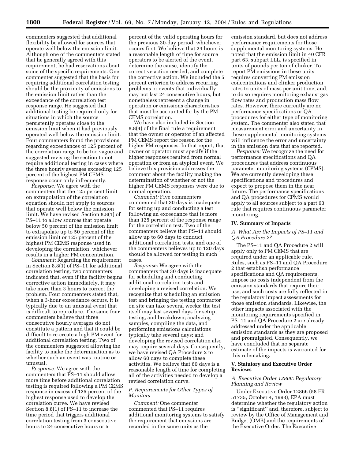commenters suggested that additional flexibility be allowed for sources that operate well below the emission limit. Although one of the commenters stated that he generally agreed with this requirement, he had reservations about some of the specific requirements. One commenter suggested that the basis for requiring additional correlation testing should be the proximity of emissions to the emission limit rather than the exceedance of the correlation test response range. He suggested that additional testing be required only for situations in which the source persistently operates close to the emission limit when it had previously operated well below the emission limit. Four commenters found the provisions regarding exceedances of 125 percent of the correlation range to be too vague and suggested revising the section to not require additional testing in cases where the three hourly averages exceeding 125 percent of the highest PM CEMS response occur only infrequently.

*Response:* We agree with the commenters that the 125 percent limit on extrapolation of the correlation equation should not apply to sources that operate well below the emission limit. We have revised Section 8.8(1) of PS–11 to allow sources that operate below 50 percent of the emission limit to extrapolate up to 50 percent of the emission limit or 125 percent of the highest PM CEMS response used in developing the correlation, whichever results in a higher PM concentration.

*Comment:* Regarding the requirement in Section 8.8(1) of PS–11 for additional correlation testing, two commenters indicated that, even if the facility begins corrective action immediately, it may take more than 3 hours to correct the problem. Four commenters stated that, when a 3-hour exceedance occurs, it is typically due to an unusual event that is difficult to reproduce. The same four commenters believe that three consecutive hourly averages do not constitute a pattern and that it could be difficult to re-create a high PM event for additional correlation testing. Two of the commenters suggested allowing the facility to make the determination as to whether such an event was routine or unusual.

*Response:* We agree with the commenters that PS–11 should allow more time before additional correlation testing is required following a PM CEMS response in excess of 125 percent of the highest response used to develop the correlation curve. We have revised Section 8.8(1) of PS–11 to increase the time period that triggers additional correlation testing from 3 consecutive hours to 24 consecutive hours or 5

percent of the valid operating hours for the previous 30-day period, whichever occurs first. We believe that 24 hours is a reasonable length of time for source operators to be alerted of the event, determine the cause, identify the corrective action needed, and complete the corrective action. We included the 5 percent criterion to address recurring problems or events that individually may not last 24 consecutive hours, but nonetheless represent a change in operation or emissions characteristics that must be accounted for by the PM CEMS correlation.

We have also included in Section 8.8(4) of the final rule a requirement that the owner or operator of an affected PM CEMS report the reason for the higher PM responses. In that report, that owner or operator must specify if the higher responses resulted from normal operation or from an atypical event. We believe this provision addresses the comment about the facility making the determination of whether or not the higher PM CEMS responses were due to normal operation.

*Comment:* Five commenters commented that 30 days is inadequate for setting up and conducting a test following an exceedance that is more than 125 percent of the response range for the correlation test. Two of the commenters believe that PS–11 should allow up to 60 days to conduct additional correlation tests, and one of the commenters believes up to 120 days should be allowed for testing in such cases.

*Response:* We agree with the commenters that 30 days is inadequate for scheduling and conducting additional correlation tests and developing a revised correlation. We recognize that scheduling an emission test and bringing the testing contractor on site can take several weeks; the test itself may last several days for setup, testing, and breakdown; analyzing samples, compiling the data, and performing emissions calculations typically take several days; and developing the revised correlation also may require several days. Consequently, we have revised QA Procedure 2 to allow 60 days to complete these activities. We believe that 60 days is a reasonable length of time for completing all of the activities needed to develop a revised correlation curve.

#### *P. Requirements for Other Types of Monitors*

*Comment:* One commenter commented that PS–11 requires additional monitoring systems to satisfy the requirement that emissions are recorded in the same units as the

emission standard, but does not address performance requirements for those supplemental monitoring systems. He noted that the emission limit in 40 CFR part 63, subpart LLL, is specified in units of pounds per ton of clinker. To report PM emissions in these units requires converting PM emission concentrations and clinker production rates to units of mass per unit time, and, to do so requires monitoring exhaust gas flow rates and production mass flow rates. However, there currently are no performance specifications or QA procedures for either type of monitoring system. The commenter also stated that measurement error and uncertainty in these supplemental monitoring systems will influence the error and uncertainty in the emission data that are reported.

*Response:* We recognize the need for performance specifications and QA procedures that address continuous parameter monitoring systems (CPMS). We are currently developing these specifications and procedures and expect to propose them in the near future. The performance specifications and QA procedures for CPMS would apply to all sources subject to a part 63 rule that requires continuous parameter monitoring.

#### **IV. Summary of Impacts**

*A. What Are the Impacts of PS–11 and QA Procedure 2?* 

The PS–11 and QA Procedure 2 will apply only to PM CEMS that are required under an applicable rule. Rules, such as PS–11 and QA Procedure 2 that establish performance specifications and QA requirements, impose no costs independent from the emission standards that require their use, and such costs are fully reflected in the regulatory impact assessments for those emission standards. Likewise, the other impacts associated with the monitoring requirements specified in PS–11 and QA Procedure 2 are already addressed under the applicable emission standards as they are proposed and promulgated. Consequently, we have concluded that no separate estimate of the impacts is warranted for this rulemaking.

#### **V. Statutory and Executive Order Reviews**

#### *A. Executive Order 12866: Regulatory Planning and Review*

Under Executive Order 12866 (58 FR 51735, October 4, 1993), EPA must determine whether the regulatory action is ''significant'' and, therefore, subject to review by the Office of Management and Budget (OMB) and the requirements of the Executive Order. The Executive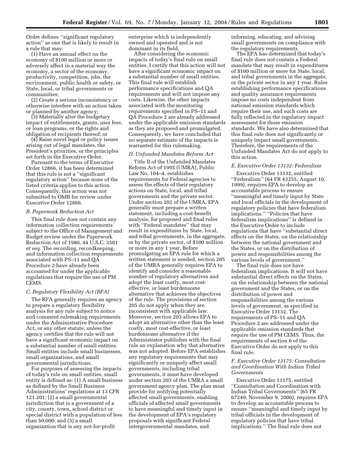Order defines ''significant regulatory action'' as one that is likely to result in a rule that may:

(1) Have an annual effect on the economy of \$100 million or more or adversely affect in a material way the economy, a sector of the economy, productivity, competition, jobs, the environment, public health or safety, or State, local, or tribal governments or communities;

(2) Create a serious inconsistency or otherwise interfere with an action taken or planned by another agency;

(3) Materially alter the budgetary impact of entitlements, grants, user fees, or loan programs, or the rights and obligation of recipients thereof; or

(4) Raise novel legal or policy issues arising out of legal mandates, the President's priorities, or the principles set forth in the Executive Order.

Pursuant to the terms of Executive Order 12866, it has been determined that this rule is not a ''significant regulatory action'' because none of the listed criteria applies to this action. Consequently, this action was not submitted to OMB for review under Executive Order 12866.

#### *B. Paperwork Reduction Act*

This final rule does not contain any information collection requirements subject to the Office of Management and Budget review under the Paperwork Reduction Act of 1980, 44 U.S.C. 3501 *et seq.* The recording, recordkeeping, and information collection requirements associated with PS–11 and QA Procedure 2 have already been accounted for under the applicable regulations that require the use of PM CEMS.

#### *C. Regulatory Flexibility Act (RFA)*

The RFA generally requires an agency to prepare a regulatory flexibility analysis for any rule subject to notice and comment rulemaking requirements under the Administrative Procedure Act, or any other statute, unless the agency certifies that the rule will not have a significant economic impact on a substantial number of small entities. Small entities include small businesses, small organizations, and small governmental jurisdictions.

For purposes of assessing the impacts of today's rule on small entities, small entity is defined as: (1) A small business as defined by the Small Business Administrations' regulations at 13 CFR 121.201; (2) a small governmental jurisdiction that is a government of a city, county, town, school district or special district with a population of less than 50,000; and (3) a small organization that is any not-for-profit

enterprise which is independently owned and operated and is not dominant in its field.

After considering the economic impacts of today's final rule on small entities, I certify that this action will not have a significant economic impact on a substantial number of small entities. This final rule will establish performance specifications and QA requirements and will not impose any costs. Likewise, the other impacts associated with the monitoring requirements specified in PS–11 and QA Procedure 2 are already addressed under the applicable emission standards as they are proposed and promulgated. Consequently, we have concluded that no separate estimate of the impacts is warranted for this rulemaking.

#### *D. Unfunded Mandates Reform Act*

Title II of the Unfunded Mandates Reform Act of 1995 (UMRA), Public Law No. 104–4, establishes requirements for Federal agencies to assess the effects of their regulatory actions on State, local, and tribal governments and the private sector. Under section 202 of the UMRA, EPA generally must prepare a written statement, including a cost-benefit analysis, for proposed and final rules with ''Federal mandates'' that may result in expenditures by State, local, and tribal governments, in the aggregate, or by the private sector, of \$100 million or more in any 1 year. Before promulgating an EPA rule for which a written statement is needed, section 205 of the UMRA generally requires EPA to identify and consider a reasonable number of regulatory alternatives and adopt the least costly, most costeffective, or least burdensome alternative that achieves the objectives of the rule. The provisions of section 205 do not apply when they are inconsistent with applicable law. Moreover, section 205 allows EPA to adopt an alternative other than the least costly, most cost-effective, or least burdensome alternative if the Administrator publishes with the final rule an explanation why that alternative was not adopted. Before EPA establishes any regulatory requirements that may significantly or uniquely affect small governments, including tribal governments, it must have developed under section 203 of the UMRA a small government agency plan. The plan must provide for notifying potentially affected small governments, enabling officials of affected small governments to have meaningful and timely input in the development of EPA's regulatory proposals with significant Federal intergovernmental mandates, and

informing, educating, and advising small governments on compliance with the regulatory requirements.

The EPA has determined that today's final rule does not contain a Federal mandate that may result in expenditures of \$100 million or more for State, local, and tribal governments in the aggregate, or the private sector in any 1 year. Rules establishing performance specifications and quality assurance requirements impose no costs independent from national emission standards which require their use, and such costs are fully reflected in the regulatory impact assessment for those emission standards. We have also determined that this final rule does not significantly or uniquely impact small governments. Therefore, the requirements of the Unfunded Mandates Act do not apply to this action.

#### *E. Executive Order 13132: Federalism*

Executive Order 13132, entitled ''Federalism'' (64 FR 43255, August 10, 1999), requires EPA to develop an accountable process to ensure ''meaningful and timely input by State and local officials in the development of regulatory policies that have federalism implications.'' ''Policies that have federalism implications'' is defined in the Executive Order to include regulations that have ''substantial direct effects on the States, on the relationship between the national government and the States, or on the distribution of power and responsibilities among the various levels of government.''

The final rule does not have federalism implications. It will not have substantial direct effects on the States, on the relationship between the national government and the States, or on the distribution of power and responsibilities among the various levels of government, as specified in Executive Order 13132. The requirements of PS–11 and QA Procedure 2 are addressed under the applicable emission standards that require the use of PM CEMS. Thus, the requirements of section 6 of the Executive Order do not apply to this final rule.

#### *F. Executive Order 13175: Consultation and Coordination With Indian Tribal Governments*

Executive Order 13175, entitled ''Consultation and Coordination with Indian Tribal Governments'' (65 FR 67249, November 9, 2000), requires EPA to develop an accountable process to ensure ''meaningful and timely input by tribal officials in the development of regulatory policies that have tribal implications.'' The final rule does not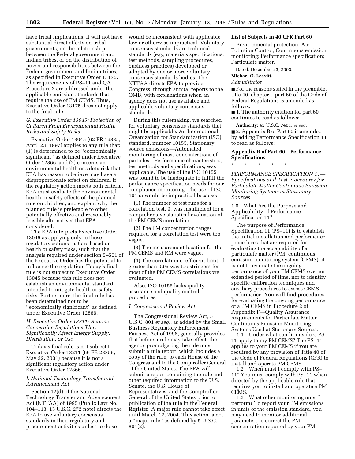have tribal implications. It will not have substantial direct effects on tribal governments, on the relationship between the Federal government and Indian tribes, or on the distribution of power and responsibilities between the Federal government and Indian tribes, as specified in Executive Order 13175. The requirements of PS–11 and QA Procedure 2 are addressed under the applicable emission standards that require the use of PM CEMS. Thus, Executive Order 13175 does not apply to the final rule.

#### *G. Executive Order 13045: Protection of Children From Environmental Health Risks and Safety Risks*

Executive Order 13045 (62 FR 19885, April 23, 1997) applies to any rule that: (1) Is determined to be ''economically significant'' as defined under Executive Order 12866, and (2) concerns an environmental health or safety risk that EPA has reason to believe may have a disproportionate effect on children. If the regulatory action meets both criteria, EPA must evaluate the environmental health or safety effects of the planned rule on children, and explain why the planned rule is preferable to other potentially effective and reasonably feasible alternatives that EPA considered.

The EPA interprets Executive Order 13045 as applying only to those regulatory actions that are based on health or safety risks, such that the analysis required under section 5–501 of the Executive Order has the potential to influence the regulation. Today's final rule is not subject to Executive Order 13045 because this rule does not establish an environmental standard intended to mitigate health or safety risks. Furthermore, the final rule has been determined not to be ''economically significant'' as defined under Executive Order 12866.

#### *H. Executive Order 13211: Actions Concerning Regulations That Significantly Affect Energy Supply, Distribution, or Use*

Today's final rule is not subject to Executive Order 13211 (66 FR 28355, May 22, 2001) because it is not a significant regulatory action under Executive Order 12866.

#### *I. National Technology Transfer and Advancement Act*

Section 12(d) of the National Technology Transfer and Advancement Act (NTTAA) of 1995 (Public Law No. 104–113; 15 U.S.C. 272 note) directs the EPA to use voluntary consensus standards in their regulatory and procurement activities unless to do so

would be inconsistent with applicable law or otherwise impractical. Voluntary consensus standards are technical standards (*e.g.*, materials specifications, test methods, sampling procedures, business practices) developed or adopted by one or more voluntary consensus standards bodies. The NTTAA directs EPA to provide Congress, through annual reports to the OMB, with explanations when an agency does not use available and applicable voluntary consensus standards.

During this rulemaking, we searched for voluntary consensus standards that might be applicable. An International Organization for Standardization (ISO) standard, number 10155, Stationary source emissions—Automated monitoring of mass concentrations of particles—Performance characteristics, test methods and specifications, was applicable. The use of the ISO 10155 was found to be inadequate to fulfill the performance specification needs for our compliance monitoring. The use of ISO 10155 would be impractical because:

(1) The number of test runs for a correlation test, 9, was insufficient for a comprehensive statistical evaluation of the PM CEMS correlation.

(2) The PM concentration ranges required for a correlation test were too vague.

(3) The measurement location for the PM CEMS and RM were vague.

(4) The correlation coefficient limit of greater than 0.95 was too stringent for most of the PM CEMS correlations we evaluated.

Also, ISO 10155 lacks quality assurance and quality control procedures.

#### *J. Congressional Review Act*

The Congressional Review Act, 5 U.S.C. 801 *et seq.*, as added by the Small Business Regulatory Enforcement Fairness Act of 1996, generally provides that before a rule may take effect, the agency promulgating the rule must submit a rule report, which includes a copy of the rule, to each House of the Congress and to the Comptroller General of the United States. The EPA will submit a report containing the rule and other required information to the U.S. Senate, the U.S. House of Representatives, and the Comptroller General of the United States prior to publication of the rule in the **Federal Register**. A major rule cannot take effect until March 12, 2004. This action is not a ''major rule'' as defined by 5 U.S.C. 804(2).

#### **List of Subjects in 40 CFR Part 60**

Environmental protection, Air Pollution Control, Continuous emission monitoring; Performance specification; Particulate matter.

Dated: December 23, 2003.

**Michael O. Leavitt,** 

#### *Administrator.*

■ For the reasons stated in the preamble, title 40, chapter I, part 60 of the Code of Federal Regulations is amended as follows:

■ 1. The authority citation for part 60 continues to read as follows:

**Authority:** 42 U.S.C. 7401, *et seq.*

■ 2. Appendix B of Part 60 is amended by adding Performance Specification 11 to read as follows:

#### **Appendix B of Part 60—Performance Specifications**

\* \* \* \* \*

*PERFORMANCE SPECIFICATION 11— Specifications and Test Procedures for Particulate Matter Continuous Emission Monitoring Systems at Stationary Sources* 

1.0 What Are the Purpose and Applicability of Performance Specification 11?

The purpose of Performance Specification 11 (PS–11) is to establish the initial installation and performance procedures that are required for evaluating the acceptability of a particulate matter (PM) continuous emission monitoring system (CEMS); it is not to evaluate the ongoing performance of your PM CEMS over an extended period of time, nor to identify specific calibration techniques and auxiliary procedures to assess CEMS performance. You will find procedures for evaluating the ongoing performance of a PM CEMS in Procedure 2 of Appendix F—Quality Assurance Requirements for Particulate Matter Continuous Emission Monitoring Systems Used at Stationary Sources.

1.1 Under what conditions does PS– 11 apply to my PM CEMS? The PS–11 applies to your PM CEMS if you are required by any provision of Title 40 of the Code of Federal Regulations (CFR) to install and operate PM CEMS.

1.2 When must I comply with PS– 11? You must comply with PS–11 when directed by the applicable rule that requires you to install and operate a PM CEMS.

1.3 What other monitoring must I perform? To report your PM emissions in units of the emission standard, you may need to monitor additional parameters to correct the PM concentration reported by your PM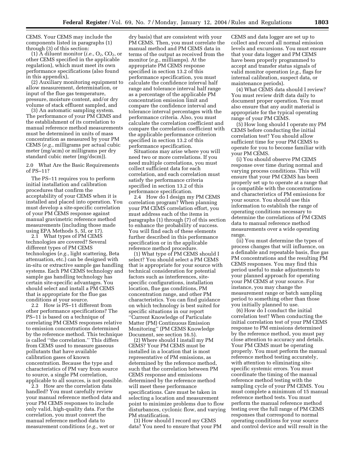CEMS. Your CEMS may include the components listed in paragraphs (1) through (3) of this section:

(1)  $\overline{A}$  diluent monitor (*i.e.*,  $O_2$ ,  $CO_2$ , or other CEMS specified in the applicable regulation), which must meet its own performance specifications (also found in this appendix),

(2) Auxiliary monitoring equipment to allow measurement, determination, or input of the flue gas temperature, pressure, moisture content, and/or dry volume of stack effluent sampled, and

(3) An automatic sampling system. The performance of your PM CEMS and the establishment of its correlation to manual reference method measurements must be determined in units of mass concentration as measured by your PM CEMS (*e.g.*, milligrams per actual cubic meter (mg/acm) or milligrams per dry standard cubic meter (mg/dscm)).

2.0 What Are the Basic Requirements of PS–11?

The PS–11 requires you to perform initial installation and calibration procedures that confirm the acceptability of your CEMS when it is installed and placed into operation. You must develop a site-specific correlation of your PM CEMS response against manual gravimetric reference method measurements (including those made using EPA Methods 5, 5I, or 17).

2.1 What types of PM CEMS technologies are covered? Several different types of PM CEMS technologies (*e.g.*, light scattering, Beta attenuation, etc.) can be designed with in-situ or extractive sample gas handling systems. Each PM CEMS technology and sample gas handling technology has certain site-specific advantages. You should select and install a PM CEMS that is appropriate for the flue gas conditions at your source.

2.2 How is PS–11 different from other performance specifications? The PS–11 is based on a technique of correlating PM CEMS responses relative to emission concentrations determined by the reference method. This technique is called ''the correlation.'' This differs from CEMS used to measure gaseous pollutants that have available calibration gases of known concentration. Because the type and characteristics of PM vary from source to source, a single PM correlation, applicable to all sources, is not possible.

2.3 How are the correlation data handled? You must carefully review your manual reference method data and your PM CEMS responses to include only valid, high-quality data. For the correlation, you must convert the manual reference method data to measurement conditions (*e.g.*, wet or

dry basis) that are consistent with your PM CEMS. Then, you must correlate the manual method and PM CEMS data in terms of the output as received from the monitor (*e.g.*, milliamps). At the appropriate PM CEMS response specified in section 13.2 of this performance specification, you must calculate the confidence interval half range and tolerance interval half range as a percentage of the applicable PM concentration emission limit and compare the confidence interval and tolerance interval percentages with the performance criteria. Also, you must calculate the correlation coefficient and compare the correlation coefficient with the applicable performance criterion specified in section 13.2 of this performance specification.

Situations may arise where you will need two or more correlations. If you need multiple correlations, you must collect sufficient data for each correlation, and each correlation must satisfy the performance criteria specified in section 13.2 of this performance specification.

2.4 How do I design my PM CEMS correlation program? When planning your PM CEMS correlation effort, you must address each of the items in paragraphs (1) through (7) of this section to enhance the probability of success. You will find each of these elements further described in this performance specification or in the applicable reference method procedure.

(1) What type of PM CEMS should I select? You should select a PM CEMS that is appropriate for your source with technical consideration for potential factors such as interferences, sitespecific configurations, installation location, flue gas conditions, PM concentration range, and other PM characteristics. You can find guidance on which technology is best suited for specific situations in our report ''Current Knowledge of Particulate Matter (PM) Continuous Emission Monitoring'' (PM CEMS Knowledge Document, see section 16.5).

(2) Where should I install my PM CEMS? Your PM CEMS must be installed in a location that is most representative of PM emissions, as determined by the reference method, such that the correlation between PM CEMS response and emissions determined by the reference method will meet these performance specifications. Care must be taken in selecting a location and measurement point to minimize problems due to flow disturbances, cyclonic flow, and varying PM stratification.

(3) How should I record my CEMS data? You need to ensure that your PM CEMS and data logger are set up to collect and record all normal emission levels and excursions. You must ensure that your data logger and PM CEMS have been properly programmed to accept and transfer status signals of valid monitor operation (*e.g.*, flags for internal calibration, suspect data, or maintenance periods).

(4) What CEMS data should I review? You must review drift data daily to document proper operation. You must also ensure that any audit material is appropriate for the typical operating range of your PM CEMS.

(5) How long should I operate my PM CEMS before conducting the initial correlation test? You should allow sufficient time for your PM CEMS to operate for you to become familiar with your PM CEMS.

(i) You should observe PM CEMS response over time during normal and varying process conditions. This will ensure that your PM CEMS has been properly set up to operate at a range that is compatible with the concentrations and characteristics of PM emissions for your source. You should use this information to establish the range of operating conditions necessary to determine the correlations of PM CEMS data to manual reference method measurements over a wide operating range.

(ii) You must determine the types of process changes that will influence, on a definable and repeatable basis, flue gas PM concentrations and the resulting PM CEMS responses. You may find this period useful to make adjustments to your planned approach for operating your PM CEMS at your source. For instance, you may change the measurement range or batch sampling period to something other than those you initially planned to use.

(6) How do I conduct the initial correlation test? When conducting the initial correlation test of your PM CEMS response to PM emissions determined by the reference method, you must pay close attention to accuracy and details. Your PM CEMS must be operating properly. You must perform the manual reference method testing accurately, with attention to eliminating sitespecific systemic errors. You must coordinate the timing of the manual reference method testing with the sampling cycle of your PM CEMS. You must complete a minimum of 15 manual reference method tests. You must perform the manual reference method testing over the full range of PM CEMS responses that correspond to normal operating conditions for your source and control device and will result in the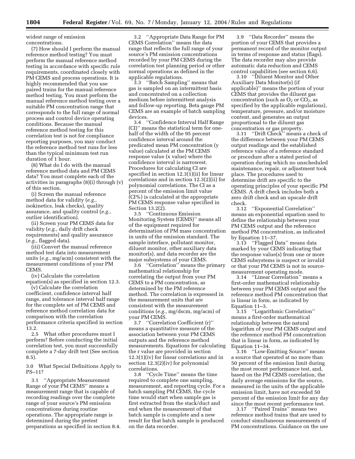widest range of emission concentrations.

(7) How should I perform the manual reference method testing? You must perform the manual reference method testing in accordance with specific rule requirements, coordinated closely with PM CEMS and process operations. It is highly recommended that you use paired trains for the manual reference method testing. You must perform the manual reference method testing over a suitable PM concentration range that corresponds to the full range of normal process and control device operating conditions. Because the manual reference method testing for this correlation test is not for compliance reporting purposes, you may conduct the reference method test runs for less than the typical minimum test run duration of 1 hour.

(8) What do I do with the manual reference method data and PM CEMS data? You must complete each of the activities in paragraphs (8)(i) through (v) of this section.

(i) Screen the manual reference method data for validity (*e.g.*, isokinetics, leak checks), quality assurance, and quality control (*e.g.*, outlier identification).

(ii) Screen your PM CEMS data for validity (*e.g.*, daily drift check requirements) and quality assurance (*e.g.*, flagged data).

(iii) Convert the manual reference method test data into measurement units (*e.g.*, mg/acm) consistent with the measurement conditions of your PM CEMS.

(iv) Calculate the correlation equation(s) as specified in section 12.3.

(v) Calculate the correlation coefficient, confidence interval half range, and tolerance interval half range for the complete set of PM CEMS and reference method correlation data for comparison with the correlation performance criteria specified in section 13.2.

2.5 What other procedures must I perform? Before conducting the initial correlation test, you must successfully complete a 7-day drift test (See section 8.5).

3.0 What Special Definitions Apply to PS–11?

3.1 ''Appropriate Measurement Range of your PM CEMS'' means a measurement range that is capable of recording readings over the complete range of your source's PM emission concentrations during routine operations. The appropriate range is determined during the pretest preparations as specified in section 8.4.

3.2 ''Appropriate Data Range for PM CEMS Correlation'' means the data range that reflects the full range of your source's PM emission concentrations recorded by your PM CEMS during the correlation test planning period or other normal operations as defined in the applicable regulations.

3.3 ''Batch Sampling'' means that gas is sampled on an intermittent basis and concentrated on a collection medium before intermittent analysis and follow-up reporting. Beta gauge PM CEMS are an example of batch sampling devices<br>3.4

3.4 ''Confidence Interval Half Range (CI)'' means the statistical term for onehalf of the width of the 95 percent confidence interval around the predicated mean PM concentration (y value) calculated at the PM CEMS response value (x value) where the confidence interval is narrowest. Procedures for calculating CI are specified in section 12.3(1)(ii) for linear correlations and in section 12.3(2)(ii) for polynomial correlations. The CI as a percent of the emission limit value (CI%) is calculated at the appropriate PM CEMS response value specified in Section 13.2(2).

3.5 ''Continuous Emission Monitoring System (CEMS)'' means all of the equipment required for determination of PM mass concentration in units of the emission standard. The sample interface, pollutant monitor, diluent monitor, other auxiliary data monitor(s), and data recorder are the major subsystems of your CEMS.

3.6 ''Correlation'' means the primary mathematical relationship for correlating the output from your PM CEMS to a PM concentration, as determined by the PM reference method. The correlation is expressed in the measurement units that are consistent with the measurement conditions (*e.g.*, mg/dscm, mg/acm) of your PM CEMS.

3.7 ''Correlation Coefficient (r)'' means a quantitative measure of the association between your PM CEMS outputs and the reference method measurements. Equations for calculating the r value are provided in section 12.3(1)(iv) for linear correlations and in section 12.3(2)(iv) for polynomial correlations.

3.8 ''Cycle Time'' means the time required to complete one sampling, measurement, and reporting cycle. For a batch sampling PM CEMS, the cycle time would start when sample gas is first extracted from the stack/duct and end when the measurement of that batch sample is complete and a new result for that batch sample is produced on the data recorder.

3.9 ''Data Recorder'' means the portion of your CEMS that provides a permanent record of the monitor output in terms of response and status (flags). The data recorder may also provide automatic data reduction and CEMS control capabilities (see section 6.6).

3.10 ''Diluent Monitor and Other Auxiliary Data Monitor(s) (if applicable)'' means the portion of your CEMS that provides the diluent gas concentration (such as  $O_2$  or  $CO_2$ , as specified by the applicable regulations), temperature, pressure, and/or moisture content, and generates an output proportional to the diluent gas concentration or gas property.

3.11 ''Drift Check'' means a check of the difference between your PM CEMS output readings and the established reference value of a reference standard or procedure after a stated period of operation during which no unscheduled maintenance, repair, or adjustment took place. The procedures used to determine drift are specific to the operating principles of your specific PM CEMS. A drift check includes both a zero drift check and an upscale drift check.

3.12 ''Exponential Correlation'' means an exponential equation used to define the relationship between your PM CEMS output and the reference method PM concentration, as indicated by Equation 11–37.

3.13 ''Flagged Data'' means data marked by your CEMS indicating that the response value(s) from one or more CEMS subsystems is suspect or invalid or that your PM CEMS is not in sourcemeasurement operating mode.

3.14 ''Linear Correlation'' means a first-order mathematical relationship between your PM CEMS output and the reference method PM concentration that is linear in form, as indicated by Equation 11–3.

3.15 ''Logarithmic Correlation'' means a first-order mathematical relationship between the natural logarithm of your PM CEMS output and the reference method PM concentration that is linear in form, as indicated by Equation 11–34.

3.16 ''Low-Emitting Source'' means a source that operated at no more than 50 percent of the emission limit during the most recent performance test, and, based on the PM CEMS correlation, the daily average emissions for the source, measured in the units of the applicable emission limit, have not exceeded 50 percent of the emission limit for any day since the most recent performance test.

3.17 ''Paired Trains'' means two reference method trains that are used to conduct simultaneous measurements of PM concentrations. Guidance on the use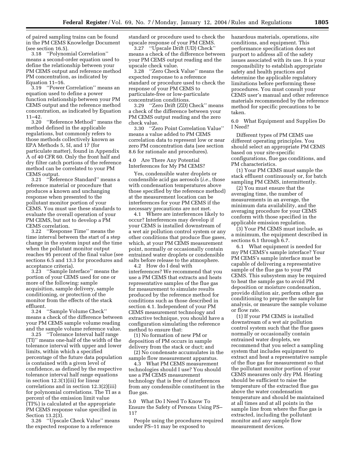of paired sampling trains can be found in the PM CEMS Knowledge Document (see section 16.5).

3.18 ''Polynomial Correlation'' means a second-order equation used to define the relationship between your PM CEMS output and reference method PM concentration, as indicated by Equation 11–16.

3.19 ''Power Correlation'' means an equation used to define a power function relationship between your PM CEMS output and the reference method concentration, as indicated by Equation 11–42.

3.20 ''Reference Method'' means the method defined in the applicable regulations, but commonly refers to those methods collectively known as EPA Methods 5, 5I, and 17 (for particulate matter), found in Appendix A of 40 CFR 60. Only the front half and dry filter catch portions of the reference method can be correlated to your PM CEMS output.

3.21 ''Reference Standard'' means a reference material or procedure that produces a known and unchanging response when presented to the pollutant monitor portion of your CEMS. You must use these standards to evaluate the overall operation of your PM CEMS, but not to develop a PM CEMS correlation.

3.22 ''Response Time'' means the time interval between the start of a step change in the system input and the time when the pollutant monitor output reaches 95 percent of the final value (see sections 6.5 and 13.3 for procedures and acceptance criteria).

3.23 ''Sample Interface'' means the portion of your CEMS used for one or more of the following: sample acquisition, sample delivery, sample conditioning, or protection of the monitor from the effects of the stack effluent.

3.24 ''Sample Volume Check'' means a check of the difference between your PM CEMS sample volume reading and the sample volume reference value.

3.25 ''Tolerance Interval half range (TI)'' means one-half of the width of the tolerance interval with upper and lower limits, within which a specified percentage of the future data population is contained with a given level of confidence, as defined by the respective tolerance interval half range equations in section 12.3(1)(iii) for linear correlations and in section 12.3(2)(iii) for polynomial correlations. The TI as a percent of the emission limit value (TI%) is calculated at the appropriate PM CEMS response value specified in Section 13.2(3).

3.26 ''Upscale Check Value'' means the expected response to a reference

standard or procedure used to check the upscale response of your PM CEMS.

3.27 ''Upscale Drift (UD) Check'' means a check of the difference between your PM CEMS output reading and the upscale check value.

3.28 ''Zero Check Value'' means the expected response to a reference standard or procedure used to check the response of your PM CEMS to particulate-free or low-particulate concentration conditions.

3.29 ''Zero Drift (ZD) Check'' means a check of the difference between your PM CEMS output reading and the zero check value.

3.30 ''Zero Point Correlation Value'' means a value added to PM CEMS correlation data to represent low or near zero PM concentration data (see section 8.6 for rationale and procedures).

4.0 Are There Any Potential Interferences for My PM CEMS?

Yes, condensible water droplets or condensible acid gas aerosols (*i.e.*, those with condensation temperatures above those specified by the reference method) at the measurement location can be interferences for your PM CEMS if the necessary precautions are not met.

4.1 Where are interferences likely to occur? Interferences may develop if your CEMS is installed downstream of a wet air pollution control system or any other conditions that produce flue gases, which, at your PM CEMS measurement point, normally or occasionally contain entrained water droplets or condensible salts before release to the atmosphere.

4.2 How do I deal with interferences? We recommend that you use a PM CEMS that extracts and heats representative samples of the flue gas for measurement to simulate results produced by the reference method for conditions such as those described in section 4.1. Independent of your PM CEMS measurement technology and extractive technique, you should have a configuration simulating the reference method to ensure that:

(1) No formation of new PM or deposition of PM occurs in sample delivery from the stack or duct; and

(2) No condensate accumulates in the sample flow measurement apparatus.

4.3 What PM CEMS measurement technologies should I use? You should use a PM CEMS measurement technology that is free of interferences from any condensible constituent in the flue gas.

5.0 What Do I Need To Know To Ensure the Safety of Persons Using PS– 11?

People using the procedures required under PS–11 may be exposed to

hazardous materials, operations, site conditions, and equipment. This performance specification does not purport to address all of the safety issues associated with its use. It is your responsibility to establish appropriate safety and health practices and determine the applicable regulatory limitations before performing these procedures. You must consult your CEMS user's manual and other reference materials recommended by the reference method for specific precautions to be taken.

6.0 What Equipment and Supplies Do I Need?

Different types of PM CEMS use different operating principles. You should select an appropriate PM CEMS based on your site-specific configurations, flue gas conditions, and PM characteristics.

(1) Your PM CEMS must sample the stack effluent continuously or, for batch sampling PM CEMS, intermittently.

(2) You must ensure that the averaging time, the number of measurements in an average, the minimum data availability, and the averaging procedure for your CEMS conform with those specified in the applicable emission regulation.

(3) Your PM CEMS must include, as a minimum, the equipment described in sections 6.1 through 6.7.

6.1 What equipment is needed for my PM CEMS's sample interface? Your PM CEMS's sample interface must be capable of delivering a representative sample of the flue gas to your PM CEMS. This subsystem may be required to heat the sample gas to avoid PM deposition or moisture condensation, provide dilution air, perform other gas conditioning to prepare the sample for analysis, or measure the sample volume or flow rate.

(1) If your PM CEMS is installed downstream of a wet air pollution control system such that the flue gases normally or occasionally contain entrained water droplets, we recommend that you select a sampling system that includes equipment to extract and heat a representative sample of the flue gas for measurement so that the pollutant monitor portion of your CEMS measures only dry PM. Heating should be sufficient to raise the temperature of the extracted flue gas above the water condensation temperature and should be maintained at all times and at all points in the sample line from where the flue gas is extracted, including the pollutant monitor and any sample flow measurement devices.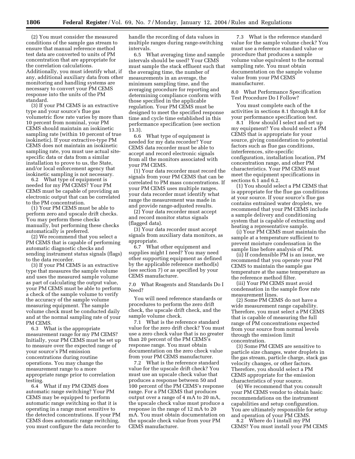(2) You must consider the measured conditions of the sample gas stream to ensure that manual reference method test data are converted to units of PM concentration that are appropriate for the correlation calculations. Additionally, you must identify what, if any, additional auxiliary data from other monitoring and handling systems are necessary to convert your PM CEMS response into the units of the PM standard.

(3) If your PM CEMS is an extractive type and your source's flue gas volumetric flow rate varies by more than 10 percent from nominal, your PM CEMS should maintain an isokinetic sampling rate (within 10 percent of true isokinetic). If your extractive-type PM CEMS does not maintain an isokinetic sampling rate, you must use actual sitespecific data or data from a similar installation to prove to us, the State, and/or local enforcement agency that isokinetic sampling is not necessary.

6.2 What type of equipment is needed for my PM CEMS? Your PM CEMS must be capable of providing an electronic output that can be correlated to the PM concentration.

(1) Your PM CEMS must be able to perform zero and upscale drift checks. You may perform these checks manually, but performing these checks automatically is preferred.

(2) We recommend that you select a PM CEMS that is capable of performing automatic diagnostic checks and sending instrument status signals (flags) to the data recorder.

(3) If your PM CEMS is an extractive type that measures the sample volume and uses the measured sample volume as part of calculating the output value, your PM CEMS must be able to perform a check of the sample volume to verify the accuracy of the sample volume measuring equipment. The sample volume check must be conducted daily and at the normal sampling rate of your PM CEMS.

6.3 What is the appropriate measurement range for my PM CEMS? Initially, your PM CEMS must be set up to measure over the expected range of your source's PM emission concentrations during routine operations. You may change the measurement range to a more appropriate range prior to correlation testing.

6.4 What if my PM CEMS does automatic range switching? Your PM CEMS may be equipped to perform automatic range switching so that it is operating in a range most sensitive to the detected concentrations. If your PM CEMS does automatic range switching, you must configure the data recorder to handle the recording of data values in multiple ranges during range-switching intervals.

6.5 What averaging time and sample intervals should be used? Your CEMS must sample the stack effluent such that the averaging time, the number of measurements in an average, the minimum sampling time, and the averaging procedure for reporting and determining compliance conform with those specified in the applicable regulation. Your PM CEMS must be designed to meet the specified response time and cycle time established in this performance specification (see section 13.3).

6.6 What type of equipment is needed for my data recorder? Your CEMS data recorder must be able to accept and record electronic signals from all the monitors associated with your PM CEMS.

(1) Your data recorder must record the signals from your PM CEMS that can be correlated to PM mass concentrations. If your PM CEMS uses multiple ranges, your data recorder must identify what range the measurement was made in and provide range-adjusted results.

(2) Your data recorder must accept and record monitor status signals (flagged data).

(3) Your data recorder must accept signals from auxiliary data monitors, as appropriate.

6.7 What other equipment and supplies might I need? You may need other supporting equipment as defined by the applicable reference method(s) (see section 7) or as specified by your CEMS manufacturer.

7.0 What Reagents and Standards Do I Need?

You will need reference standards or procedures to perform the zero drift check, the upscale drift check, and the sample volume check.

7.1 What is the reference standard value for the zero drift check? You must use a zero check value that is no greater than 20 percent of the PM CEMS's response range. You must obtain documentation on the zero check value from your PM CEMS manufacturer.

7.2 What is the reference standard value for the upscale drift check? You must use an upscale check value that produces a response between 50 and 100 percent of the PM CEMS's response range. For a PM CEMS that produces output over a range of 4 mA to 20 mA, the upscale check value must produce a response in the range of 12 mA to 20 mA. You must obtain documentation on the upscale check value from your PM CEMS manufacturer.

7.3 What is the reference standard value for the sample volume check? You must use a reference standard value or procedure that produces a sample volume value equivalent to the normal sampling rate. You must obtain documentation on the sample volume value from your PM CEMS manufacturer.

8.0 What Performance Specification Test Procedure Do I Follow?

You must complete each of the activities in sections 8.1 through 8.8 for your performance specification test.

8.1 How should I select and set up my equipment? You should select a PM CEMS that is appropriate for your source, giving consideration to potential factors such as flue gas conditions, interferences, site-specific configuration, installation location, PM concentration range, and other PM characteristics. Your PM CEMS must meet the equipment specifications in sections 6.1 and 6.2.

(1) You should select a PM CEMS that is appropriate for the flue gas conditions at your source. If your source's flue gas contains entrained water droplets, we recommend that your PM CEMS include a sample delivery and conditioning system that is capable of extracting and heating a representative sample.

(i) Your PM CEMS must maintain the sample at a temperature sufficient to prevent moisture condensation in the sample line before analysis of PM.

(ii) If condensible PM is an issue, we recommend that you operate your PM CEMS to maintain the sample gas temperature at the same temperature as the reference method filter.

(iii) Your PM CEMS must avoid condensation in the sample flow rate measurement lines.

(2) Some PM CEMS do not have a wide measurement range capability. Therefore, you must select a PM CEMS that is capable of measuring the full range of PM concentrations expected from your source from normal levels through the emission limit concentration.

(3) Some PM CEMS are sensitive to particle size changes, water droplets in the gas stream, particle charge, stack gas velocity changes, or other factors. Therefore, you should select a PM CEMS appropriate for the emission characteristics of your source.

(4) We recommend that you consult your PM CEMS vendor to obtain basic recommendations on the instrument capabilities and setup configuration. You are ultimately responsible for setup and operation of your PM CEMS.

8.2 Where do I install my PM CEMS? You must install your PM CEMS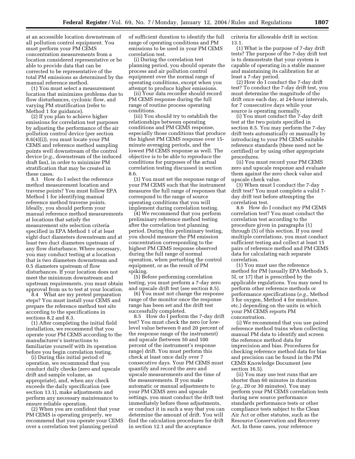at an accessible location downstream of all pollution control equipment. You must perform your PM CEMS concentration measurements from a location considered representative or be able to provide data that can be corrected to be representative of the total PM emissions as determined by the manual reference method.

(1) You must select a measurement location that minimizes problems due to flow disturbances, cyclonic flow, and varying PM stratification (refer to Method 1 for guidance).

(2) If you plan to achieve higher emissions for correlation test purposes by adjusting the performance of the air pollution control device (per section 8.6(4)(i)), you must locate your PM CEMS and reference method sampling points well downstream of the control device (*e.g.*, downstream of the induced draft fan), in order to minimize PM stratification that may be created in these cases.

8.3 How do I select the reference method measurement location and traverse points? You must follow EPA Method 1 for identifying manual reference method traverse points. Ideally, you should perform your manual reference method measurements at locations that satisfy the measurement site selection criteria specified in EPA Method 1 of at least eight duct diameters downstream and at least two duct diameters upstream of any flow disturbance. Where necessary, you may conduct testing at a location that is two diameters downstream and 0.5 diameters upstream of flow disturbances. If your location does not meet the minimum downstream and upstream requirements, you must obtain approval from us to test at your location.

8.4 What are my pretest preparation steps? You must install your CEMS and prepare the reference method test site according to the specifications in sections 8.2 and 8.3.

(1) After completing the initial field installation, we recommend that you operate your PM CEMS according to the manufacturer's instructions to familiarize yourself with its operation before you begin correlation testing.

(i) During this initial period of operation, we recommend that you conduct daily checks (zero and upscale drift and sample volume, as appropriate), and, when any check exceeds the daily specification (see section 13.1), make adjustments and perform any necessary maintenance to ensure reliable operation.

(2) When you are confident that your PM CEMS is operating properly, we recommend that you operate your CEMS over a correlation test planning period

of sufficient duration to identify the full range of operating conditions and PM emissions to be used in your PM CEMS correlation test.

(i) During the correlation test planning period, you should operate the process and air pollution control equipment over the normal range of operating conditions, except when you attempt to produce higher emissions.

(ii) Your data recorder should record PM CEMS response during the full range of routine process operating conditions.

(iii) You should try to establish the relationships between operating conditions and PM CEMS response, especially those conditions that produce the highest PM CEMS response over 15 minute averaging periods, and the lowest PM CEMS response as well. The objective is to be able to reproduce the conditions for purposes of the actual correlation testing discussed in section 8.6.

(3) You must set the response range of your PM CEMS such that the instrument measures the full range of responses that correspond to the range of source operating conditions that you will implement during correlation testing.

(4) We recommend that you perform preliminary reference method testing after the correlation test planning period. During this preliminary testing, you should measure the PM emission concentration corresponding to the highest PM CEMS response observed during the full range of normal operation, when perturbing the control equipment, or as the result of PM spiking.

(5) Before performing correlation testing, you must perform a 7-day zero and upscale drift test (see section 8.5).

(6) You must not change the response range of the monitor once the response range has been set and the drift test successfully completed.

8.5 How do I perform the 7-day drift test? You must check the zero (or lowlevel value between 0 and 20 percent of the response range of the instrument) and upscale (between 50 and 100 percent of the instrument's response range) drift. You must perform this check at least once daily over 7 consecutive days. Your PM CEMS must quantify and record the zero and upscale measurements and the time of the measurements. If you make automatic or manual adjustments to your PM CEMS zero and upscale settings, you must conduct the drift test immediately before these adjustments, or conduct it in such a way that you can determine the amount of drift. You will find the calculation procedures for drift in section 12.1 and the acceptance

criteria for allowable drift in section 13.1.

(1) What is the purpose of 7-day drift tests? The purpose of the 7-day drift test is to demonstrate that your system is capable of operating in a stable manner and maintaining its calibration for at least a 7-day period.

(2) How do I conduct the 7-day drift test? To conduct the 7-day drift test, you must determine the magnitude of the drift once each day, at 24-hour intervals, for 7 consecutive days while your source is operating normally.

(i) You must conduct the 7-day drift test at the two points specified in section 8.5. You may perform the 7-day drift tests automatically or manually by introducing to your PM CEMS suitable reference standards (these need not be certified) or by using other appropriate procedures.

(ii) You must record your PM CEMS zero and upscale response and evaluate them against the zero check value and upscale check value.

(3) When must I conduct the 7-day drift test? You must complete a valid 7 day drift test before attempting the correlation test.

8.6 How do I conduct my PM CEMS correlation test? You must conduct the correlation test according to the procedure given in paragraphs (1) through (5) of this section. If you need multiple correlations, you must conduct sufficient testing and collect at least 15 pairs of reference method and PM CEMS data for calculating each separate correlation.

(1) You must use the reference method for PM (usually EPA Methods 5, 5I, or 17) that is prescribed by the applicable regulations. You may need to perform other reference methods or performance specifications (*e.g.*, Method 3 for oxygen, Method 4 for moisture, etc.) depending on the units in which your PM CEMS reports PM concentration.

(i) We recommend that you use paired reference method trains when collecting manual PM data to identify and screen the reference method data for imprecision and bias. Procedures for checking reference method data for bias and precision can be found in the PM CEMS Knowledge Document (see section 16.5).

(ii) You may use test runs that are shorter than 60 minutes in duration (*e.g.*, 20 or 30 minutes). You may perform your PM CEMS correlation tests during new source performance standards performance tests or other compliance tests subject to the Clean Air Act or other statutes, such as the Resource Conservation and Recovery Act. In these cases, your reference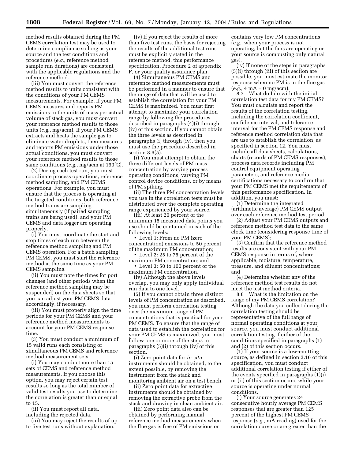method results obtained during the PM CEMS correlation test may be used to determine compliance so long as your source and the test conditions and procedures (*e.g.*, reference method sample run durations) are consistent with the applicable regulations and the reference method.

(iii) You must convert the reference method results to units consistent with the conditions of your PM CEMS measurements. For example, if your PM CEMS measures and reports PM emissions in the units of mass per actual volume of stack gas, you must convert your reference method results to those units (*e.g.*, mg/acm). If your PM CEMS extracts and heats the sample gas to eliminate water droplets, then measures and reports PM emissions under those actual conditions, you must convert your reference method results to those same conditions (*e.g.*, mg/acm at 160°C).

(2) During each test run, you must coordinate process operations, reference method sampling, and PM CEMS operations. For example, you must ensure that the process is operating at the targeted conditions, both reference method trains are sampling simultaneously (if paired sampling trains are being used), and your PM CEMS and data logger are operating properly.

(i) You must coordinate the start and stop times of each run between the reference method sampling and PM CEMS operation. For a batch sampling PM CEMS, you must start the reference method at the same time as your PM CEMS sampling.

(ii) You must note the times for port changes (and other periods when the reference method sampling may be suspended) on the data sheets so that you can adjust your PM CEMS data accordingly, if necessary.

(iii) You must properly align the time periods for your PM CEMS and your reference method measurements to account for your PM CEMS response time.

(3) You must conduct a minimum of 15 valid runs each consisting of simultaneous PM CEMS and reference method measurement sets.

(i) You may conduct more than 15 sets of CEMS and reference method measurements. If you choose this option, you may reject certain test results so long as the total number of valid test results you use to determine the correlation is greater than or equal to 15.

(ii) You must report all data, including the rejected data.

(iii) You may reject the results of up to five test runs without explanation.

(iv) If you reject the results of more than five test runs, the basis for rejecting the results of the additional test runs must be explicitly stated in the reference method, this performance specification, Procedure 2 of appendix F, or your quality assurance plan.

(4) Simultaneous PM CEMS and reference method measurements must be performed in a manner to ensure that the range of data that will be used to establish the correlation for your PM CEMS is maximized. You must first attempt to maximize your correlation range by following the procedures described in paragraphs (4)(i) through (iv) of this section. If you cannot obtain the three levels as described in paragraphs (i) through (iv), then you must use the procedure described in section 8.6(5).

(i) You must attempt to obtain the three different levels of PM mass concentration by varying process operating conditions, varying PM control device conditions, or by means of PM spiking.

(ii) The three PM concentration levels you use in the correlation tests must be distributed over the complete operating range experienced by your source.

(iii) At least 20 percent of the minimum 15 measured data points you use should be contained in each of the following levels:

• Level 1: From no PM (zero concentration) emissions to 50 percent of the maximum PM concentration;

• Level 2: 25 to 75 percent of the

maximum PM concentration; and • Level 3:50 to 100 percent of the

maximum PM concentration. (iv) Although the above levels

overlap, you may only apply individual run data to one level.

(5) If you cannot obtain three distinct levels of PM concentration as described, you must perform correlation testing over the maximum range of PM concentrations that is practical for your PM CEMS. To ensure that the range of data used to establish the correlation for your PM CEMS is maximized, you must follow one or more of the steps in paragraphs (5)(i) through (iv) of this section.

(i) Zero point data for *in-situ* instruments should be obtained, to the extent possible, by removing the instrument from the stack and monitoring ambient air on a test bench.

(ii) Zero point data for extractive instruments should be obtained by removing the extractive probe from the stack and drawing in clean ambient air.

(iii) Zero point data also can be obtained by performing manual reference method measurements when the flue gas is free of PM emissions or

contains very low PM concentrations (*e.g.*, when your process is not operating, but the fans are operating or your source is combusting only natural gas).

(iv) If none of the steps in paragraphs (5)(i) through (iii) of this section are possible, you must estimate the monitor response when no PM is in the flue gas  $(e.g., 4 \text{ mA} = 0 \text{ mg/acm}).$ 

 $8.7$  What do I do with the initial correlation test data for my PM CEMS? You must calculate and report the results of the correlation testing, including the correlation coefficient, confidence interval, and tolerance interval for the PM CEMS response and reference method correlation data that are use to establish the correlation, as specified in section 12. You must include all data sheets, calculations, charts (records of PM CEMS responses), process data records including PM control equipment operating parameters, and reference media certifications necessary to confirm that your PM CEMS met the requirements of this performance specification. In addition, you must:

(1) Determine the integrated (arithmetic average) PM CEMS output over each reference method test period;

(2) Adjust your PM CEMS outputs and reference method test data to the same clock time (considering response time of your PM CEMS);

(3) Confirm that the reference method results are consistent with your PM CEMS response in terms of, where applicable, moisture, temperature, pressure, and diluent concentrations; and

(4) Determine whether any of the reference method test results do not meet the test method criteria.

8.8 What is the limitation on the range of my PM CEMS correlation? Although the data you collect during the correlation testing should be representative of the full range of normal operating conditions at your source, you must conduct additional correlation testing if either of the conditions specified in paragraphs (1) and (2) of this section occurs.

(1) If your source is a low-emitting source, as defined in section 3.16 of this specification, you must conduct additional correlation testing if either of the events specified in paragraphs (1)(i) or (ii) of this section occurs while your source is operating under normal conditions.

(i) Your source generates 24 consecutive hourly average PM CEMS responses that are greater than 125 percent of the highest PM CEMS response (*e.g.*, mA reading) used for the correlation curve or are greater than the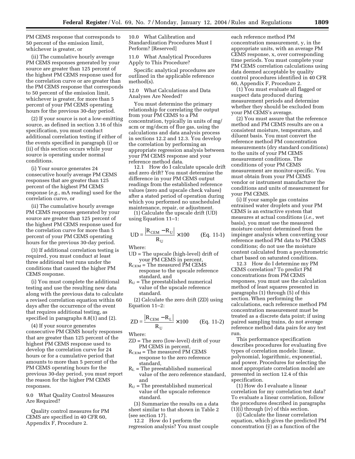PM CEMS response that corresponds to 50 percent of the emission limit, whichever is greater, or

(ii) The cumulative hourly average PM CEMS responses generated by your source are greater than 125 percent of the highest PM CEMS response used for the correlation curve or are greater than the PM CEMS response that corresponds to 50 percent of the emission limit, whichever is greater, for more than 5 percent of your PM CEMS operating hours for the previous 30-day period.

(2) If your source is not a low-emitting source, as defined in section 3.16 of this specification, you must conduct additional correlation testing if either of the events specified in paragraph (i) or (ii) of this section occurs while your source is operating under normal conditions.

(i) Your source generates 24 consecutive hourly average PM CEMS responses that are greater than 125 percent of the highest PM CEMS response (*e.g.*, mA reading) used for the correlation curve, or

(ii) The cumulative hourly average PM CEMS responses generated by your source are greater than 125 percent of the highest PM CEMS response used for the correlation curve for more than 5 percent of your PM CEMS operating hours for the previous 30-day period.

(3) If additional correlation testing is required, you must conduct at least three additional test runs under the conditions that caused the higher PM CEMS response.

(i) You must complete the additional testing and use the resulting new data along with the previous data to calculate a revised correlation equation within 60 days after the occurrence of the event that requires additional testing, as specified in paragraphs 8.8(1) and (2).

(4) If your source generates consecutive PM CEMS hourly responses that are greater than 125 percent of the highest PM CEMS response used to develop the correlation curve for 24 hours or for a cumulative period that amounts to more than 5 percent of the PM CEMS operating hours for the previous 30-day period, you must report the reason for the higher PM CEMS responses.

9.0 What Quality Control Measures Are Required?

Quality control measures for PM CEMS are specified in 40 CFR 60, Appendix F, Procedure 2.

10.0 What Calibration and Standardization Procedures Must I Perform? [Reserved]

11.0 What Analytical Procedures Apply to This Procedure?

Specific analytical procedures are outlined in the applicable reference method(s).

12.0 What Calculations and Data Analyses Are Needed?

You must determine the primary relationship for correlating the output from your PM CEMS to a PM concentration, typically in units of mg/ acm or mg/dscm of flue gas, using the calculations and data analysis process in sections 12.2 and 12.3. You develop the correlation by performing an appropriate regression analysis between your PM CEMS response and your reference method data.

12.1 How do I calculate upscale drift and zero drift? You must determine the difference in your PM CEMS output readings from the established reference values (zero and upscale check values) after a stated period of operation during which you performed no unscheduled maintenance, repair, or adjustment.

(1) Calculate the upscale drift (UD) using Equation 11–1:

UD = 
$$
\frac{R_{\text{CEM}} - R_U}{R_U} \times 100
$$
 (Eq. 11-1)

Where:

UD = The upscale (high-level) drift of your PM CEMS in percent,

- $R_{\text{CEM}}$  = The measured PM CEMS response to the upscale reference standard, and
- $R_U$  = The preestablished numerical value of the upscale reference standard.

(2) Calculate the zero drift (ZD) using Equation 11–2:

$$
ZD = \frac{\left|\mathbf{R}_{\text{CEM}} - \mathbf{R}_{\text{L}}\right|}{\mathbf{R}_{\text{U}}} \times 100 \qquad \text{(Eq. 11-2)}
$$

Where:

- ZD = The zero (low-level) drift of your PM CEMS in percent,
- $R<sub>CEM</sub>$  = The measured PM CEMS response to the zero reference standard,
- $R_L$  = The preestablished numerical value of the zero reference standard, and
- $R_U$  = The preestablished numerical value of the upscale reference standard.

(3) Summarize the results on a data sheet similar to that shown in Table 2 (see section 17).

12.2 How do I perform the regression analysis? You must couple

each reference method PM concentration measurement, y, in the appropriate units, with an average PM CEMS response, x, over corresponding time periods. You must complete your PM CEMS correlation calculations using data deemed acceptable by quality control procedures identified in 40 CFR 60, Appendix F, Procedure 2.

(1) You must evaluate all flagged or suspect data produced during measurement periods and determine whether they should be excluded from your PM CEMS's average.

(2) You must assure that the reference method and PM CEMS results are on a consistent moisture, temperature, and diluent basis. You must convert the reference method PM concentration measurements (dry standard conditions) to the units of your PM CEMS measurement conditions. The conditions of your PM CEMS measurement are monitor-specific. You must obtain from your PM CEMS vendor or instrument manufacturer the conditions and units of measurement for your PM CEMS.

(i) If your sample gas contains entrained water droplets and your PM CEMS is an extractive system that measures at actual conditions (*i.e.*, wet basis), you must use the measured moisture content determined from the impinger analysis when converting your reference method PM data to PM CEMS conditions; do not use the moisture content calculated from a psychrometric chart based on saturated conditions.

12.3 How do I determine my PM CEMS correlation? To predict PM concentrations from PM CEMS responses, you must use the calculation method of least squares presented in paragraphs (1) through (5) of this section. When performing the calculations, each reference method PM concentration measurement must be treated as a discrete data point; if using paired sampling trains, do not average reference method data pairs for any test run.

This performance specification describes procedures for evaluating five types of correlation models: linear, polynomial, logarithmic, exponential, and power. Procedures for selecting the most appropriate correlation model are presented in section 12.4 of this specification.

(1) How do I evaluate a linear correlation for my correlation test data? To evaluate a linear correlation, follow the procedures described in paragraphs (1)(i) through (iv) of this section.

(i) Calculate the linear correlation equation, which gives the predicted PM concentration  $(\hat{y})$  as a function of the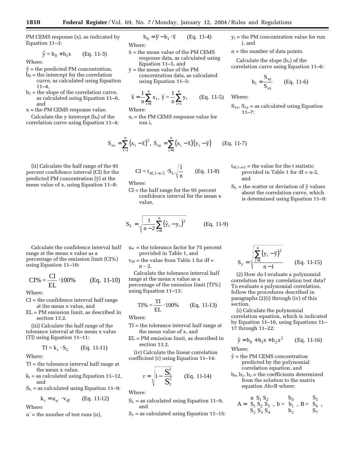PM CEMS response (x), as indicated by Equation 11–3:

$$
\hat{y} = b_0 + b_1 x
$$
 (Eq. 11-3)

Where:

- $\hat{y}$  = the predicted PM concentration,
- $b_0$  = the intercept for the correlation curve, as calculated using Equation 11–4,
- $b_1$  = the slope of the correlation curve, as calculated using Equation 11–6, and
- x = the PM CEMS response value.

Calculate the y intercept  $(b_0)$  of the correlation curve using Equation 11–4:

(ii) Calculate the half range of the 95 percent confidence interval (CI) for the predicted PM concentration  $(\bar{y})$  at the mean value of x, using Equation 11–8:

$$
b_0 = \overline{y} - b_1 \cdot \overline{x} \qquad \text{(Eq. 11-4)}
$$
 Where:

- $\bar{x}$  = the mean value of the PM CEMS response data, as calculated using Equation 11–5, and
- $\bar{y}$  = the mean value of the PM concentration data, as calculated using Equation 11–5:

$$
\overline{x} = \frac{1}{n} \sum_{i=1}^{n} x_i
$$
,  $\overline{y} = \frac{1}{n} \sum_{i=1}^{n} y_i$  (Eq. 11-5)

Where:

xi = the PM CEMS response value for run i,

$$
S_{xx} = \sum_{i=1}^{n} (x_i - \overline{x})^2, S_{xy} = \sum_{i=1}^{n} (x_i - \overline{x})(y_i - \overline{y})
$$
 (Eq. 11-7)

$$
CI = t_{df, 1-a/2} \cdot S_L \sqrt{\frac{1}{n}} \qquad (Eq. 11-8)
$$

Where:

CI = the half range for the 95 percent confidence interval for the mean x value,

$$
S_{L} = \sqrt{\frac{1}{n-2} \sum_{i=1}^{n} (\hat{y}_{i} - y_{i})^{2}}
$$
 (Eq. 11-9)

- $u_{n'}$  = the tolerance factor for 75 percent provided in Table 1, and
- $v_{df}$  = the value from Table 1 for df =  $n-2$ .

Calculate the tolerance interval half range at the mean x value as a percentage of the emission limit (TI%) using Equation 11–13:

$$
TI\% = \frac{TI}{EL} \cdot 100\% \qquad (Eq. 11-13)
$$

Where:

- TI = the tolerance interval half range at the mean value of x, and
- EL = PM emission limit, as described in section 13.2.

(iv) Calculate the linear correlation coefficient (r) using Equation 11–14:

$$
r = \sqrt{1 - \frac{S_L^2}{S_y^2}}
$$
 (Eq. 11-14)

Where:

 $S_L$  = as calculated using Equation 11–9, and

 $S_y$  = as calculated using Equation 11–15:

 $v_i$  = the PM concentration value for run i, and

n = the number of data points.

Calculate the slope  $(b_1)$  of the correlation curve using Equation 11–6:

$$
b_1 = \frac{S_{xy}}{S_{xx}} \qquad (Eq. 11-6)
$$

Where:

 $S_{xx}$ ,  $S_{xy}$  = as calculated using Equation  $11 - 7:$ 

- $t_{df,1-a/2}$  = the value for the t statistic provided in Table 1 for df = n-2, and
- $S_L$  = the scatter or deviation of  $\hat{v}$  values about the correlation curve, which is determined using Equation 11–9:

$$
S_{y} = \sqrt{\frac{\sum_{i=1}^{n} (y_{i} - \overline{y})^{2}}{n-1}}
$$
 (Eq. 11-15)

(2) How do I evaluate a polynomial correlation for my correlation test data? To evaluate a polynomial correlation, follow the procedures described in paragraphs (2)(i) through (iv) of this section.

(i) Calculate the polynomial correlation equation, which is indicated by Equation 11–16, using Equations 11– 17 through 11–22:

$$
\hat{y} = b_0 + b_1 x + b_2 x^2
$$
 (Eq. 11-16)

Where:

- $\hat{v}$  = the PM CEMS concentration predicted by the polynomial correlation equation, and
- $b_0, b_1, b_2$  = the coefficients determined from the solution to the matrix equation Ab=B where:

$$
A = \begin{bmatrix} n & S_1 & S_2 \\ S_1 & S_2 & S_3 \\ S_2 & S_3 & S_4 \end{bmatrix}, b = \begin{bmatrix} b_0 \\ b_1 \\ b_2 \end{bmatrix}, B = \begin{bmatrix} S_5 \\ S_6 \\ S_7 \end{bmatrix},
$$

Calculate the confidence interval half range at the mean x value as a percentage of the emission limit (CI%) using Equation 11–10:

$$
CI\% = \frac{CI}{EL} \cdot 100\% \qquad (Eq. 11-10)
$$

Where:

- CI = the confidence interval half range at the mean x value, and
- EL = PM emission limit, as described in section 13.2.

(iii) Calculate the half range of the tolerance interval at the mean x value (TI) using Equation 11–11:

$$
TI = k_t \cdot S_L \qquad (Eq. 11-11)
$$

Where:

- TI = the tolerance interval half range at the mean x value,
- $k_t$  = as calculated using Equation 11–12, and

$$
S_L
$$
 = as calculated using Equation 11–9:

$$
k_t = u_{n'} \cdot v_{df} \qquad (Eq. 11-12)
$$

Where:

 $n'$  = the number of test runs  $(n)$ ,

- 
-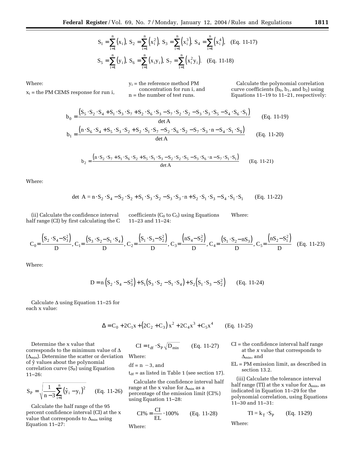$$
S_1 = \sum_{i=1}^{n} (x_i), S_2 = \sum_{i=1}^{n} (x_i^2), S_3 = \sum_{i=1}^{n} (x_i^3), S_4 = \sum_{i=1}^{n} (x_i^4), \text{ (Eq. 11-17)}
$$
  

$$
S_5 = \sum_{i=1}^{n} (y_i), S_6 = \sum_{i=1}^{n} (x_i y_i), S_7 = \sum_{i=1}^{n} (x_i^2 y_i).
$$
 (Eq. 11-18)

Where:

 $x_i$  = the PM CEMS response for run i,

 $y_i$  = the reference method PM concentration for run i, and n = the number of test runs.

Calculate the polynomial correlation curve coefficients  $(b_0, b_1,$  and  $b_2)$  using Equations 11–19 to 11–21, respectively:

$$
b_0 = \frac{(S_5 \cdot S_2 \cdot S_4 + S_1 \cdot S_3 \cdot S_7 + S_2 \cdot S_6 \cdot S_3 - S_7 \cdot S_2 \cdot S_2 - S_3 \cdot S_3 \cdot S_5 - S_4 \cdot S_6 \cdot S_1)}{\det A}
$$
(Eq. 11-19)  
\n
$$
b_1 = \frac{(n \cdot S_6 \cdot S_4 + S_5 \cdot S_3 \cdot S_2 + S_2 \cdot S_1 \cdot S_7 - S_2 \cdot S_6 \cdot S_2 - S_7 \cdot S_3 \cdot n - S_4 \cdot S_1 \cdot S_5)}{\det A}
$$
(Eq. 11-20)

$$
b_2 = \frac{(n \cdot S_2 \cdot S_7 + S_1 \cdot S_6 \cdot S_2 + S_5 \cdot S_1 \cdot S_3 - S_2 \cdot S_2 \cdot S_5 - S_3 \cdot S_6 \cdot n - S_7 \cdot S_1 \cdot S_1)}{\det A}
$$
 (Eq. 11-21)

Where:

$$
\det A = n \cdot S_2 \cdot S_4 - S_2 \cdot S_2 + S_1 \cdot S_3 \cdot S_2 - S_3 \cdot S_3 \cdot n + S_2 \cdot S_1 \cdot S_3 - S_4 \cdot S_1 \cdot S_1 \tag{Eq. 11-22}
$$

(ii) Calculate the confidence interval half range (CI) by first calculating the C coefficients ( $C_0$  to  $C_5$ ) using Equations 11–23 and 11–24: Where:

$$
C_0 = \frac{(S_2 \cdot S_4 - S_3^2)}{D}, C_1 = \frac{(S_3 \cdot S_2 - S_1 \cdot S_4)}{D}, C_2 = \frac{(S_1 \cdot S_3 - S_2^2)}{D}, C_3 = \frac{(nS_4 - S_2^2)}{D}, C_4 = \frac{(S_1 \cdot S_2 - nS_3)}{D}, C_5 = \frac{(nS_2 - S_1^2)}{D}
$$
 (Eq. 11-23)

Where:

$$
D = n(S_2 \cdot S_4 - S_3^2) + S_1(S_3 \cdot S_2 - S_1 \cdot S_4) + S_2(S_1 \cdot S_3 - S_2^2)
$$
 (Eq. 11-24)

Calculate  $\Delta$  using Equation 11–25 for each x value:

$$
\Delta = C_0 + 2C_1x + (2C_2 + C_3)x^2 + 2C_4x^3 + C_5x^4
$$
 (Eq. 11-25)

Determine the x value that corresponds to the minimum value of  $\Delta$  $(\Delta_{\min})$ . Determine the scatter or deviation of  $\hat{y}$  values about the polynomial correlation curve  $(S_P)$  using Equation 11–26:

$$
S_{P} = \sqrt{\frac{1}{n-3} \sum_{i=1}^{n} (\hat{y}_{i} - y_{i})^{2}}
$$
 (Eq. 11-26)

Calculate the half range of the 95 percent confidence interval (CI) at the x value that corresponds to  $\Delta_{\min}$  using Equation 11–27:

$$
CI = t_{df} \cdot S_P \sqrt{D_{min}} \qquad (Eq. 11-27)
$$

Where:

 $df = n - 3$ , and

 $t_{df}$  = as listed in Table 1 (see section 17).

Calculate the confidence interval half range at the x value for  $\Delta_{\text{min}}$  as a percentage of the emission limit (CI%) using Equation 11–28:

$$
CI\% = \frac{CI}{EL} \cdot 100\% \qquad (Eq. 11-28)
$$

Where:

- CI = the confidence interval half range at the *x* value that corresponds to  $\Delta_{\text{min}}$ , and
- EL = PM emission limit, as described in section 13.2.

(iii) Calculate the tolerance interval half range (TI) at the x value for  $\Delta_{\text{min}}$ , as indicated in Equation 11–29 for the polynomial correlation, using Equations 11–30 and 11–31:

$$
TI = k_T \cdot S_P
$$
 (Eq. 11-29)

Where: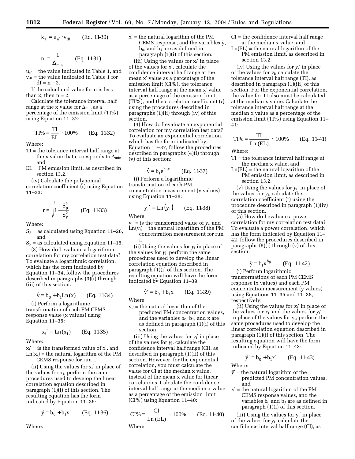$$
k_T = u_{n'} \cdot v_{df} \qquad (Eq.~11-30)
$$

$$
n' = \frac{1}{\Delta_{\min}} \qquad (Eq. 11-31)
$$

 $u_{n'}$  = the value indicated in Table 1, and  $v_{df}$  = the value indicated in Table 1 for  $df = n - 3.$ 

If the calculated value for n is less than 2, then  $n = 2$ .

Calculate the tolerance interval half range at the x value for  $\Delta_{\text{min}}$  as a percentage of the emission limit (TI%) using Equation 11–32:

$$
TI\% = \frac{TI}{EL} \cdot 100\% \qquad (Eq. 11-32)
$$

Where:

- TI = the tolerance interval half range at the x value that corresponds to  $\Delta_{\text{min}}$ , and
- EL = PM emission limit, as described in section 13.2.

(iv) Calculate the polynomial

correlation coefficient (r) using Equation 11–33:

$$
r = \sqrt{1 - \frac{S_p^2}{S_y^2}}
$$
 (Eq. 11-33)

Where:

 $S_P$  = as calculated using Equation 11–26, and

 $S_{v}$  = as calculated using Equation 11–15.

(3) How do I evaluate a logarithmic correlation for my correlation test data? To evaluate a logarithmic correlation, which has the form indicated by Equation 11–34, follow the procedures described in paragraphs (3)(i) through (iii) of this section.

$$
\hat{y} = b_0 + b_1 \text{Ln}(x)
$$
 (Eq. 11-34)

(i) Perform a logarithmic transformation of each PM CEMS response value (x values) using Equation 11–35:

$$
x_i' = Ln(x_i)
$$
 (Eq. 11-35)

Where:

 $x_i' = i$  s the transformed value of  $x_i$ , and  $Ln(x<sub>i</sub>)$  = the natural logarithm of the PM CEMS response for run i.

(ii) Using the values for  $x_i'$  in place of the values for  $x_i$ , perform the same procedures used to develop the linear correlation equation described in paragraph (1)(i) of this section. The resulting equation has the form indicated by Equation 11–36:

$$
\hat{y} = b_0 + b_1 x'
$$
 (Eq. 11-36)

Where:

 $x'$  = the natural logarithm of the PM CEMS response, and the variables  $\hat{v}$ ,  $b_0$ , and  $b_1$  are as defined in paragraph (1)(i) of this section.

(iii) Using the values for  $x_i'$  in place of the values for  $x_i$ , calculate the confidence interval half range at the mean x′ value as a percentage of the emission limit (CI%), the tolerance interval half range at the mean x′ value as a percentage of the emission limit (TI%), and the correlation coefficient (*r*) using the procedures described in paragraphs (1)(ii) through (iv) of this section.

(4) How do I evaluate an exponential correlation for my correlation test data? To evaluate an exponential correlation, which has the form indicated by Equation 11–37, follow the procedures described in paragraphs (4)(i) through (v) of this section:

$$
\hat{y} = b_1 e^{b_0 x}
$$
 (Eq. 11-37)

(i) Perform a logarithmic transformation of each PM concentration measurement (y values) using Equation 11–38:

$$
y_i' = Ln(y_i)
$$
 (Eq. 11-38)

Where:

yi′ = is the transformed value of *y*i, and  $Ln(y_i)$  = the natural logarithm of the PM concentration measurement for run

i.

(ii) Using the values for *y*i in place of the values for *y*i′ perform the same procedures used to develop the linear correlation equation described in paragraph (1)(i) of this section. The resulting equation will have the form indicated by Equation 11–39.

$$
\hat{y}' = b_0 + b_1 x
$$
 (Eq. 11-39)

Where:

 $\hat{v}_{i'}$  = the natural logarithm of the predicted PM concentration values, and the variables  $b_0$ ,  $b_1$ , and x are as defined in paragraph (1)(i) of this section.

(iii) Using the values for  $y_i$  in place of the values for *y*i, calculate the confidence interval half range (CI), as described in paragraph (1)(ii) of this section. However, for the exponential correlation, you must calculate the value for CI at the median x value, instead of the mean x value for linear correlations. Calculate the confidence interval half range at the median x value as a percentage of the emission limit (CI%) using Equation 11–40:

CI% = 
$$
\frac{CI}{Ln (EL)}
$$
 · 100% (Eq. 11-40)  
Where:

 $CI =$  the confidence interval half range at the median x value, and

 $Ln(EL) =$  the natural logarithm of the PM emission limit, as described in section 13.2.

(iv) Using the values for *y*i′ in place of the values for *y*i, calculate the tolerance interval half range (TI), as described in paragraph (1)(iii) of this section. For the exponential correlation, the value for TI also must be calculated at the median x value. Calculate the tolerance interval half range at the median x value as a percentage of the emission limit (TI%) using Equation 11– 41:

$$
TI\% = \frac{TI}{Ln (EL)} \cdot 100\% \qquad (Eq. 11-41)
$$

Where:

- TI = the tolerance interval half range at the median x value, and
- $Ln(EL) =$  the natural logarithm of the PM emission limit, as described in section 13.2.

(v) Using the values for *y*i' in place of the values for *y*i, calculate the correlation coefficient (r) using the procedure described in paragraph (1)(iv) of this section.

(5) How do I evaluate a power correlation for my correlation test data? To evaluate a power correlation, which has the form indicated by Equation 11– 42, follow the procedures described in paragraphs (5)(i) through (v) of this section.

$$
\hat{y} = b_1 x^{b_0}
$$
 (Eq. 11-42)

(i) Perform logarithmic transformations of each PM CEMS response (x values) and each PM concentration measurement (y values) using Equations 11–35 and 11–38, respectively.

(ii) Using the values for *x*i′ in place of the values for  $x_i$ , and the values for  $y_i'$ in place of the values for  $y_i$ , perform the same procedures used to develop the linear correlation equation described in paragraph (1)(i) of this section. The resulting equation will have the form indicated by Equation 11–43:

$$
\hat{y}' = b_0 + b_1 x'
$$
 (Eq. 11-43)

Where:

- *yˆ*′ = the natural logarithm of the predicted PM concentration values, and
- *x*′ = the natural logarithm of the PM CEMS response values, and the variables  $b_0$  and  $b_1$  are as defined in paragraph (1)(i) of this section.

(iii) Using the values for yi′ in place of the values for yi, calculate the confidence interval half range (CI), as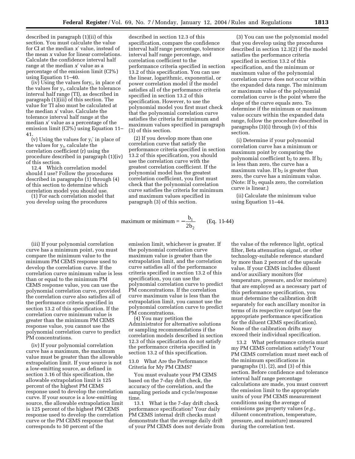described in paragraph (1)(ii) of this section. You must calculate the value for CI at the median *x*′ value, instead of the mean *x* value for linear correlations. Calculate the confidence interval half range at the median *x*′ value as a percentage of the emission limit (CI%) using Equation 11–40.

(iv) Using the values foryi, in place of the values for y<sub>i</sub>, calculate the tolerance interval half range (TI), as described in paragraph (1)(iii) of this section. The value for TI also must be calculated at the median *x*′ value. Calculate the tolerance interval half range at the median *x*′ value as a percentage of the emission limit (CI%) using Equation 11– 41.

(v) Using the values for yi′ in place of the values for yi, calculate the correlation coefficient (r) using the procedure described in paragraph (1)(iv) of this section.

12.4 Which correlation model should I use? Follow the procedures described in paragraphs (1) through (4) of this section to determine which correlation model you should use.

(1) For each correlation model that you develop using the procedures

described in section 12.3 of this specification, compare the confidence interval half range percentage, tolerance interval half range percentage, and correlation coefficient to the performance criteria specified in section 13.2 of this specification. You can use the linear, logarithmic, exponential, or power correlation model if the model satisfies all of the performance criteria specified in section 13.2 of this specification. However, to use the polynomial model you first must check that the polynomial correlation curve satisfies the criteria for minimum and maximum values specified in paragraph (3) of this section.

(2) If you develop more than one correlation curve that satisfy the performance criteria specified in section 13.2 of this specification, you should use the correlation curve with the greatest correlation coefficient. If the polynomial model has the greatest correlation coefficient, you first must check that the polynomial correlation curve satisfies the criteria for minimum and maximum values specified in paragraph (3) of this section.

maximum or minimum 
$$
= -\frac{b_1}{2b_2}
$$
 (Eq. 11-44)

(iii) If your polynomial correlation curve has a minimum point, you must compare the minimum value to the minimum PM CEMS response used to develop the correlation curve. If the correlation curve minimum value is less than or equal to the minimum PM CEMS response value, you can use the polynomial correlation curve, provided the correlation curve also satisfies all of the performance criteria specified in section 13.2 of this specification. If the correlation curve minimum value is greater than the minimum PM CEMS response value, you cannot use the polynomial correlation curve to predict PM concentrations.

(iv) If your polynomial correlation curve has a maximum, the maximum value must be greater than the allowable extrapolation limit. If your source is not a low-emitting source, as defined in section 3.16 of this specification, the allowable extrapolation limit is 125 percent of the highest PM CEMS response used to develop the correlation curve. If your source is a low-emitting source, the allowable extrapolation limit is 125 percent of the highest PM CEMS response used to develop the correlation curve or the PM CEMS response that corresponds to 50 percent of the

emission limit, whichever is greater. If the polynomial correlation curve maximum value is greater than the extrapolation limit, and the correlation curve satisfies all of the performance criteria specified in section 13.2 of this specification, you can use the polynomial correlation curve to predict PM concentrations. If the correlation curve maximum value is less than the extrapolation limit, you cannot use the polynomial correlation curve to predict PM concentrations.

(4) You may petition the Administrator for alternative solutions or sampling recommendations if the correlation models described in section 12.3 of this specification do not satisfy the performance criteria specified in section 13.2 of this specification.

#### 13.0 What Are the Performance Criteria for My PM CEMS?

You must evaluate your PM CEMS based on the 7-day drift check, the accuracy of the correlation, and the sampling periods and cycle/response time.

13.1 What is the 7-day drift check performance specification? Your daily PM CEMS internal drift checks must demonstrate that the average daily drift of your PM CEMS does not deviate from

(3) You can use the polynomial model that you develop using the procedures described in section 12.3(2) if the model satisfies the performance criteria specified in section 13.2 of this specification, and the minimum or maximum value of the polynomial correlation curve does not occur within the expanded data range. The minimum or maximum value of the polynomial correlation curve is the point where the slope of the curve equals zero. To determine if the minimum or maximum value occurs within the expanded data range, follow the procedure described in paragraphs (3)(i) through (iv) of this section.

(i) Determine if your polynomial correlation curve has a minimum or maximum point by comparing the polynomial coefficient  $b_2$  to zero. If  $b_2$ is less than zero, the curve has a maximum value. If  $b_2$  is greater than zero, the curve has a minimum value. (Note: If  $b_2$  equals zero, the correlation curve is linear.)

(ii) Calculate the minimum value using Equation 11–44.

the value of the reference light, optical filter, Beta attenuation signal, or other technology-suitable reference standard by more than 2 percent of the upscale value. If your CEMS includes diluent and/or auxiliary monitors (for temperature, pressure, and/or moisture) that are employed as a necessary part of this performance specification, you must determine the calibration drift separately for each ancillary monitor in terms of its respective output (see the appropriate performance specification for the diluent CEMS specification). None of the calibration drifts may exceed their individual specification.

13.2 What performance criteria must my PM CEMS correlation satisfy? Your PM CEMS correlation must meet each of the minimum specifications in paragraphs (1), (2), and (3) of this section. Before confidence and tolerance interval half range percentage calculations are made, you must convert the emission limit to the appropriate units of your PM CEMS measurement conditions using the average of emissions gas property values (*e.g.*, diluent concentration, temperature, pressure, and moisture) measured during the correlation test.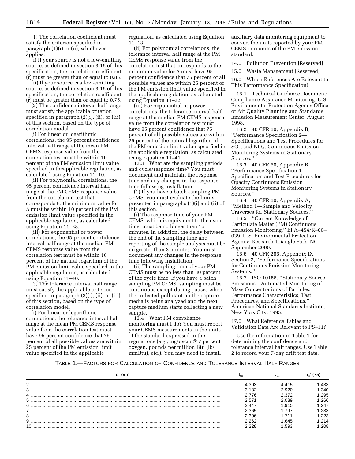(1) The correlation coefficient must satisfy the criterion specified in paragraph (1)(i) or (ii), whichever applies.

(i) If your source is not a low-emitting source, as defined in section 3.16 of this specification, the correlation coefficient (r) must be greater than or equal to 0.85.

(ii) If your source is a low-emitting source, as defined in section 3.16 of this specification, the correlation coefficient (r) must be greater than or equal to 0.75.

(2) The confidence interval half range must satisfy the applicable criterion specified in paragraph (2)(i), (ii), or (iii) of this section, based on the type of correlation model.

(i) For linear or logarithmic correlations, the 95 percent confidence interval half range at the mean PM CEMS response value from the correlation test must be within 10 percent of the PM emission limit value specified in theapplicable regulation, as calculated using Equation 11–10.

(ii) For polynomial correlations, the 95 percent confidence interval half range at the PM CEMS response value from the correlation test that corresponds to the minimum value for  $\Delta$  must be within 10 percent of the PM emission limit value specified in the applicable regulation, as calculated using Equation 11–28.

(iii) For exponential or power correlations, the 95 percent confidence interval half range at the median PM CEMS response value from the correlation test must be within 10 percent of the natural logarithm of the PM emission limit value specified in the applicable regulation, as calculated using Equation 11–40.

(3) The tolerance interval half range must satisfy the applicable criterion specified in paragraph (3)(i), (ii), or (iii) of this section, based on the type of correlation model.

(i) For linear or logarithmic correlations, the tolerance interval half range at the mean PM CEMS response value from the correlation test must have 95 percent confidence that 75 percent of all possible values are within 25 percent of the PM emission limit value specified in the applicable

regulation, as calculated using Equation 11–13.

(ii) For polynomial correlations, the tolerance interval half range at the PM CEMS response value from the correlation test that corresponds to the minimum value for  $\Delta$  must have 95 percent confidence that 75 percent of all possible values are within 25 percent of the PM emission limit value specified in the applicable regulation, as calculated using Equation 11–32.

(iii) For exponential or power correlations, the tolerance interval half range at the median PM CEMS response value from the correlation test must have 95 percent confidence that 75 percent of all possible values are within 25 percent of the natural logarithm of the PM emission limit value specified in the applicable regulation, as calculated using Equation 11–41.

13.3 What are the sampling periods and cycle/response time? You must document and maintain the response time and any changes in the response time following installation.

(1) If you have a batch sampling PM CEMS, you must evaluate the limits presented in paragraphs (1)(i) and (ii) of this section.

(i) The response time of your PM CEMS, which is equivalent to the cycle time, must be no longer than 15 minutes. In addition, the delay between the end of the sampling time and reporting of the sample analysis must be no greater than 3 minutes. You must document any changes in the response time following installation.

(ii) The sampling time of your PM CEMS must be no less than 30 percent of the cycle time. If you have a batch sampling PM CEMS, sampling must be continuous except during pauses when the collected pollutant on the capture media is being analyzed and the next capture medium starts collecting a new sample.

13.4 What PM compliance monitoring must I do? You must report your CEMS measurements in the units of the standard expressed in the regulations (*e.g.*, mg/dscm @ 7 percent oxygen, pounds per million Btu (lb/ mmBtu), etc.). You may need to install

auxiliary data monitoring equipment to convert the units reported by your PM CEMS into units of the PM emission standard.

14.0 Pollution Prevention [Reserved]

15.0 Waste Management [Reserved]

16.0 Which References Are Relevant to This Performance Specification?

16.1 Technical Guidance Document: Compliance Assurance Monitoring. U.S. Environmental Protection Agency Office of Air Quality Planning and Standards Emission Measurement Center. August 1998.

16.2 40 CFR 60, Appendix B, ''Performance Specification 2— Specifications and Test Procedures for  $SO_2$ , and  $NO<sub>X</sub>$ , Continuous Emission Monitoring Systems in Stationary Sources.''

16.3 40 CFR 60, Appendix B, ''Performance Specification 1— Specification and Test Procedures for Opacity Continuous Emission Monitoring Systems in Stationary Sources.''

16.4 40 CFR 60, Appendix A, ''Method 1—Sample and Velocity Traverses for Stationary Sources.''

16.5 ''Current Knowledge of Particulate Matter (PM) Continuous Emission Monitoring.'' EPA–454/R–00– 039. U.S. Environmental Protection Agency, Research Triangle Park, NC. September 2000.

16.6 40 CFR 266, Appendix IX, Section 2, ''Performance Specifications for Continuous Emission Monitoring Systems.''

16.7 ISO 10155, ''Stationary Source Emissions—Automated Monitoring of Mass Concentrations of Particles: Performance Characteristics, Test Procedures, and Specifications.'' American National Standards Institute, New York City. 1995.

17.0 What Reference Tables and Validation Data Are Relevant to PS–11?

Use the information in Table 1 for determining the confidence and tolerance interval half ranges. Use Table 2 to record your 7-day drift test data.

#### TABLE 1.—FACTORS FOR CALCULATION OF CONFIDENCE AND TOLERANCE INTERVAL HALF RANGES

| df or n' |       |        |      |
|----------|-------|--------|------|
| ◠        | .303  | 4.415  | .433 |
|          | 3.182 | 2.920  | .340 |
|          | 7.776 | 2 372  | .295 |
|          | 2.571 | 2.089  | .266 |
| 6        | 2.447 | .915   | .247 |
|          | 2.365 | 797. ا | .233 |
| 8        | 2.306 |        | .223 |
| 9        | 2.262 | .645   | 214  |
| 10       |       |        | 208  |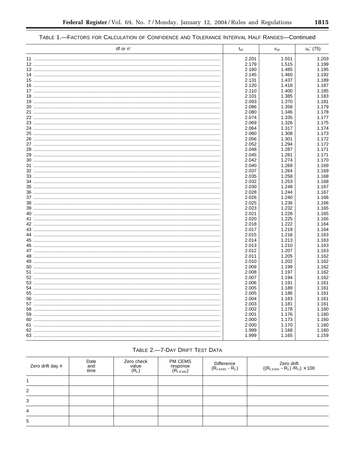## TABLE 1.-FACTORS FOR CALCULATION OF CONFIDENCE AND TOLERANCE INTERVAL HALF RANGES-Continued

| df or n' | $t_{\text{df}}$ | $V_{df}$ | $u_n'$ (75) |
|----------|-----------------|----------|-------------|
|          | 2.201           | 1.551    | 1.203       |
|          | 2.179           | 1.515    | 1.199       |
|          | 2.160           | 1.485    | 1.195       |
|          | 2.145           | 1.460    | 1.192       |
|          | 2.131           | 1.437    | 1.189       |
|          | 2.120           | 1.418    | 1.187       |
|          | 2.110           | 1.400    | 1.185       |
|          | 2.101           | 1.385    | 1.183       |
|          | 2.093           | 1.370    | 1.181       |
|          | 2.086           | 1.358    | 1.179       |
|          | 2.080           | 1.346    | 1.178       |
|          | 2.074           | 1.335    | 1.177       |
|          | 2.069           | 1.326    | 1.175       |
|          | 2.064           | 1.317    | 1.174       |
|          | 2.060           | 1.308    | 1.173       |
|          | 2.056           | 1.301    | 1.172       |
|          | 2.052           | 1.294    | 1.172       |
|          | 2.048           | 1.287    | 1.171       |
|          | 2.045           | 1.281    | 1.171       |
|          | 2.042           | 1.274    | 1.170       |
|          | 2.040           | 1.269    | 1.169       |
|          | 2.037           | 1.264    | 1.169       |
|          | 2.035           | 1.258    | 1.168       |
|          | 2.032           | 1.253    | 1.168       |
|          | 2.030           | 1.248    | 1.167       |
|          | 2.028           | 1.244    | 1.167       |
|          | 2.026           | 1.240    | 1.166       |
|          | 2.025           | 1.236    | 1.166       |
|          | 2.023           | 1.232    | 1.165       |
|          | 2.021           | 1.228    | 1.165       |
|          | 2.020           | 1.225    | 1.165       |
|          | 2.018           | 1.222    | 1.164       |
|          | 2.017           | 1.219    | 1.164       |
|          | 2.015           | 1.216    | 1.163       |
|          | 2.014           | 1.213    | 1.163       |
|          | 2.013           | 1.210    | 1.163       |
|          | 2.012           | 1.207    | 1.163       |
|          | 2.011           | 1.205    | 1.162       |
|          | 2.010           | 1.202    | 1.162       |
|          | 2.009           | 1.199    | 1.162       |
|          | 2.008           | 1.197    | 1.162       |
|          | 2.007           | 1.194    | 1.162       |
|          | 2.006           | 1.191    | 1.161       |
|          | 2.005           | 1.189    | 1.161       |
|          | 2.005           | 1.186    | 1.161       |
|          | 2.004           | 1.183    | 1.161       |
|          | 2.003           | 1.181    | 1.161       |
|          | 2.002           | 1.178    | 1.160       |
|          | 2.001           | 1.176    | 1.160       |
|          | 2.000           | 1.173    | 1.160       |
|          | 2.000           | 1.170    | 1.160       |
|          | 1.999           | 1.168    | 1.160       |
|          | 1.999           | 1.165    | 1.159       |

## TABLE 2 .- 7-DAY DRIFT TEST DATA

| Zero drift day # | Date<br>and<br>time | Zero check<br>value<br>$(R_L)$ | PM CEMS<br>response<br>(R <sub>CEMS</sub> ) | Difference<br>$(RCEMS - RL)$ | Zero drift<br>$((R_{\text{CEMS}} - R_{\text{L}})/R_{\text{U}}) \times 100$ |
|------------------|---------------------|--------------------------------|---------------------------------------------|------------------------------|----------------------------------------------------------------------------|
|                  |                     |                                |                                             |                              |                                                                            |
| 2                |                     |                                |                                             |                              |                                                                            |
| 3                |                     |                                |                                             |                              |                                                                            |
| 4                |                     |                                |                                             |                              |                                                                            |
| 5                |                     |                                |                                             |                              |                                                                            |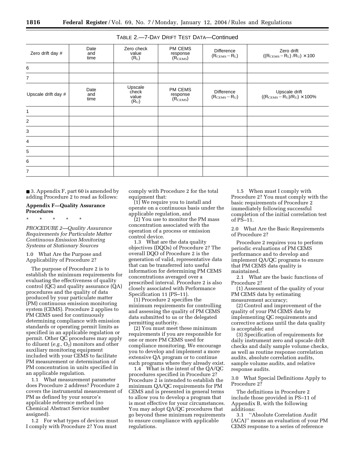| TABLE 2.-7-DAY DRIFT TEST DATA-Continued |  |  |
|------------------------------------------|--|--|
|------------------------------------------|--|--|

| Zero drift day #    | Date<br>and<br>time | Zero check<br>value<br>$(R_L)$       | PM CEMS<br>response<br>$(\dot{R}_{\text{CEMS}})$ | <b>Difference</b><br>$(RCEMS - RL)$ | Zero drift<br>$((RCEMS - RL) / RU) \times 100$                                 |
|---------------------|---------------------|--------------------------------------|--------------------------------------------------|-------------------------------------|--------------------------------------------------------------------------------|
| 6                   |                     |                                      |                                                  |                                     |                                                                                |
| $\overline{7}$      |                     |                                      |                                                  |                                     |                                                                                |
| Upscale drift day # | Date<br>and<br>time | Upscale<br>check<br>value<br>$(R_U)$ | PM CEMS<br>response<br>(R <sub>CEMS</sub> )      | Difference<br>$(RCEMS - RU)$        | Upscale drift<br>((R <sub>CEMS</sub> -R <sub>U</sub> )/R <sub>U</sub> ) × 100% |
| 1                   |                     |                                      |                                                  |                                     |                                                                                |
| $\overline{c}$      |                     |                                      |                                                  |                                     |                                                                                |
| 3                   |                     |                                      |                                                  |                                     |                                                                                |
| 4                   |                     |                                      |                                                  |                                     |                                                                                |
| 5                   |                     |                                      |                                                  |                                     |                                                                                |
| 6                   |                     |                                      |                                                  |                                     |                                                                                |
| $\overline{7}$      |                     |                                      |                                                  |                                     |                                                                                |
|                     |                     |                                      |                                                  |                                     |                                                                                |

■ 3. Appendix F, part 60 is amended by adding Procedure 2 to read as follows:

**Appendix F—Quality Assurance Procedures**

\* \* \* \* \*

*PROCEDURE 2—Quality Assurance Requirements for Particulate Matter Continuous Emission Monitoring Systems at Stationary Sources* 

1.0 What Are the Purpose and Applicability of Procedure 2?

The purpose of Procedure 2 is to establish the minimum requirements for evaluating the effectiveness of quality control (QC) and quality assurance (QA) procedures and the quality of data produced by your particulate matter (PM) continuous emission monitoring system (CEMS). Procedure 2 applies to PM CEMS used for continuously determining compliance with emission standards or operating permit limits as specified in an applicable regulation or permit. Other QC procedures may apply to diluent  $(e.g., O_2)$  monitors and other auxiliary monitoring equipment included with your CEMS to facilitate PM measurement or determination of PM concentration in units specified in an applicable regulation.

1.1 What measurement parameter does Procedure 2 address? Procedure 2 covers the instrumental measurement of PM as defined by your source's applicable reference method (no Chemical Abstract Service number assigned).

1.2 For what types of devices must I comply with Procedure 2? You must

comply with Procedure 2 for the total equipment that:

(1) We require you to install and operate on a continuous basis under the applicable regulation, and

(2) You use to monitor the PM mass concentration associated with the operation of a process or emission control device.

1.3 What are the data quality objectives (DQOs) of Procedure 2? The overall DQO of Procedure 2 is the generation of valid, representative data that can be transferred into useful information for determining PM CEMS concentrations averaged over a prescribed interval. Procedure 2 is also closely associated with Performance Specification 11 (PS–11).

(1) Procedure 2 specifies the minimum requirements for controlling and assessing the quality of PM CEMS data submitted to us or the delegated permitting authority.

(2) You must meet these minimum requirements if you are responsible for one or more PM CEMS used for compliance monitoring. We encourage you to develop and implement a more extensive QA program or to continue such programs where they already exist.

1.4 What is the intent of the QA/QC procedures specified in Procedure 2? Procedure 2 is intended to establish the minimum QA/QC requirements for PM CEMS and is presented in general terms to allow you to develop a program that is most effective for your circumstances. You may adopt QA/QC procedures that go beyond these minimum requirements to ensure compliance with applicable regulations.

1.5 When must I comply with Procedure 2? You must comply with the basic requirements of Procedure 2 immediately following successful completion of the initial correlation test of PS–11.

2.0 What Are the Basic Requirements of Procedure 2?

Procedure 2 requires you to perform periodic evaluations of PM CEMS performance and to develop and implement QA/QC programs to ensure that PM CEMS data quality is maintained.

2.1 What are the basic functions of Procedure 2?

(1) Assessment of the quality of your PM CEMS data by estimating measurement accuracy;

(2) Control and improvement of the quality of your PM CEMS data by implementing QC requirements and corrective actions until the data quality is acceptable; and

(3) Specification of requirements for daily instrument zero and upscale drift checks and daily sample volume checks, as well as routine response correlation audits, absolute correlation audits, sample volume audits, and relative response audits.

3.0 What Special Definitions Apply to Procedure 2?

The definitions in Procedure 2 include those provided in PS–11 of Appendix B, with the following additions:

3.1 ''Absolute Correlation Audit (ACA)'' means an evaluation of your PM CEMS response to a series of reference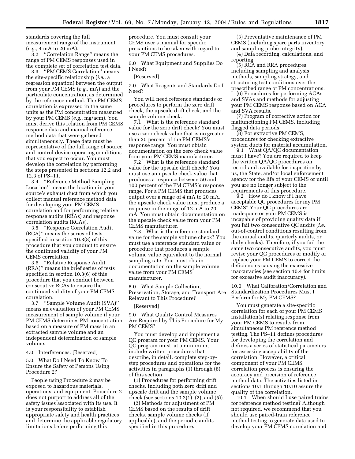standards covering the full measurement range of the instrument (*e.g.*, 4 mA to 20 mA).

3.2 ''Correlation Range'' means the range of PM CEMS responses used in the complete set of correlation test data.

3.3 ''PM CEMS Correlation'' means the site-specific relationship (*i.e.*, a regression equation) between the output from your PM CEMS (*e.g.*, mA) and the particulate concentration, as determined by the reference method. The PM CEMS correlation is expressed in the same units as the PM concentration measured by your PM CEMS (*e.g.*, mg/acm). You must derive this relation from PM CEMS response data and manual reference method data that were gathered simultaneously. These data must be representative of the full range of source and control device operating conditions that you expect to occur. You must develop the correlation by performing the steps presented in sections 12.2 and 12.3 of PS–11.

3.4 ''Reference Method Sampling Location'' means the location in your source's exhaust duct from which you collect manual reference method data for developing your PM CEMS correlation and for performing relative response audits (RRAs) and response correlation audits (RCAs).

3.5 ''Response Correlation Audit (RCA)'' means the series of tests specified in section 10.3(8) of this procedure that you conduct to ensure the continued validity of your PM CEMS correlation.

3.6 ''Relative Response Audit (RRA)'' means the brief series of tests specified in section 10.3(6) of this procedure that you conduct between consecutive RCAs to ensure the continued validity of your PM CEMS correlation.

3.7 ''Sample Volume Audit (SVA)'' means an evaluation of your PM CEMS measurement of sample volume if your PM CEMS determines PM concentration based on a measure of PM mass in an extracted sample volume and an independent determination of sample volume.

4.0 Interferences. [Reserved]

5.0 What Do I Need To Know To Ensure the Safety of Persons Using Procedure 2?

People using Procedure 2 may be exposed to hazardous materials, operations, and equipment. Procedure 2 does not purport to address all of the safety issues associated with its use. It is your responsibility to establish appropriate safety and health practices and determine the applicable regulatory limitations before performing this

procedure. You must consult your CEMS user's manual for specific precautions to be taken with regard to your PM CEMS procedures.

6.0 What Equipment and Supplies Do I Need?

[Reserved]

7.0 What Reagents and Standards Do I Need?

You will need reference standards or procedures to perform the zero drift check, the upscale drift check, and the sample volume check.

7.1 What is the reference standard value for the zero drift check? You must use a zero check value that is no greater than 20 percent of the PM CEMS's response range. You must obtain documentation on the zero check value from your PM CEMS manufacturer.

7.2 What is the reference standard value for the upscale drift check? You must use an upscale check value that produces a response between 50 and 100 percent of the PM CEMS's response range. For a PM CEMS that produces output over a range of 4 mA to 20 mA, the upscale check value must produce a response in the range of 12 mA to 20 mA. You must obtain documentation on the upscale check value from your PM CEMS manufacturer.

7.3 What is the reference standard value for the sample volume check? You must use a reference standard value or procedure that produces a sample volume value equivalent to the normal sampling rate. You must obtain documentation on the sample volume value from your PM CEMS manufacturer.

8.0 What Sample Collection, Preservation, Storage, and Transport Are Relevant to This Procedure?

#### [Reserved]

9.0 What Quality Control Measures Are Required by This Procedure for My PM CEMS?

You must develop and implement a QC program for your PM CEMS. Your QC program must, at a minimum, include written procedures that describe, in detail, complete step-bystep procedures and operations for the activities in paragraphs (1) through (8) of this section.

(1) Procedures for performing drift checks, including both zero drift and upscale drift and the sample volume check (see sections  $10.2(1)$ ,  $(2)$ , and  $(5)$ ).

(2) Methods for adjustment of PM CEMS based on the results of drift checks, sample volume checks (if applicable), and the periodic audits specified in this procedure.

(3) Preventative maintenance of PM CEMS (including spare parts inventory and sampling probe integrity).

(4) Data recording, calculations, and reporting.

(5) RCA and RRA procedures, including sampling and analysis methods, sampling strategy, and structuring test conditions over the prescribed range of PM concentrations.

(6) Procedures for performing ACAs and SVAs and methods for adjusting your PM CEMS response based on ACA and SVA results.

(7) Program of corrective action for malfunctioning PM CEMS, including flagged data periods.

(8) For extractive PM CEMS, procedures for checking extractive system ducts for material accumulation.

9.1 What QA/QC documentation must I have? You are required to keep the written QA/QC procedures on record and available for inspection by us, the State, and/or local enforcement agency for the life of your CEMS or until you are no longer subject to the requirements of this procedure.

9.2 How do I know if I have acceptable QC procedures for my PM CEMS? Your QC procedures are inadequate or your PM CEMS is incapable of providing quality data if you fail two consecutive QC audits (*i.e.*, out-of-control conditions resulting from the annual audits, quarterly audits, or daily checks). Therefore, if you fail the same two consecutive audits, you must revise your QC procedures or modify or replace your PM CEMS to correct the deficiencies causing the excessive inaccuracies (see section 10.4 for limits for excessive audit inaccuracy).

10.0 What Calibration/Correlation and Standardization Procedures Must I Perform for My PM CEMS?

You must generate a site-specific correlation for each of your PM CEMS installation(s) relating response from your PM CEMS to results from simultaneous PM reference method testing. The PS–11 defines procedures for developing the correlation and defines a series of statistical parameters for assessing acceptability of the correlation. However, a critical component of your PM CEMS correlation process is ensuring the accuracy and precision of reference method data. The activities listed in sections 10.1 through 10.10 assure the quality of the correlation.

10.1 When should I use paired trains for reference method testing? Although not required, we recommend that you should use paired-train reference method testing to generate data used to develop your PM CEMS correlation and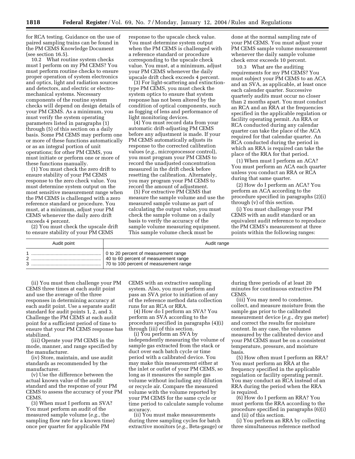for RCA testing. Guidance on the use of paired sampling trains can be found in the PM CEMS Knowledge Document (see section 16.5).

10.2 What routine system checks must I perform on my PM CEMS? You must perform routine checks to ensure proper operation of system electronics and optics, light and radiation sources and detectors, and electric or electromechanical systems. Necessary components of the routine system checks will depend on design details of your PM CEMS. As a minimum, you must verify the system operating parameters listed in paragraphs (1) through (5) of this section on a daily basis. Some PM CEMS may perform one or more of these functions automatically or as an integral portion of unit operations; for other PM CEMS, you must initiate or perform one or more of these functions manually.

(1) You must check the zero drift to ensure stability of your PM CEMS response to the zero check value. You must determine system output on the most sensitive measurement range when the PM CEMS is challenged with a zero reference standard or procedure. You must, at a minimum, adjust your PM CEMS whenever the daily zero drift exceeds 4 percent.

(2) You must check the upscale drift to ensure stability of your PM CEMS

response to the upscale check value. You must determine system output when the PM CEMS is challenged with a reference standard or procedure corresponding to the upscale check value. You must, at a minimum, adjust your PM CEMS whenever the daily upscale drift check exceeds 4 percent.

(3) For light-scattering and extinctiontype PM CEMS, you must check the system optics to ensure that system response has not been altered by the condition of optical components, such as fogging of lens and performance of light monitoring devices.

(4) You must record data from your automatic drift-adjusting PM CEMS before any adjustment is made. If your PM CEMS automatically adjusts its response to the corrected calibration values (*e.g.*, microprocessor control), you must program your PM CEMS to record the unadjusted concentration measured in the drift check before resetting the calibration. Alternately, you may program your PM CEMS to record the amount of adjustment.

(5) For extractive PM CEMS that measure the sample volume and use the measured sample volume as part of calculating the output value, you must check the sample volume on a daily basis to verify the accuracy of the sample volume measuring equipment. This sample volume check must be

done at the normal sampling rate of your PM CEMS. You must adjust your PM CEMS sample volume measurement whenever the daily sample volume check error exceeds 10 percent.

10.3 What are the auditing requirements for my PM CEMS? You must subject your PM CEMS to an ACA and an SVA, as applicable, at least once each calender quarter. Successive quarterly audits must occur no closer than 2 months apart. You must conduct an RCA and an RRA at the frequencies specified in the applicable regulation or facility operating permit. An RRA or RCA conducted during any calendar quarter can take the place of the ACA required for that calendar quarter. An RCA conducted during the period in which an RRA is required can take the place of the RRA for that period.

(1) When must I perform an ACA? You must perform an ACA each quarter unless you conduct an RRA or RCA during that same quarter.

(2) How do I perform an ACA? You perform an ACA according to the procedure specified in paragraphs (2)(i) through (v) of this section.

(i) You must challenge your PM CEMS with an audit standard or an equivalent audit reference to reproduce the PM CEMS's measurement at three points within the following ranges:

| Audit point | Audit range                                                                                                             |
|-------------|-------------------------------------------------------------------------------------------------------------------------|
|             | 0 to 20 percent of measurement range<br>40 to 60 percent of measurement range<br>70 to 100 percent of measurement range |

(ii) You must then challenge your PM CEMS three times at each audit point and use the average of the three responses in determining accuracy at each audit point. Use a separate audit standard for audit points 1, 2, and 3. Challenge the PM CEMS at each audit point for a sufficient period of time to ensure that your PM CEMS response has stabilized.

(iii) Operate your PM CEMS in the mode, manner, and range specified by the manufacturer.

(iv) Store, maintain, and use audit standards as recommended by the manufacturer.

(v) Use the difference between the actual known value of the audit standard and the response of your PM CEMS to assess the accuracy of your PM **CEMS** 

(3) When must I perform an SVA? You must perform an audit of the measured sample volume (*e.g.*, the sampling flow rate for a known time) once per quarter for applicable PM

CEMS with an extractive sampling system. Also, you must perform and pass an SVA prior to initiation of any of the reference method data collection runs for an RCA or RRA.

(4) How do I perform an SVA? You perform an SVA according to the procedure specified in paragraphs (4)(i) through (iii) of this section.

(i) You perform an SVA by independently measuring the volume of sample gas extracted from the stack or duct over each batch cycle or time period with a calibrated device. You may make this measurement either at the inlet or outlet of your PM CEMS, so long as it measures the sample gas volume without including any dilution or recycle air. Compare the measured volume with the volume reported by your PM CEMS for the same cycle or time period to calculate sample volume accuracy.

(ii) You must make measurements during three sampling cycles for batch extractive monitors (*e.g.*, Beta-gauge) or during three periods of at least 20 minutes for continuous extractive PM CEMS.

(iii) You may need to condense, collect, and measure moisture from the sample gas prior to the calibrated measurement device (*e.g.*, dry gas meter) and correct the results for moisture content. In any case, the volumes measured by the calibrated device and your PM CEMS must be on a consistent temperature, pressure, and moisture basis.

(5) How often must I perform an RRA? You must perform an RRA at the frequency specified in the applicable regulation or facility operating permit. You may conduct an RCA instead of an RRA during the period when the RRA is required.

(6) How do I perform an RRA? You must perform the RRA according to the procedure specified in paragraphs (6)(i) and (ii) of this section.

(i) You perform an RRA by collecting three simultaneous reference method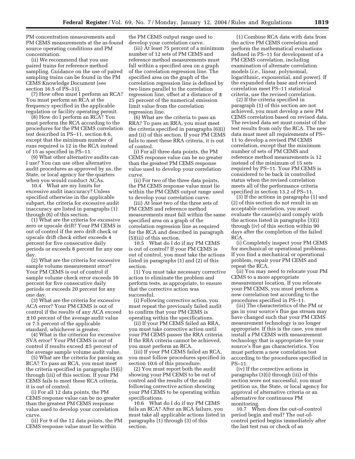PM concentration measurements and PM CEMS measurements at the as-found source operating conditions and PM concentration.

(ii) We recommend that you use paired trains for reference method sampling. Guidance on the use of paired sampling trains can be found in the PM CEMS Knowledge Document (see section 16.5 of PS–11).

(7) How often must I perform an RCA? You must perform an RCA at the frequency specified in the applicable regulation or facility operating permit.

(8) How do I perform an RCA? You must perform the RCA according to the procedures for the PM CEMS correlation test described in PS–11, section 8.6, except that the minimum number of runs required is 12 in the RCA instead of 15 as specified in PS–11.

(9) What other alternative audits can I use? You can use other alternative audit procedures as approved by us, the State, or local agency for the quarters when you would conduct ACAs.

10.4 What are my limits for excessive audit inaccuracy? Unless specified otherwise in the applicable subpart, the criteria for excessive audit inaccuracy are listed in paragraphs (1) through (6) of this section.

(1) What are the criteria for excessive zero or upscale drift? Your PM CEMS is out of control if the zero drift check or upscale drift check either exceeds 4 percent for five consecutive daily periods or exceeds 8 percent for any one day.

(2) What are the criteria for excessive sample volume measurement error? Your PM CEMS is out of control if sample volume check error exceeds 10 percent for five consecutive daily periods or exceeds 20 percent for any one day.

(3) What are the criteria for excessive ACA error? Your PM CEMS is out of control if the results of any ACA exceed ± 10 percent of the average audit value or 7.5 percent of the applicable standard, whichever is greater.

(4) What is the criterion for excessive SVA error? Your PM CEMS is out of control if results exceed  $\pm$  5 percent of the average sample volume audit value.

(5) What are the criteria for passing an RCA? To pass an RCA, you must meet the criteria specified in paragraphs (5)(i) through (iii) of this section. If your PM CEMS fails to meet these RCA criteria, it is out of control.

(i) For all 12 data points, the PM CEMS response value can be no greater than the greatest PM CEMS response value used to develop your correlation curve.

(ii) For 9 of the 12 data points, the PM CEMS response value must lie within

the PM CEMS output range used to develop your correlation curve.

(iii) At least 75 percent of a minimum number of 12 sets of PM CEMS and reference method measurements must fall within a specified area on a graph of the correlation regression line. The specified area on the graph of the correlation regression line is defined by two lines parallel to the correlation regression line, offset at a distance of ± 25 percent of the numerical emission limit value from the correlation regression line.

(6) What are the criteria to pass an RRA? To pass an RRA, you must meet the criteria specified in paragraphs (6)(i) and (ii) of this section. If your PM CEMS fails to meet these RRA criteria, it is out of control.

(i) For all three data points, the PM CEMS response value can be no greater than the greatest PM CEMS response value used to develop your correlation curve.

(ii) For two of the three data points, the PM CEMS response value must lie within the PM CEMS output range used to develop your correlation curve.

(iii) At least two of the three sets of PM CEMS and reference method measurements must fall within the same specified area on a graph of the correlation regression line as required for the RCA and described in paragraph (5)(iii) of this section.

10.5 What do I do if my PM CEMS is out of control? If your PM CEMS is out of control, you must take the actions listed in paragraphs (1) and (2) of this section.

(1) You must take necessary corrective action to eliminate the problem and perform tests, as appropriate, to ensure that the corrective action was successful.

(i) Following corrective action, you must repeat the previously failed audit to confirm that your PM CEMS is operating within the specifications.

(ii) If your PM CEMS failed an RRA, you must take corrective action until your PM CEMS passes the RRA criteria. If the RRA criteria cannot be achieved, you must perform an RCA.

(iii) If your PM CEMS failed an RCA, you must follow procedures specified in section 10.6 of this procedure.

(2) You must report both the audit showing your PM CEMS to be out of control and the results of the audit following corrective action showing your PM CEMS to be operating within specifications.

10.6 What do I do if my PM CEMS fails an RCA? After an RCA failure, you must take all applicable actions listed in paragraphs (1) through (3) of this section.

(1) Combine RCA data with data from the active PM CEMS correlation and perform the mathematical evaluations defined in PS–11 for development of a PM CEMS correlation, including examination of alternate correlation models (*i.e.*, linear, polynomial, logarithmic, exponential, and power). If the expanded data base and revised correlation meet PS–11 statistical criteria, use the revised correlation.

(2) If the criteria specified in paragraph (1) of this section are not achieved, you must develop a new PM CEMS correlation based on revised data. The revised data set must consist of the test results from only the RCA. The new data must meet all requirements of PS– 11 to develop a revised PM CEMS correlation, except that the minimum number of sets of PM CEMS and reference method measurements is 12 instead of the minimum of 15 sets required by PS–11. Your PM CEMS is considered to be back in controlled status when the revised correlation meets all of the performance criteria specified in section 13.2 of PS–11.

(3) If the actions in paragraphs (1) and (2) of this section do not result in an acceptable correlation, you must evaluate the cause(s) and comply with the actions listed in paragraphs (3)(i) through (iv) of this section within 90 days after the completion of the failed RCA.

(i) Completely inspect your PM CEMS for mechanical or operational problems. If you find a mechanical or operational problem, repair your PM CEMS and repeat the RCA.

(ii) You may need to relocate your PM CEMS to a more appropriate measurement location. If you relocate your PM CEMS, you must perform a new correlation test according to the procedures specified in PS–11.

(iii) The characteristics of the PM or gas in your source's flue gas stream may have changed such that your PM CEMS measurement technology is no longer appropriate. If this is the case, you must install a PM CEMS with measurement technology that is appropriate for your source's flue gas characteristics. You must perform a new correlation test according to the procedures specified in PS–11.

(iv) If the corrective actions in paragraphs (3)(i) through (iii) of this section were not successful, you must petition us, the State, or local agency for approval of alternative criteria or an alternative for continuous PM monitoring.

10.7 When does the out-of-control period begin and end? The out-ofcontrol period begins immediately after the last test run or check of an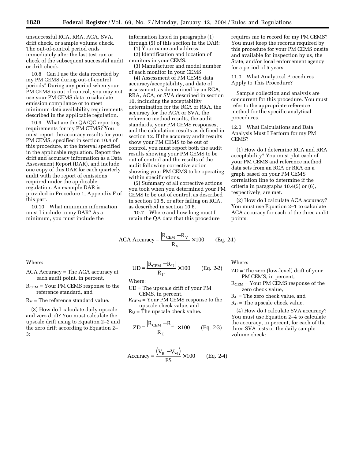unsuccessful RCA, RRA, ACA, SVA, drift check, or sample volume check. The out-of-control period ends immediately after the last test run or check of the subsequent successful audit or drift check.

10.8 Can I use the data recorded by my PM CEMS during out-of-control periods? During any period when your PM CEMS is out of control, you may not use your PM CEMS data to calculate emission compliance or to meet minimum data availability requirements described in the applicable regulation.

10.9 What are the QA/QC reporting requirements for my PM CEMS? You must report the accuracy results for your PM CEMS, specified in section 10.4 of this procedure, at the interval specified in the applicable regulation. Report the drift and accuracy information as a Data Assessment Report (DAR), and include one copy of this DAR for each quarterly audit with the report of emissions required under the applicable regulation. An example DAR is provided in Procedure 1, Appendix F of this part.

10.10 What minimum information must I include in my DAR? As a minimum, you must include the

information listed in paragraphs (1) through (5) of this section in the DAR:

(1) Your name and address.

(2) Identification and location of monitors in your CEMS.

(3) Manufacturer and model number of each monitor in your CEMS.

(4) Assessment of PM CEMS data accuracy/acceptability, and date of assessment, as determined by an RCA, RRA, ACA, or SVA described in section 10, including the acceptability determination for the RCA or RRA, the accuracy for the ACA or SVA, the reference method results, the audit standards, your PM CEMS responses, and the calculation results as defined in section 12. If the accuracy audit results show your PM CEMS to be out of control, you must report both the audit results showing your PM CEMS to be out of control and the results of the audit following corrective action showing your PM CEMS to be operating within specifications.

(5) Summary of all corrective actions you took when you determined your PM CEMS to be out of control, as described in section 10.5, or after failing on RCA, as described in section 10.6.

10.7 Where and how long must I retain the QA data that this procedure

ACA Accuracy = 
$$
\frac{|\mathbf{R}_{\text{CEM}} - \mathbf{R}_{\text{V}}|}{\mathbf{R}_{\text{V}}} \times 100
$$
 (Eq. 2-1)

 $UD = \frac{|R_{\text{CEM}} - R_U|}{R_U} \times 100$  (Eq. 2-2)  $\frac{-R_U}{\times 100}$ 

UD = The upscale drift of your PM CEMS, in percent,

 $R_{CEM}$  = Your PM CEMS response to the upscale check value, and  $R_U$  = The upscale check value.

Where:

Where:

points:

ZD = The zero (low-level) drift of your PM CEMS, in percent,

requires me to record for my PM CEMS? You must keep the records required by this procedure for your PM CEMS onsite and available for inspection by us, the State, and/or local enforcement agency

11.0 What Analytical Procedures

12.0 What Calculations and Data Analysis Must I Perform for my PM

(1) How do I determine RCA and RRA acceptability? You must plot each of your PM CEMS and reference method data sets from an RCA or RRA on a graph based on your PM CEMS correlation line to determine if the criteria in paragraphs 10.4(5) or (6),

(2) How do I calculate ACA accuracy? You must use Equation 2–1 to calculate ACA accuracy for each of the three audit

Sample collection and analysis are concurrent for this procedure. You must refer to the appropriate reference method for the specific analytical

for a period of 5 years.

procedures.

respectively, are met.

CEMS?

Apply to This Procedure?

- $R<sub>CEM</sub>$  = Your PM CEMS response of the zero check value,
- $R_L$  = The zero check value, and
- $R_U$  = The upscale check value.

(4) How do I calculate SVA accuracy? You must use Equation 2–4 to calculate the accuracy, in percent, for each of the three SVA tests or the daily sample volume check:

Where:

- ACA Accuracy = The ACA accuracy at each audit point, in percent,
- $R<sub>CEM</sub>$  = Your PM CEMS response to the reference standard, and

 $R_V$  = The reference standard value.

(3) How do I calculate daily upscale and zero drift? You must calculate the upscale drift using to Equation 2–2 and the zero drift according to Equation 2– 3:

$$
Accuracy = \frac{(V_R - V_M)}{FS} \times 100
$$
 (Eq. 2-4)

 $ZD = \frac{|R_{\text{CEM}} - R_{\text{L}}|}{R_{\text{U}}} \times 100$  (Eq. 2-3)  $\frac{-R_{\rm L}}{2}$  × 100